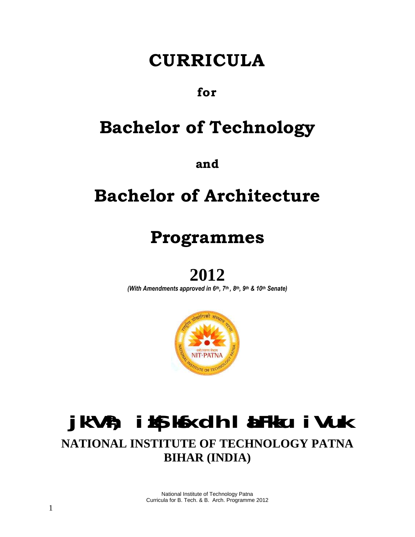# **CURRICULA**

## **for**

# **Bachelor of Technology**

**and**

# **Bachelor of Architecture**

# **Programmes**

## **2012**

*(With Amendments approved in 6 th , 7 th , 8 th , 9 th & 10th Senate)*



## **jk"Vªh; izkS|ksfxdh laLFkku iVuk NATIONAL INSTITUTE OF TECHNOLOGY PATNA BIHAR (INDIA)**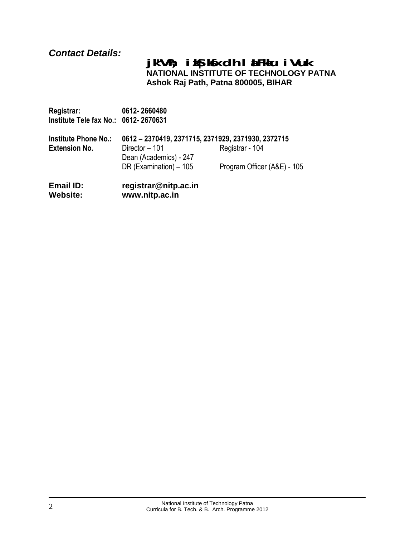## *Contact Details:*

#### **jk"Vªh; izkS|ksfxdh laLFkku iVuk NATIONAL INSTITUTE OF TECHNOLOGY PATNA Ashok Raj Path, Patna 800005, BIHAR**

**Registrar: 0612- 2660480 Institute Tele fax No.: 0612- 2670631**

| <b>Institute Phone No.:</b> | 0612 - 2370419, 2371715, 2371929, 2371930, 2372715 |                             |
|-----------------------------|----------------------------------------------------|-----------------------------|
| <b>Extension No.</b>        | Director - 101                                     | Registrar - 104             |
|                             | Dean (Academics) - 247<br>DR (Examination) - 105   | Program Officer (A&E) - 105 |

**Email ID: registrar@nitp.ac.in Website: [www.nitp.ac.in](http://www.nitp.ac.in/)**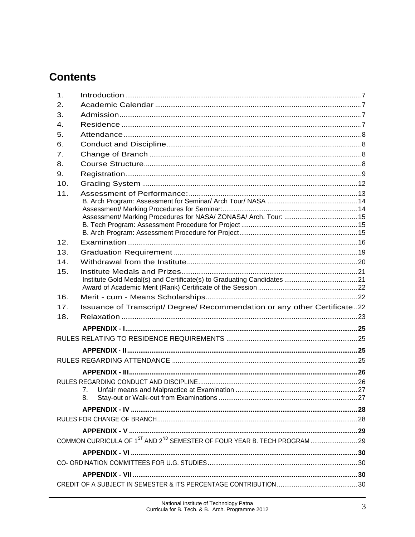## **Contents**

| $\mathbf{1}$ .  |                                                                           |  |
|-----------------|---------------------------------------------------------------------------|--|
| 2.              |                                                                           |  |
| 3.              |                                                                           |  |
| $\mathbf{4}$ .  |                                                                           |  |
| 5.              |                                                                           |  |
| 6.              |                                                                           |  |
| 7 <sub>1</sub>  |                                                                           |  |
| 8.              |                                                                           |  |
| 9.              |                                                                           |  |
| 10.             |                                                                           |  |
| 11.             |                                                                           |  |
|                 |                                                                           |  |
|                 |                                                                           |  |
|                 |                                                                           |  |
|                 |                                                                           |  |
| 12 <sub>1</sub> |                                                                           |  |
| 13.             |                                                                           |  |
| 14.             |                                                                           |  |
| 15.             |                                                                           |  |
|                 |                                                                           |  |
| 16.             |                                                                           |  |
| 17.             | Issuance of Transcript/ Degree/ Recommendation or any other Certificate22 |  |
| 18.             |                                                                           |  |
|                 |                                                                           |  |
|                 |                                                                           |  |
|                 |                                                                           |  |
|                 |                                                                           |  |
|                 |                                                                           |  |
|                 |                                                                           |  |
|                 | 7.                                                                        |  |
|                 | 8.                                                                        |  |
|                 |                                                                           |  |
|                 |                                                                           |  |
|                 |                                                                           |  |
|                 |                                                                           |  |
|                 |                                                                           |  |
|                 |                                                                           |  |
|                 |                                                                           |  |
|                 |                                                                           |  |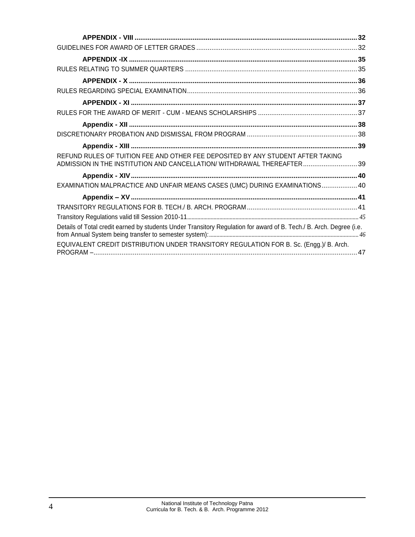| REFUND RULES OF TUITION FEE AND OTHER FEE DEPOSITED BY ANY STUDENT AFTER TAKING<br>ADMISSION IN THE INSTITUTION AND CANCELLATION/ WITHDRAWAL THEREAFTER39 |  |
|-----------------------------------------------------------------------------------------------------------------------------------------------------------|--|
|                                                                                                                                                           |  |
| EXAMINATION MALPRACTICE AND UNFAIR MEANS CASES (UMC) DURING EXAMINATIONS 40                                                                               |  |
|                                                                                                                                                           |  |
|                                                                                                                                                           |  |
|                                                                                                                                                           |  |
| Details of Total credit earned by students Under Transitory Regulation for award of B. Tech./ B. Arch. Degree (i.e.                                       |  |
| EQUIVALENT CREDIT DISTRIBUTION UNDER TRANSITORY REGULATION FOR B. Sc. (Engg.)/ B. Arch.                                                                   |  |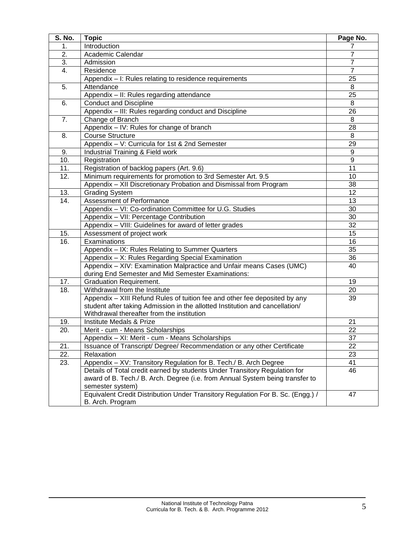| S. No. | <b>Topic</b>                                                                    | Page No.        |
|--------|---------------------------------------------------------------------------------|-----------------|
| 1.     | Introduction                                                                    | 7               |
| 2.     | Academic Calendar                                                               | 7               |
| 3.     | Admission                                                                       | 7               |
| 4.     | Residence                                                                       | $\overline{7}$  |
|        | Appendix - I: Rules relating to residence requirements                          | 25              |
| 5.     | Attendance                                                                      | 8               |
|        | Appendix - II: Rules regarding attendance                                       | 25              |
| 6.     | <b>Conduct and Discipline</b>                                                   | 8               |
|        | Appendix - III: Rules regarding conduct and Discipline                          | 26              |
| 7.     | Change of Branch                                                                | 8               |
|        | Appendix - IV: Rules for change of branch                                       | 28              |
| 8.     | <b>Course Structure</b>                                                         | 8               |
|        | Appendix - V: Curricula for 1st & 2nd Semester                                  | 29              |
| 9.     | Industrial Training & Field work                                                | 9               |
| 10.    | Registration                                                                    | $\overline{9}$  |
| 11.    | Registration of backlog papers (Art. 9.6)                                       | 11              |
| 12.    | Minimum requirements for promotion to 3rd Semester Art. 9.5                     | 10              |
|        | Appendix - XII Discretionary Probation and Dismissal from Program               | 38              |
| 13.    | Grading System                                                                  | 12              |
| 14.    | Assessment of Performance                                                       | $\overline{13}$ |
|        | Appendix - VI: Co-ordination Committee for U.G. Studies                         | 30              |
|        | Appendix - VII: Percentage Contribution                                         | 30              |
|        | Appendix - VIII: Guidelines for award of letter grades                          | $\overline{32}$ |
| 15.    | Assessment of project work                                                      | 15              |
| 16.    | Examinations                                                                    | $\overline{16}$ |
|        | Appendix - IX: Rules Relating to Summer Quarters                                | 35              |
|        | Appendix - X: Rules Regarding Special Examination                               | 36              |
|        | Appendix - XIV: Examination Malpractice and Unfair means Cases (UMC)            | 40              |
|        | during End Semester and Mid Semester Examinations:                              |                 |
| 17.    | <b>Graduation Requirement.</b>                                                  | 19              |
| 18.    | Withdrawal from the Institute                                                   | 20              |
|        | Appendix - XIII Refund Rules of tuition fee and other fee deposited by any      | 39              |
|        | student after taking Admission in the allotted Institution and cancellation/    |                 |
|        | Withdrawal thereafter from the institution                                      |                 |
| 19.    | Institute Medals & Prize                                                        | 21              |
| 20.    | Merit - cum - Means Scholarships                                                | 22              |
|        | Appendix - XI: Merit - cum - Means Scholarships                                 | $\overline{37}$ |
| 21.    | Issuance of Transcript/ Degree/ Recommendation or any other Certificate         | 22              |
| 22.    | Relaxation                                                                      | 23              |
| 23.    | Appendix - XV: Transitory Regulation for B. Tech./ B. Arch Degree               | 41              |
|        | Details of Total credit earned by students Under Transitory Regulation for      | 46              |
|        | award of B. Tech./ B. Arch. Degree (i.e. from Annual System being transfer to   |                 |
|        | semester system)                                                                |                 |
|        | Equivalent Credit Distribution Under Transitory Regulation For B. Sc. (Engg.) / | 47              |
|        | B. Arch. Program                                                                |                 |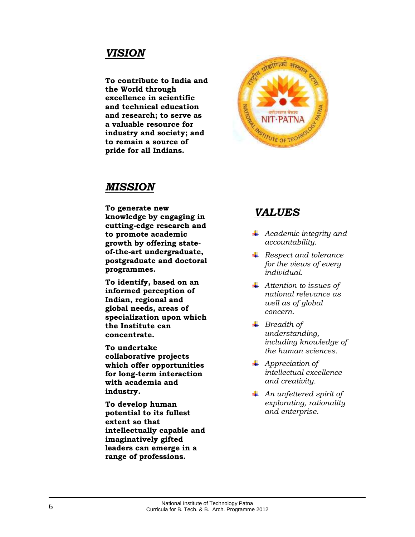## *VISION*

**To contribute to India and the World through excellence in scientific and technical education and research; to serve as a valuable resource for industry and society; and to remain a source of pride for all Indians.**



## *MISSION*

**To generate new knowledge by engaging in cutting-edge research and to promote academic growth by offering stateof-the-art undergraduate, postgraduate and doctoral programmes.**

**To identify, based on an informed perception of Indian, regional and global needs, areas of specialization upon which the Institute can concentrate.**

**To undertake collaborative projects which offer opportunities for long-term interaction with academia and industry.**

**To develop human potential to its fullest extent so that intellectually capable and imaginatively gifted leaders can emerge in a range of professions.**

## *VALUES*

- *Academic integrity and accountability.*
- *Respect and tolerance for the views of every individual.*
- *Attention to issues of national relevance as well as of global concern.*
- *Breadth of understanding, including knowledge of the human sciences.*
- *Appreciation of intellectual excellence and creativity.*
- *An unfettered spirit of explorating, rationality and enterprise.*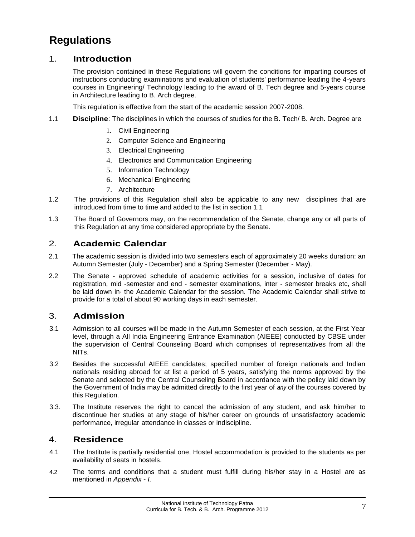## **Regulations**

#### <span id="page-6-0"></span>1. **Introduction**

The provision contained in these Regulations will govern the conditions for imparting courses of instructions conducting examinations and evaluation of students' performance leading the 4-years courses in Engineering/ Technology leading to the award of B. Tech degree and 5-years course in Architecture leading to B. Arch degree.

This regulation is effective from the start of the academic session 2007-2008.

- 1.1 **Discipline**: The disciplines in which the courses of studies for the B. Tech/ B. Arch. Degree are
	- 1. Civil Engineering
	- 2. Computer Science and Engineering
	- 3. Electrical Engineering
	- 4. Electronics and Communication Engineering
	- 5. Information Technology
	- 6. Mechanical Engineering
	- 7. Architecture
- 1.2 The provisions of this Regulation shall also be applicable to any new disciplines that are introduced from time to time and added to the list in section 1.1
- 1.3 The Board of Governors may, on the recommendation of the Senate, change any or all parts of this Regulation at any time considered appropriate by the Senate.

#### <span id="page-6-1"></span>2. **Academic Calendar**

- 2.1 The academic session is divided into two semesters each of approximately 20 weeks duration: an Autumn Semester (July - December) and a Spring Semester (December - May).
- 2.2 The Senate approved schedule of academic activities for a session, inclusive of dates for registration, mid -semester and end - semester examinations, inter - semester breaks etc, shall be laid down in· the Academic Calendar for the session. The Academic Calendar shall strive to provide for a total of about 90 working days in each semester.

#### <span id="page-6-2"></span>3. **Admission**

- 3.1 Admission to all courses will be made in the Autumn Semester of each session, at the First Year level, through a All India Engineering Entrance Examination (AIEEE) conducted by CBSE under the supervision of Central Counseling Board which comprises of representatives from all the NITs.
- 3.2 Besides the successful AIEEE candidates; specified number of foreign nationals and Indian nationals residing abroad for at list a period of 5 years, satisfying the norms approved by the Senate and selected by the Central Counseling Board in accordance with the policy laid down by the Government of India may be admitted directly to the first year of *any* of the courses covered by this Regulation.
- 3.3. The Institute reserves the right to cancel the admission of any student, and ask him/her to discontinue her studies at any stage of his/her career on grounds of unsatisfactory academic performance, irregular attendance in classes or indiscipline.

#### <span id="page-6-3"></span>4. **Residence**

- 4.1 The Institute is partially residential one, Hostel accommodation is provided to the students as per availability of seats in hostels.
- 4.2 The terms and conditions that a student must fulfill during his/her stay in a Hostel are as mentioned in *Appendix* - *I.*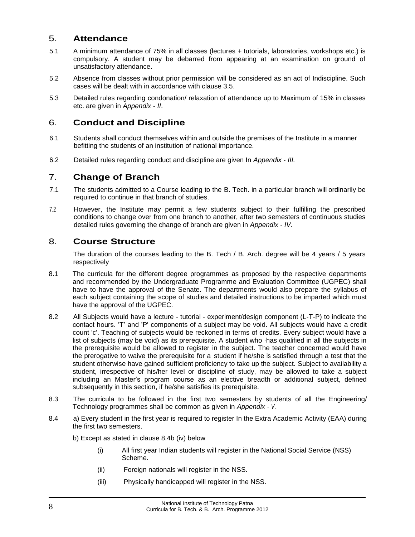#### <span id="page-7-0"></span>5. **Attendance**

- 5.1 A minimum attendance of 75% in all classes (lectures + tutorials, laboratories, workshops etc.) is compulsory. A student may be debarred from appearing at an examination on ground of unsatisfactory attendance.
- 5.2 Absence from classes without prior permission will be considered as an act of Indiscipline. Such cases will be dealt with in accordance with clause 3.5.
- 5.3 Detailed rules regarding condonation/ relaxation of attendance up to Maximum of 15% in classes etc. are given in *Appendix* - *II*.

#### <span id="page-7-1"></span>6. **Conduct and Discipline**

- 6.1 Students shall conduct themselves within and outside the premises of the Institute in a manner befitting the students of an institution of national importance.
- 6.2 Detailed rules regarding conduct and discipline are given In *Appendix III.*

#### <span id="page-7-2"></span>7. **Change of Branch**

- 7.1 The students admitted to a Course leading to the B. Tech. in a particular branch will ordinarily be required to continue in that branch of studies.
- 7.2 However, the Institute may permit a few students subject to their fulfilling the prescribed conditions to change over from one branch to another, after two semesters of continuous studies detailed rules governing the change of branch are given in *Appendix* - *IV*.

#### <span id="page-7-3"></span>8. **Course Structure**

The duration of the courses leading to the B. Tech / B. Arch. degree will be 4 years / 5 years respectively

- 8.1 The curricula for the different degree programmes as proposed by the respective departments and recommended by the Undergraduate Programme and Evaluation Committee (UGPEC) shall have to have the approval of the Senate. The departments would also prepare the syllabus of each subject containing the scope of studies and detailed instructions to be imparted which must have the approval of the UGPEC.
- 8.2 All Subjects would have a lecture tutorial experiment/design component (L-T-P) to indicate the contact hours. 'T' and 'P' components of a subject may be void. All subjects would have a credit count 'c'. Teaching of subjects would be reckoned in terms of credits. Every subject would have a list of subjects (may be void) as its prerequisite. A student who ·has qualified in all the subjects in the prerequisite would be allowed to register in the subject. The teacher concerned would have the prerogative to waive the prerequisite for a student if he/she is satisfied through a test that the student otherwise have gained sufficient proficiency to take up the subject. Subject to availability a student, irrespective of his/her level or discipline of study, may be allowed to take a subject including an Master's program course as an elective breadth or additional subject, defined subsequently in this section, if he/she satisfies its prerequisite.
- 8.3 The curricula to be followed in the first two semesters by students of all the Engineering/ Technology programmes shall be common as given in *Appendix - V*.
- 8.4 a) Every student in the first year is required to register In the Extra Academic Activity (EAA) during the first two semesters.

b) Except as stated in clause 8.4b (iv) below

- (i) All first year Indian students will register in the National Social Service (NSS) Scheme.
- (ii) Foreign nationals will register in the NSS.
- (iii) Physically handicapped will register in the NSS.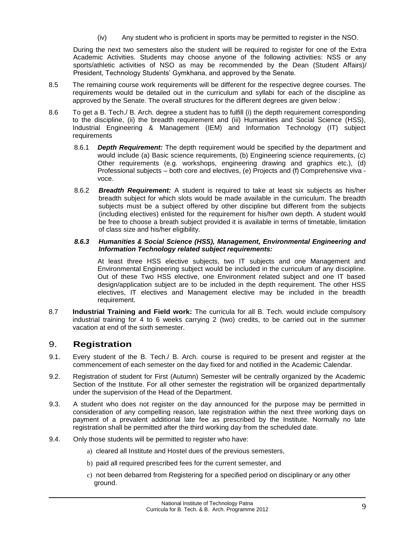(iv) Any student who is proficient in sports may be permitted to register in the NSO.

During the next two semesters also the student will be required to register for one of the Extra Academic Activities. Students may choose anyone of the following activities: NSS or any sports/athletic activities of NSO as may be recommended by the Dean (Student Affairs)/ President, Technology Students' Gymkhana, and approved by the Senate.

- 8.5 The remaining course work requirements will be different for the respective degree courses. The requirements would be detailed out in the curriculum and syllabi for each of the discipline as approved by the Senate. The overall structures for the different degrees are given below :
- 8.6 To get a B. Tech./ B. Arch. degree a student has to fulfill (i) the depth requirement corresponding to the discipline, (ii) the breadth requirement and (iii) Humanities and Social Science (HSS), Industrial Engineering & Management (IEM) and Information Technology (IT) subject **requirements** 
	- 8.6.1 *Depth Requirement:* The depth requirement would be specified by the department and would include (a) Basic science requirements, (b) Engineering science requirements, (c) Other requirements (e.g. workshops, engineering drawing and graphics etc.), (d) Professional subjects – both core and electives, (e) Projects and (f) Comprehensive viva voce.
	- 8.6.2 *Breadth Requirement:* A student is required to take at least six subjects as his/her breadth subject for which slots would be made available in the curriculum. The breadth subjects must be a subject offered by other discipline but different from the subjects (including electives) enlisted for the requirement for his/her own depth. A student would be free to choose a breath subject provided it is available in terms of timetable, limitation of class size and his/her eligibility.

#### *8.6.3 Humanities & Social Science (HSS), Management, Environmental Engineering and Information Technology related subject requirements:*

At least three HSS elective subjects, two IT subjects and one Management and Environmental Engineering subject would be included in the curriculum of any discipline. Out of these Two HSS elective, one Environment related subject and one IT based design/application subject are to be included in the depth requirement. The other HSS electives, IT electives and Management elective may be included in the breadth requirement.

8.7 **Industrial Training and Field work:** The curricula for all B. Tech. would include compulsory industrial training for 4 to 6 weeks carrying 2 (two) credits, to be carried out in the summer vacation at end of the sixth semester.

#### <span id="page-8-0"></span>9. **Registration**

- 9.1. Every student of the B. Tech./ B. Arch. course is required to be present and register at the commencement of each semester on the day fixed for and notified in the Academic Calendar.
- 9.2. Registration of student for First (Autumn) Semester will be centrally organized by the Academic Section of the Institute. For all other semester the registration will be organized departmentally under the supervision of the Head of the Department.
- 9.3. A student who does not register on the day announced for the purpose may be permitted in consideration of any compelling reason, late registration within the next three working days on payment of a prevalent additional late fee as prescribed by the Institute. Normally no late registration shall be permitted after the third working day from the scheduled date.
- 9.4. Only those students will be permitted to register who have:
	- a) cleared all Institute and Hostel dues of the previous semesters,
	- b) paid all required prescribed fees for the current semester, and
	- c) not been debarred from Registering for a specified period on disciplinary or any other ground.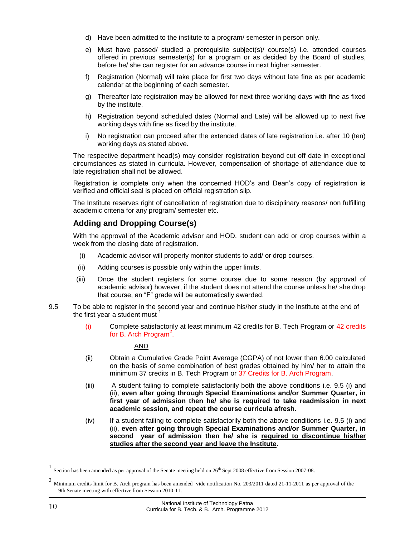- d) Have been admitted to the institute to a program/ semester in person only.
- e) Must have passed/ studied a prerequisite subject(s)/ course(s) i.e. attended courses offered in previous semester(s) for a program or as decided by the Board of studies, before he/ she can register for an advance course in next higher semester.
- f) Registration (Normal) will take place for first two days without late fine as per academic calendar at the beginning of each semester.
- g) Thereafter late registration may be allowed for next three working days with fine as fixed by the institute.
- h) Registration beyond scheduled dates (Normal and Late) will be allowed up to next five working days with fine as fixed by the institute.
- i) No reaistration can proceed after the extended dates of late registration i.e. after 10 (ten) working days as stated above.

The respective department head(s) may consider registration beyond cut off date in exceptional circumstances as stated in curricula. However, compensation of shortage of attendance due to late registration shall not be allowed.

Registration is complete only when the concerned HOD's and Dean's copy of registration is verified and official seal is placed on official registration slip.

The Institute reserves right of cancellation of registration due to disciplinary reasons/ non fulfilling academic criteria for any program/ semester etc.

#### **Adding and Dropping Course(s)**

With the approval of the Academic advisor and HOD, student can add or drop courses within a week from the closing date of registration.

- (i) Academic advisor will properly monitor students to add/ or drop courses.
- (ii) Adding courses is possible only within the upper limits.
- (iii) Once the student registers for some course due to some reason (by approval of academic advisor) however, if the student does not attend the course unless he/ she drop that course, an "F" grade will be automatically awarded.
- 9.5 To be able to register in the second year and continue his/her study in the Institute at the end of the first year a student must  $<sup>1</sup>$ </sup>
	- (i) Complete satisfactorily at least minimum 42 credits for B. Tech Program or 42 credits for B. Arch Program<sup>2</sup>.

AND

- (ii) Obtain a Cumulative Grade Point Average (CGPA) of not lower than 6.00 calculated on the basis of some combination of best grades obtained by him/ her to attain the minimum 37 credits in B. Tech Program or 37 Credits for B. Arch Program.
- (iii) A student failing to complete satisfactorily both the above conditions i.e. 9.5 (i) and (ii), **even after going through Special Examinations and/or Summer Quarter, in first year of admission then he/ she is required to take readmission in next academic session, and repeat the course curricula afresh.**
- (iv) If a student failing to complete satisfactorily both the above conditions i.e. 9.5 (i) and (ii), **even after going through Special Examinations and/or Summer Quarter, in second year of admission then he/ she is required to discontinue his/her studies after the second year and leave the Institute**.

<sup>1</sup> Section has been amended as per approval of the Senate meeting held on 26<sup>th</sup> Sept 2008 effective from Session 2007-08.

 $2$  Minimum credits limit for B. Arch program has been amended vide notification No. 203/2011 dated 21-11-2011 as per approval of the 9th Senate meeting with effective from Session 2010-11.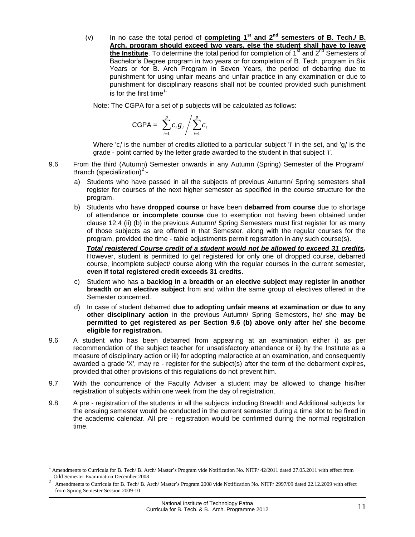(v) In no case the total period of **completing 1st and 2nd semesters of B. Tech./ B. Arch. program should exceed two years, else the student shall have to leave the Institute**. To determine the total period for completion of 1<sup>st</sup> and 2<sup>nd</sup> Semesters of Bachelor's Degree program in two years or for completion of B. Tech. program in Six Years or for B. Arch Program in Seven Years, the period of debarring due to punishment for using unfair means and unfair practice in any examination or due to punishment for disciplinary reasons shall not be counted provided such punishment is for the first time $1$ .

Note: The CGPA for a set of p subjects will be calculated as follows:

$$
\mathsf{CGPA} = \sum_{i=1}^{p} c_i g_i / \sum_{i=1}^{p} c_i
$$

Where 'c<sub>i</sub>' is the number of credits allotted to a particular subject 'i' in the set, and 'g<sub>i</sub>' is the grade - point carried by the letter grade awarded to the student in that subject 'i'.

- 9.6 From the third (Autumn) Semester onwards in any Autumn (Spring) Semester of the Program/ Branch (specialization)<sup>2</sup>:
	- a) Students who have passed in all the subjects of previous Autumn/ Spring semesters shall register for courses of the next higher semester as specified in the course structure for the program.
	- b) Students who have **dropped course** or have been **debarred from course** due to shortage of attendance **or incomplete course** due to exemption not having been obtained under clause 12.4 (ii) (b) in the previous Autumn/ Spring Semesters must first register for as many of those subjects as are offered in that Semester, along with the regular courses for the program, provided the time - table adjustments permit registration in any such course(s).

*Total registered Course credit of a student would not be allowed to exceed 31 credits***.**  However, student is permitted to get registered for only one of dropped course, debarred course, incomplete subject/ course along with the regular courses in the current semester, **even if total registered credit exceeds 31 credits**.

- c) Student who has a **backlog in a breadth or an elective subject may register in another breadth or an elective subject** from and within the same group of electives offered in the Semester concerned.
- d) In case of student debarred **due to adopting unfair means at examination or due to any other disciplinary action** in the previous Autumn/ Spring Semesters, he/ she **may be permitted to get registered as per Section 9.6 (b) above only after he/ she become eligible for registration.**
- 9.6 A student who has been debarred from appearing at an examination either i) as per recommendation of the subject teacher for unsatisfactory attendance or ii) by the Institute as a measure of disciplinary action or iii) for adopting malpractice at an examination, and consequently awarded a grade 'X', may re - register for the subject(s) after the term of the debarment expires, provided that other provisions of this regulations do not prevent him.
- 9.7 With the concurrence of the Faculty Adviser a student may be allowed to change his/her registration of subjects within one week from the day of registration.
- 9.8 A pre registration of the students in all the subjects including Breadth and Additional subjects for the ensuing semester would be conducted in the current semester during a time slot to be fixed in the academic calendar. All pre - registration would be confirmed during the normal registration time.

<sup>1</sup> Amendments to Curricula for B. Tech/ B. Arch/ Master's Program vide Notification No. NITP/ 42/2011 dated 27.05.2011 with effect from Odd Semester Examination December 2008

<sup>2</sup> Amendments to Curricula for B. Tech/ B. Arch/ Master's Program 2008 vide Notification No. NITP/ 2997/09 dated 22.12.2009 with effect from Spring Semester Session 2009-10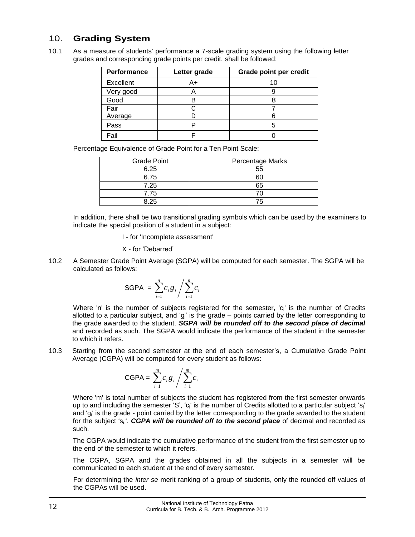#### <span id="page-11-0"></span>10. **Grading System**

10.1 As a measure of students' performance a 7-scale grading system using the following letter grades and corresponding grade points per credit, shall be followed:

| Performance | Letter grade | Grade point per credit |
|-------------|--------------|------------------------|
| Excellent   | A+           |                        |
| Very good   |              |                        |
| Good        |              |                        |
| Fair        |              |                        |
| Average     |              |                        |
| Pass        |              |                        |
| Fail        |              |                        |

Percentage Equivalence of Grade Point for a Ten Point Scale:

| <b>Grade Point</b> | <b>Percentage Marks</b> |
|--------------------|-------------------------|
| 6.25               | 55                      |
| 6.75               | 60                      |
| 7.25               | 65                      |
| 7.75               |                         |
| 8.25               | 75                      |

In addition, there shall be two transitional grading symbols which can be used by the examiners to indicate the special position of a student in a subject:

I - for 'Incomplete assessment'

#### X - for 'Debarred'

10.2 A Semester Grade Point Average (SGPA) will be computed for each semester. The SGPA will be calculated as follows:

SGPA = 
$$
\sum_{i=1}^{n} c_i g_i / \sum_{i=1}^{n} c_i
$$

Where 'n' is the number of subjects registered for the semester, 'c<sub>i</sub>' is the number of Credits allotted to a particular subject, and 'g<sub>i</sub>' is the grade – points carried by the letter corresponding to the grade awarded to the student. *SGPA will be rounded off to the second place of decimal* and recorded as such. The SGPA would indicate the performance of the student in the semester to which it refers.

10.3 Starting from the second semester at the end of each semester's, a Cumulative Grade Point Average (CGPA) will be computed for every student as follows:

$$
\mathsf{CGPA} = \sum_{i=1}^{m} c_i g_i / \sum_{i=1}^{m} c_i
$$

Where 'm' is total number of subjects the student has registered from the first semester onwards up to and including the semester 'S', 'c<sub>i</sub>' is the number of Credits allotted to a particular subject 's<sub>i</sub>' and 'g<sup>i</sup> ' is the grade - point carried by the letter corresponding to the grade awarded to the student for the subject 's<sub>i</sub>'. CGPA will be rounded off to the second place of decimal and recorded as such.

The CGPA would indicate the cumulative performance of the student from the first semester up to the end of the semester to which it refers.

The CGPA, SGPA and the grades obtained in all the subjects in a semester will be communicated to each student at the end of every semester.

For determining the *inter se* merit ranking of a group of students, only the rounded off values of the CGPAs will be used.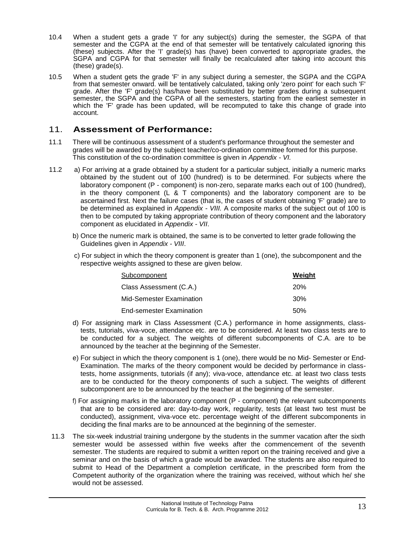- 10.4 When a student gets a grade 'I' for any subject(s) during the semester, the SGPA of that semester and the CGPA at the end of that semester will be tentatively calculated ignoring this (these) subjects. After the 'I' grade(s) has (have) been converted to appropriate grades, the SGPA and CGPA for that semester will finally be recalculated after taking into account this (these) grade(s).
- 10.5 When a student gets the grade 'F' in any subject during a semester, the SGPA and the CGPA from that semester onward. will be tentatively calculated, taking only 'zero point' for each such 'F' grade. After the 'F' grade(s) has/have been substituted by better grades during a subsequent semester, the SGPA and the CGPA of all the semesters, starting from the earliest semester in which the 'F' grade has been updated, will be recomputed to take this change of grade into account.

#### <span id="page-12-0"></span>11. **Assessment of Performance:**

- 11.1 There will be continuous assessment of a student's performance throughout the semester and grades will be awarded by the subject teacher/co-ordination committee formed for this purpose. This constitution of the co-ordination committee is given in *Appendix - VI.*
- 11.2 a) For arriving at a grade obtained by a student for a particular subject, initially a numeric marks obtained by the student out of 100 (hundred) is to be determined. For subjects where the laboratory component (P - component) is non-zero, separate marks each out of 100 (hundred), in the theory component  $(L \& T$  components) and the laboratory component are to be ascertained first. Next the failure cases (that is, the cases of student obtaining 'F' grade) are to be determined as explained in *Appendix - VIII.* A composite marks of the subject out of 100 is then to be computed by taking appropriate contribution of theory component and the laboratory component as elucidated in *Appendix - VII*.
	- b) Once the numeric mark is obtained, the same is to be converted to letter grade following the Guidelines given in *Appendix - VIII*.
	- c) For subject in which the theory component is greater than 1 (one), the subcomponent and the respective weights assigned to these are given below.

| Subcomponent                    | Weight     |
|---------------------------------|------------|
| Class Assessment (C.A.)         | <b>20%</b> |
| Mid-Semester Examination        | 30%        |
| <b>End-semester Examination</b> | .50%       |

- d) For assigning mark in Class Assessment (C.A.) performance in home assignments, classtests, tutorials, viva-voce, attendance etc. are to be considered. At least two class tests are to be conducted for a subject. The weights of different subcomponents of C.A. are to be announced by the teacher at the beginning of the Semester.
- e) For subject in which the theory component is 1 (one), there would be no Mid- Semester or End-Examination. The marks of the theory component would be decided by performance in classtests, home assignments, tutorials (if any); viva-voce, attendance etc. at least two class tests are to be conducted for the theory components of such a subject. The weights of different subcomponent are to be announced by the teacher at the beginning of the semester.
- f) For assigning marks in the laboratory component (P component) the relevant subcomponents that are to be considered are: day-to-day work, regularity, tests (at least two test must be conducted), assignment, viva-voce etc. percentage weight of the different subcomponents in deciding the final marks are to be announced at the beginning of the semester.
- 11.3 The six-week industrial training undergone by the students in the summer vacation after the sixth semester would be assessed within five weeks after the commencement of the seventh semester. The students are required to submit a written report on the training received and give a seminar and on the basis of which a grade would be awarded. The students are also required to submit to Head of the Department a completion certificate, in the prescribed form from the Competent authority of the organization where the training was received, without which he/ she would not be assessed.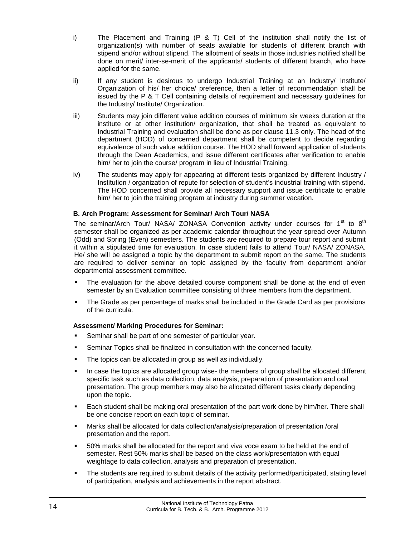- i) The Placement and Training (P & T) Cell of the institution shall notify the list of organization(s) with number of seats available for students of different branch with stipend and/or without stipend. The allotment of seats in those industries notified shall be done on merit/ inter-se-merit of the applicants/ students of different branch, who have applied for the same.
- ii) If any student is desirous to undergo Industrial Training at an Industry/ Institute/ Organization of his/ her choice/ preference, then a letter of recommendation shall be issued by the P & T Cell containing details of requirement and necessary guidelines for the Industry/ Institute/ Organization.
- iii) Students may join different value addition courses of minimum six weeks duration at the institute or at other institution/ organization, that shall be treated as equivalent to Industrial Training and evaluation shall be done as per clause 11.3 only. The head of the department (HOD) of concerned department shall be competent to decide regarding equivalence of such value addition course. The HOD shall forward application of students through the Dean Academics, and issue different certificates after verification to enable him/ her to join the course/ program in lieu of Industrial Training.
- iv) The students may apply for appearing at different tests organized by different Industry / Institution / organization of repute for selection of student's industrial training with stipend. The HOD concerned shall provide all necessary support and issue certificate to enable him/ her to join the training program at industry during summer vacation.

#### <span id="page-13-0"></span>**B. Arch Program: Assessment for Seminar/ Arch Tour/ NASA**

The seminar/Arch Tour/ NASA/ ZONASA Convention activity under courses for  $1^{st}$  to  $8^{th}$ semester shall be organized as per academic calendar throughout the year spread over Autumn (Odd) and Spring (Even) semesters. The students are required to prepare tour report and submit it within a stipulated time for evaluation. In case student fails to attend Tour/ NASA/ ZONASA. He/ she will be assigned a topic by the department to submit report on the same. The students are required to deliver seminar on topic assigned by the faculty from department and/or departmental assessment committee.

- The evaluation for the above detailed course component shall be done at the end of even semester by an Evaluation committee consisting of three members from the department.
- The Grade as per percentage of marks shall be included in the Grade Card as per provisions of the curricula.

#### <span id="page-13-1"></span>**Assessment/ Marking Procedures for Seminar:**

- Seminar shall be part of one semester of particular year.
- Seminar Topics shall be finalized in consultation with the concerned faculty.
- The topics can be allocated in group as well as individually.
- In case the topics are allocated group wise- the members of group shall be allocated different specific task such as data collection, data analysis, preparation of presentation and oral presentation. The group members may also be allocated different tasks clearly depending upon the topic.
- **Each student shall be making oral presentation of the part work done by him/her. There shall** be one concise report on each topic of seminar.
- Marks shall be allocated for data collection/analysis/preparation of presentation /oral presentation and the report.
- 50% marks shall be allocated for the report and viva voce exam to be held at the end of semester. Rest 50% marks shall be based on the class work/presentation with equal weightage to data collection, analysis and preparation of presentation.
- The students are required to submit details of the activity performed/participated, stating level of participation, analysis and achievements in the report abstract.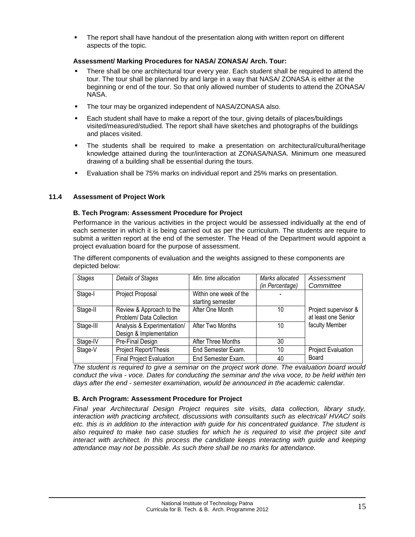The report shall have handout of the presentation along with written report on different aspects of the topic*.*

#### <span id="page-14-0"></span>**Assessment/ Marking Procedures for NASA/ ZONASA/ Arch. Tour:**

- There shall be one architectural tour every year. Each student shall be required to attend the tour. The tour shall be planned by and large in a way that NASA/ ZONASA is either at the beginning or end of the tour. So that only allowed number of students to attend the ZONASA/ NASA.
- **The tour may be organized independent of NASA/ZONASA also.**
- Each student shall have to make a report of the tour, giving details of places/buildings visited/measured/studied. The report shall have sketches and photographs of the buildings and places visited.
- The students shall be required to make a presentation on architectural/cultural/heritage knowledge attained during the tour/interaction at ZONASA/NASA. Minimum one measured drawing of a building shall be essential during the tours.
- Evaluation shall be 75% marks on individual report and 25% marks on presentation.

#### <span id="page-14-1"></span>**11.4 Assessment of Project Work**

#### **B. Tech Program: Assessment Procedure for Project**

Performance in the various activities in the project would be assessed individually at the end of each semester in which it is being carried out as per the curriculum. The students are require to submit a written report at the end of the semester. The Head of the Department would appoint a project evaluation board for the purpose of assessment.

The different components of evaluation and the weights assigned to these components are depicted below:

| <b>Stages</b> | Details of Stages                                      | Min. time allocation                        | Marks allocated | Assessment                                  |
|---------------|--------------------------------------------------------|---------------------------------------------|-----------------|---------------------------------------------|
|               |                                                        |                                             | (in Percentage) | Committee                                   |
| Stage-I       | Project Proposal                                       | Within one week of the<br>starting semester |                 |                                             |
| Stage-II      | Review & Approach to the<br>Problem/ Data Collection   | After One Month                             | 10              | Project supervisor &<br>at least one Senior |
| Stage-III     | Analysis & Experimentation/<br>Design & Implementation | After Two Months                            | 10              | faculty Member                              |
| Stage-IV      | Pre-Final Design                                       | After Three Months                          | 30              |                                             |
| Stage-V       | Project Report/Thesis                                  | End Semester Exam.                          | 10              | <b>Project Evaluation</b>                   |
|               | <b>Final Project Evaluation</b>                        | End Semester Exam.                          | 40              | Board                                       |

*The student is required to give a seminar on the project work done. The evaluation board would conduct the viva - voce. Dates for conducting the seminar and the viva voce, to be held within ten days after the end - semester examination, would be announced in the academic calendar.* 

#### <span id="page-14-2"></span>**B. Arch Program: Assessment Procedure for Project**

*Final year Architectural Design Project requires site visits, data collection, library study, interaction with practicing architect, discussions with consultants such as electrical/ HVAC/ soils etc. this is in addition to the interaction with guide for his concentrated guidance. The student is also required to make two case studies for which he is required to visit the project site and interact with architect. In this process the candidate keeps interacting with guide and keeping attendance may not be possible. As such there shall be no marks for attendance.*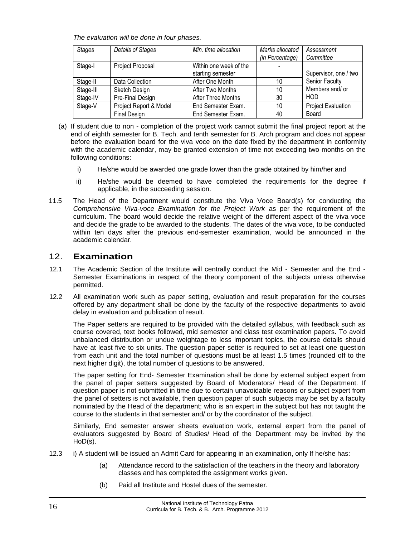*The evaluation will be done in four phases.*

| <b>Stages</b> | <b>Details of Stages</b> | Min. time allocation   | Marks allocated | Assessment                |
|---------------|--------------------------|------------------------|-----------------|---------------------------|
|               |                          |                        | (in Percentage) | Committee                 |
| Stage-I       | Project Proposal         | Within one week of the |                 |                           |
|               |                          | starting semester      |                 | Supervisor, one / two     |
| Stage-II      | Data Collection          | After One Month        | 10              | Senior Faculty            |
| Stage-III     | Sketch Design            | After Two Months       | 10              | Members and/ or           |
| Stage-IV      | Pre-Final Design         | After Three Months     | 30              | HOD                       |
| Stage-V       | Project Report & Model   | End Semester Exam.     | 10              | <b>Project Evaluation</b> |
|               | Final Design             | End Semester Exam.     | 40              | Board                     |

- (a) If student due to non completion of the project work cannot submit the final project report at the end of eighth semester for B. Tech. and tenth semester for B. Arch program and does not appear before the evaluation board for the viva voce on the date fixed by the department in conformity with the academic calendar, may be granted extension of time not exceeding two months on the following conditions:
	- i) He/she would be awarded one grade lower than the grade obtained by him/her and
	- ii) He/she would be deemed to have completed the requirements for the degree if applicable, in the succeeding session.
- 11.5 The Head of the Department would constitute the Viva Voce Board(s) for conducting the *Comprehensive Viva-voce Examination for the Project Work* as per the requirement of the curriculum. The board would decide the relative weight of the different aspect of the viva voce and decide the grade to be awarded to the students. The dates of the viva voce, to be conducted within ten days after the previous end-semester examination, would be announced in the academic calendar.

#### <span id="page-15-0"></span>12. **Examination**

- 12.1 The Academic Section of the Institute will centrally conduct the Mid Semester and the End Semester Examinations in respect of the theory component of the subjects unless otherwise permitted.
- 12.2 All examination work such as paper setting, evaluation and result preparation for the courses offered by any department shall be done by the faculty of the respective departments to avoid delay in evaluation and publication of result.

The Paper setters are required to be provided with the detailed syllabus, with feedback such as course covered, text books followed, mid semester and class test examination papers. To avoid unbalanced distribution or undue weightage to less important topics, the course details should have at least five to six units. The question paper setter is required to set at least one question from each unit and the total number of questions must be at least 1.5 times (rounded off to the next higher digit), the total number of questions to be answered.

The paper setting for End- Semester Examination shall be done by external subject expert from the panel of paper setters suggested by Board of Moderators/ Head of the Department. If question paper is not submitted in time due to certain unavoidable reasons or subject expert from the panel of setters is not available, then question paper of such subjects may be set by a faculty nominated by the Head of the department; who is an expert in the subject but has not taught the course to the students in that semester and/ or by the coordinator of the subject.

Similarly, End semester answer sheets evaluation work, external expert from the panel of evaluators suggested by Board of Studies/ Head of the Department may be invited by the HoD(s).

- 12.3 i) A student will be issued an Admit Card for appearing in an examination, only If he/she has:
	- (a) Attendance record to the satisfaction of the teachers in the theory and laboratory classes and has completed the assignment works given.
	- (b) Paid all Institute and Hostel dues of the semester.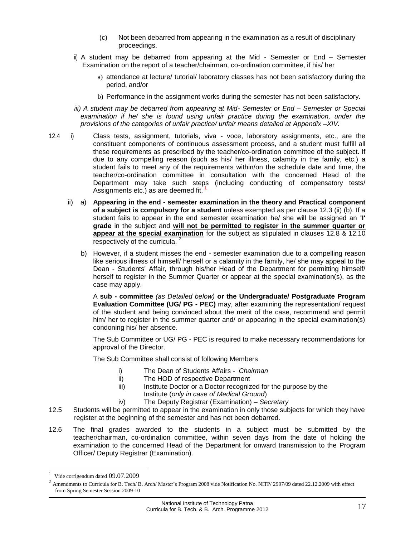- (c) Not been debarred from appearing in the examination as a result of disciplinary proceedings.
- ii) A student may be debarred from appearing at the Mid Semester or End Semester Examination on the report of a teacher/chairman, co-ordination committee, if his/ her
	- a) attendance at lecture/ tutorial/ laboratory classes has not been satisfactory during the period, and/or
	- b) Performance in the assignment works during the semester has not been satisfactory.
- *iii) A student may be debarred from appearing at Mid- Semester or End – Semester or Special examination if he/ she is found using unfair practice during the examination, under the provisions of the categories of unfair practice/ unfair means detailed at Appendix –XIV.*
- 12.4 i) Class tests, assignment, tutorials, viva voce, laboratory assignments, etc., are the constituent components of continuous assessment process, and a student must fulfill all these requirements as prescribed by the teacher/co-ordination committee of the subject. If due to any compelling reason (such as his/ her illness, calamity in the family, etc.) a student fails to meet any of the requirements within/on the schedule date and time, the teacher/co-ordination committee in consultation with the concerned Head of the Department may take such steps (including conducting of compensatory tests/ Assignments etc.) as are deemed fit.<sup>1</sup>
	- ii) a) **Appearing in the end - semester examination in the theory and Practical component of a subject is compulsory for a student** unless exempted as per clause 12.3 (ii) (b). If a student fails to appear in the end semester examination he/ she will be assigned an **'I' grade** in the subject and **will not be permitted to register in the summer quarter or appear at the special examination** for the subject as stipulated in clauses 12.8 & 12.10 respectively of the curricula.<sup>2</sup>
		- b) However, if a student misses the end semester examination due to a compelling reason like serious illness of himself/ herself or a calamity in the family, he/ she may appeal to the Dean - Students' Affair, through his/her Head of the Department for permitting himself/ herself to register in the Summer Quarter or appear at the special examination(s), as the case may apply.

A **sub - committee** *(as Detailed below)* **or the Undergraduate/ Postgraduate Program Evaluation Committee (UG/ PG - PEC)** may, after examining the representation/ request of the student and being convinced about the merit of the case, recommend and permit him/ her to register in the summer quarter and/ or appearing in the special examination(s) condoning his/ her absence.

The Sub Committee or UG/ PG - PEC is required to make necessary recommendations for approval of the Director.

The Sub Committee shall consist of following Members

- i) The Dean of Students Affairs *Chairman*
- ii) The HOD of respective Department
- iii) Institute Doctor or a Doctor recognized for the purpose by the Institute (*only in case of Medical Ground*)
- iv) The Deputy Registrar (Examination) *Secretary*
- 12.5 Students will be permitted to appear in the examination in only those subjects for which they have register at the beginning of the semester and has not been debarred.
- 12.6 The final grades awarded to the students in a subject must be submitted by the teacher/chairman, co-ordination committee, within seven days from the date of holding the examination to the concerned Head of the Department for onward transmission to the Program Officer/ Deputy Registrar (Examination).

<sup>1</sup> Vide corrigendum dated 09.07.2009

 $^2$  Amendments to Curricula for B. Tech/ B. Arch/ Master's Program 2008 vide Notification No. NITP/ 2997/09 dated 22.12.2009 with effect from Spring Semester Session 2009-10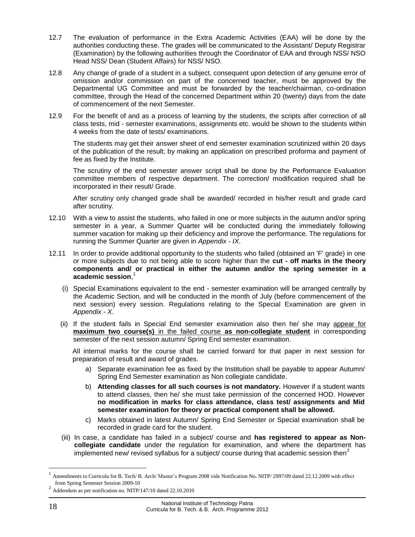- 12.7 The evaluation of performance in the Extra Academic Activities (EAA) will be done by the authorities conducting these. The grades will be communicated to the Assistant/ Deputy Registrar (Examination) by the following authorities through the Coordinator of EAA and through NSS/ NSO Head NSS/ Dean (Student Affairs) for NSS/ NSO.
- 12.8 Any change of grade of a student in a subject, consequent upon detection of any genuine error of omission and/or commission on part of the concerned teacher, must be approved by the Departmental UG Committee and must be forwarded by the teacher/chairman, co-ordination committee, through the Head of the concerned Department within 20 (twenty) days from the date of commencement of the next Semester.
- 12.9 For the benefit of and as a process of learning by the students, the scripts after correction of all class tests, mid - semester examinations, assignments etc. would be shown to the students within 4 weeks from the date of tests/ examinations.

The students may get their answer sheet of end semester examination scrutinized within 20 days of the publication of the result; by making an application on prescribed proforma and payment of fee as fixed by the Institute.

The scrutiny of the end semester answer script shall be done by the Performance Evaluation committee members of respective department. The correction/ modification required shall be incorporated in their result/ Grade.

After scrutiny only changed grade shall be awarded/ recorded in his/her result and grade card after scrutiny.

- 12.10 With a view to assist the students, who failed in one or more subjects in the autumn and/or spring semester in a year, a Summer Quarter will be conducted during the immediately following summer vacation for making up their deficiency and improve the performance. The regulations for running the Summer Quarter are given in *Appendix - IX*.
- 12.11 In order to provide additional opportunity to the students who failed (obtained an 'F' grade) in one or more subjects due to not being able to score higher than the **cut - off marks in the theory components and/ or practical in either the autumn and/or the spring semester in a academic session**, 1
	- (i) Special Examinations equivalent to the end semester examination will be arranged centrally by the Academic Section, and will be conducted in the month of July (before commencement of the next session) every session. Regulations relating to the Special Examination are given in *Appendix - X*.
	- (ii) If the student fails in Special End semester examination also then he/ she may appear for **maximum two course(s)** in the failed course **as non-collegiate student** in corresponding semester of the next session autumn/ Spring End semester examination.

All internal marks for the course shall be carried forward for that paper in next session for preparation of result and award of grades.

- a) Separate examination fee as fixed by the Institution shall be payable to appear Autumn/ Spring End Semester examination as Non collegiate candidate.
- b) **Attending classes for all such courses is not mandatory.** However if a student wants to attend classes, then he/ she must take permission of the concerned HOD. However **no modification in marks for class attendance, class test/ assignments and Mid semester examination for theory or practical component shall be allowed.**
- c) Marks obtained in latest Autumn/ Spring End Semester or Special examination shall be recorded in grade card for the student.
- (iii) In case, a candidate has failed in a subject/ course and **has registered to appear as Noncollegiate candidate** under the regulation for examination, and where the department has implemented new/ revised syllabus for a subject/ course during that academic session then<sup>2</sup>

<sup>1</sup> Amendments to Curricula for B. Tech/ B. Arch/ Master's Program 2008 vide Notification No. NITP/ 2997/09 dated 22.12.2009 with effect from Spring Semester Session 2009-10

<sup>&</sup>lt;sup>2</sup> Addendum as per notification no. NITP/147/10 dated 22.10.2010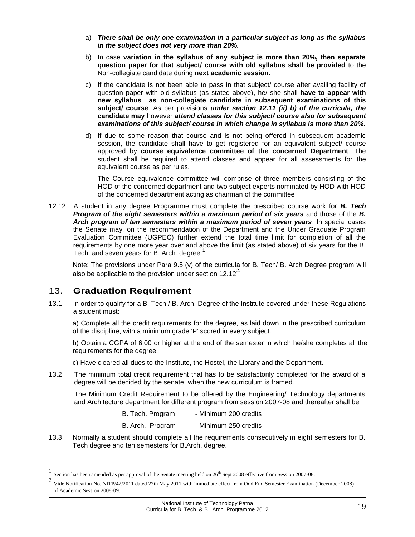- a) *There shall be only one examination in a particular subject as long as the syllabus in the subject does not very more than 20%.*
- b) In case **variation in the syllabus of any subject is more than 20%, then separate question paper for that subject/ course with old syllabus shall be provided** to the Non-collegiate candidate during **next academic session**.
- c) If the candidate is not been able to pass in that subject/ course after availing facility of question paper with old syllabus (as stated above), he/ she shall **have to appear with new syllabus as non-collegiate candidate in subsequent examinations of this subject/ course**. As per provisions *under section 12.11 (ii) b) of the curricula, the*  **candidate may** however *attend classes for this subject/ course also for subsequent examinations of this subject/ course in which change in syllabus is more than 20%.*
- d) If due to some reason that course and is not being offered in subsequent academic session, the candidate shall have to get registered for an equivalent subject/ course approved by **course equivalence committee of the concerned Department**. The student shall be required to attend classes and appear for all assessments for the equivalent course as per rules.

The Course equivalence committee will comprise of three members consisting of the HOD of the concerned department and two subject experts nominated by HOD with HOD of the concerned department acting as chairman of the committee

12.12 A student in any degree Programme must complete the prescribed course work for *B. Tech Program of the eight semesters within a maximum period of six years* and those of the *B. Arch program of ten semesters within a maximum period of seven years*. In special cases the Senate may, on the recommendation of the Department and the Under Graduate Program Evaluation Committee (UGPEC) further extend the total time limit for completion of all the requirements by one more year over and above the limit (as stated above) of six years for the B. Tech. and seven years for B. Arch. degree.<sup>1</sup>

Note: The provisions under Para 9.5 (v) of the curricula for B. Tech/ B. Arch Degree program will also be applicable to the provision under section  $12.12<sup>2</sup>$ .

#### <span id="page-18-0"></span>13. **Graduation Requirement**

 $\overline{a}$ 

13.1 In order to qualify for a B. Tech./ B. Arch. Degree of the Institute covered under these Regulations a student must:

a) Complete all the credit requirements for the degree, as laid down in the prescribed curriculum of the discipline, with a minimum grade 'P' scored in every subject.

b) Obtain a CGPA of 6.00 or higher at the end of the semester in which he/she completes all the requirements for the degree.

c) Have cleared all dues to the Institute, the Hostel, the Library and the Department.

13.2 The minimum total credit requirement that has to be satisfactorily completed for the award of a degree will be decided by the senate, when the new curriculum is framed.

The Minimum Credit Requirement to be offered by the Engineering/ Technology departments and Architecture department for different program from session 2007-08 and thereafter shall be

B. Tech. Program - Minimum 200 credits

B. Arch. Program - Minimum 250 credits

13.3 Normally a student should complete all the requirements consecutively in eight semesters for B. Tech degree and ten semesters for B.Arch. degree.

<sup>1</sup> Section has been amended as per approval of the Senate meeting held on 26<sup>th</sup> Sept 2008 effective from Session 2007-08.

<sup>2</sup> Vide Notification No. NITP/42/2011 dated 27th May 2011 with immediate effect from Odd End Semester Examination (December-2008) of Academic Session 2008-09.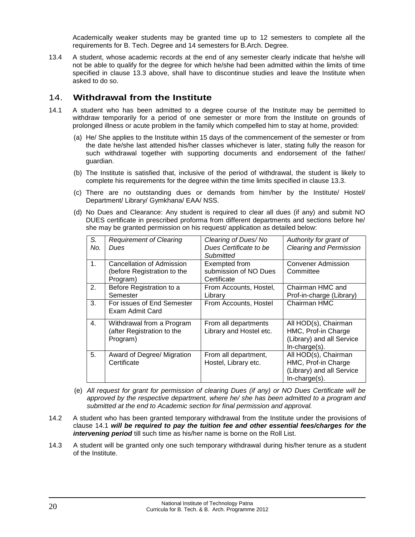Academically weaker students may be granted time up to 12 semesters to complete all the requirements for B. Tech. Degree and 14 semesters for B.Arch. Degree.

13.4 A student, whose academic records at the end of any semester clearly indicate that he/she will not be able to qualify for the degree for which he/she had been admitted within the limits of time specified in clause 13.3 above, shall have to discontinue studies and leave the Institute when asked to do so.

#### <span id="page-19-0"></span>14. **Withdrawal from the Institute**

- 14.1 A student who has been admitted to a degree course of the Institute may be permitted to withdraw temporarily for a period of one semester or more from the Institute on grounds of prolonged illness or acute problem in the family which compelled him to stay at home, provided:
	- (a) He/ She applies to the Institute within 15 days of the commencement of the semester or from the date he/she last attended his/her classes whichever is later, stating fully the reason for such withdrawal together with supporting documents and endorsement of the father/ guardian.
	- (b) The Institute is satisfied that, inclusive of the period of withdrawal, the student is likely to complete his requirements for the degree within the time limits specified in clause 13.3.
	- (c) There are no outstanding dues or demands from him/her by the Institute/ Hostel/ Department/ Library/ Gymkhana/ EAA/ NSS.
	- (d) No Dues and Clearance: Any student is required to clear all dues (if any) and submit NO DUES certificate in prescribed proforma from different departments and sections before he/ she may be granted permission on his request/ application as detailed below:

| S.<br>No. | <b>Requirement of Clearing</b><br>Dues                               | Clearing of Dues/No<br>Dues Certificate to be<br>Submitted | Authority for grant of<br><b>Clearing and Permission</b>                                     |
|-----------|----------------------------------------------------------------------|------------------------------------------------------------|----------------------------------------------------------------------------------------------|
| 1.        | Cancellation of Admission<br>(before Registration to the<br>Program) | Exempted from<br>submission of NO Dues<br>Certificate      | <b>Convener Admission</b><br>Committee                                                       |
| 2.        | Before Registration to a<br>Semester                                 | From Accounts, Hostel,<br>Librarv                          | Chairman HMC and<br>Prof-in-charge (Library)                                                 |
| 3.        | For issues of End Semester<br>Exam Admit Card                        | From Accounts, Hostel                                      | Chairman HMC                                                                                 |
| 4.        | Withdrawal from a Program<br>(after Registration to the<br>Program)  | From all departments<br>Library and Hostel etc.            | All HOD(s), Chairman<br>HMC, Prof-in Charge<br>(Library) and all Service<br>$In-charge(s)$ . |
| 5.        | Award of Degree/ Migration<br>Certificate                            | From all department,<br>Hostel, Library etc.               | All HOD(s), Chairman<br>HMC, Prof-in Charge<br>(Library) and all Service<br>In-charge(s).    |

- (e) *All request for grant for permission of clearing Dues (if any) or NO Dues Certificate will be approved by the respective department, where he/ she has been admitted to a program and submitted at the end to Academic section for final permission and approval.*
- 14.2 A student who has been granted temporary withdrawal from the Institute under the provisions of clause 14.1 *will be required to pay the tuition fee and other essential fees/charges for the intervening period* till such time as his/her name is borne on the Roll List.
- 14.3 A student will be granted only one such temporary withdrawal during his/her tenure as a student of the Institute.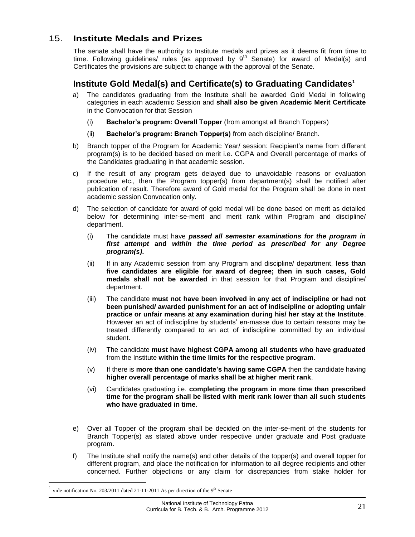#### <span id="page-20-0"></span>15. **Institute Medals and Prizes**

The senate shall have the authority to Institute medals and prizes as it deems fit from time to time. Following guidelines/ rules (as approved by  $9<sup>th</sup>$  Senate) for award of Medal(s) and Certificates the provisions are subject to change with the approval of the Senate.

#### <span id="page-20-1"></span>**Institute Gold Medal(s) and Certificate(s) to Graduating Candidates 1**

- a) The candidates graduating from the Institute shall be awarded Gold Medal in following categories in each academic Session and **shall also be given Academic Merit Certificate**  in the Convocation for that Session
	- (i) **Bachelor's program: Overall Topper** (from amongst all Branch Toppers)
	- (ii) **Bachelor's program: Branch Topper(s)** from each discipline/ Branch.
- b) Branch topper of the Program for Academic Year/ session: Recipient's name from different program(s) is to be decided based on merit i.e. CGPA and Overall percentage of marks of the Candidates graduating in that academic session.
- c) If the result of any program gets delayed due to unavoidable reasons or evaluation procedure etc., then the Program topper(s) from department(s) shall be notified after publication of result. Therefore award of Gold medal for the Program shall be done in next academic session Convocation only.
- d) The selection of candidate for award of gold medal will be done based on merit as detailed below for determining inter-se-merit and merit rank within Program and discipline/ department.
	- (i) The candidate must have *passed all semester examinations for the program in first attempt* **and** *within the time period as prescribed for any Degree program(s)***.**
	- (ii) If in any Academic session from any Program and discipline/ department, **less than five candidates are eligible for award of degree; then in such cases, Gold medals shall not be awarded** in that session for that Program and discipline/ department.
	- (iii) The candidate **must not have been involved in any act of indiscipline or had not been punished/ awarded punishment for an act of indiscipline or adopting unfair practice or unfair means at any examination during his/ her stay at the Institute**. However an act of indiscipline by students' en-masse due to certain reasons may be treated differently compared to an act of indiscipline committed by an individual student.
	- (iv) The candidate **must have highest CGPA among all students who have graduated** from the Institute **within the time limits for the respective program**.
	- (v) If there is **more than one candidate's having same CGPA** then the candidate having **higher overall percentage of marks shall be at higher merit rank**.
	- (vi) Candidates graduating i.e. **completing the program in more time than prescribed time for the program shall be listed with merit rank lower than all such students who have graduated in time**.
- e) Over all Topper of the program shall be decided on the inter-se-merit of the students for Branch Topper(s) as stated above under respective under graduate and Post graduate program.
- f) The Institute shall notify the name(s) and other details of the topper(s) and overall topper for different program, and place the notification for information to all degree recipients and other concerned. Further objections or any claim for discrepancies from stake holder for

<sup>1</sup> vide notification No. 203/2011 dated 21-11-2011 As per direction of the  $9<sup>th</sup>$  Senate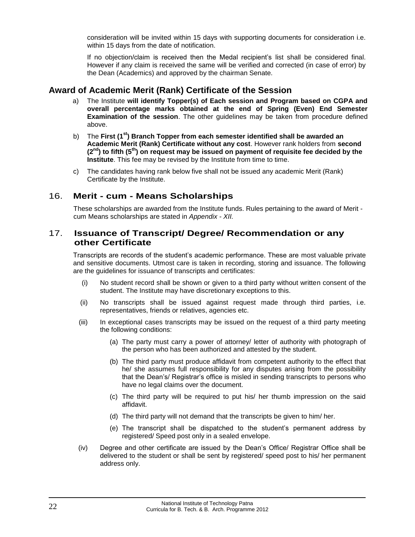consideration will be invited within 15 days with supporting documents for consideration i.e. within 15 days from the date of notification.

If no objection/claim is received then the Medal recipient's list shall be considered final. However if any claim is received the same will be verified and corrected (in case of error) by the Dean (Academics) and approved by the chairman Senate.

#### <span id="page-21-0"></span>**Award of Academic Merit (Rank) Certificate of the Session**

- a) The Institute **will identify Topper(s) of Each session and Program based on CGPA and overall percentage marks obtained at the end of Spring (Even) End Semester Examination of the session**. The other guidelines may be taken from procedure defined above.
- b) The **First (1st) Branch Topper from each semester identified shall be awarded an Academic Merit (Rank) Certificate without any cost**. However rank holders from **second (2nd) to fifth (5th) on request may be issued on payment of requisite fee decided by the Institute**. This fee may be revised by the Institute from time to time.
- c) The candidates having rank below five shall not be issued any academic Merit (Rank) Certificate by the Institute.

#### <span id="page-21-1"></span>16. **Merit - cum - Means Scholarships**

These scholarships are awarded from the Institute funds. Rules pertaining to the award of Merit cum Means scholarships are stated in *Appendix - XII.*

#### <span id="page-21-2"></span>17. **Issuance of Transcript/ Degree/ Recommendation or any other Certificate**

Transcripts are records of the student's academic performance. These are most valuable private and sensitive documents. Utmost care is taken in recording, storing and issuance. The following are the guidelines for issuance of transcripts and certificates:

- (i) No student record shall be shown or given to a third party without written consent of the student. The Institute may have discretionary exceptions to this.
- (ii) No transcripts shall be issued against request made through third parties, i.e. representatives, friends or relatives, agencies etc.
- (iii) In exceptional cases transcripts may be issued on the request of a third party meeting the following conditions:
	- (a) The party must carry a power of attorney/ letter of authority with photograph of the person who has been authorized and attested by the student.
	- (b) The third party must produce affidavit from competent authority to the effect that he/ she assumes full responsibility for any disputes arising from the possibility that the Dean's/ Registrar's office is misled in sending transcripts to persons who have no legal claims over the document.
	- (c) The third party will be required to put his/ her thumb impression on the said affidavit.
	- (d) The third party will not demand that the transcripts be given to him/ her.
	- (e) The transcript shall be dispatched to the student's permanent address by registered/ Speed post only in a sealed envelope.
- (iv) Degree and other certificate are issued by the Dean's Office/ Registrar Office shall be delivered to the student or shall be sent by registered/ speed post to his/ her permanent address only.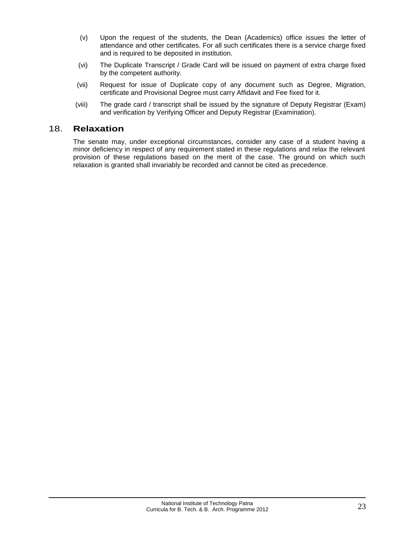- (v) Upon the request of the students, the Dean (Academics) office issues the letter of attendance and other certificates. For all such certificates there is a service charge fixed and is required to be deposited in institution.
- (vi) The Duplicate Transcript / Grade Card will be issued on payment of extra charge fixed by the competent authority.
- (vii) Request for issue of Duplicate copy of any document such as Degree, Migration, certificate and Provisional Degree must carry Affidavit and Fee fixed for it.
- (viii) The grade card / transcript shall be issued by the signature of Deputy Registrar (Exam) and verification by Verifying Officer and Deputy Registrar (Examination).

#### <span id="page-22-0"></span>18. **Relaxation**

The senate may, under exceptional circumstances, consider any case of a student having a minor deficiency in respect of any requirement stated in these regulations and relax the relevant provision of these regulations based on the merit of the case. The ground on which such relaxation is granted shall invariably be recorded and cannot be cited as precedence.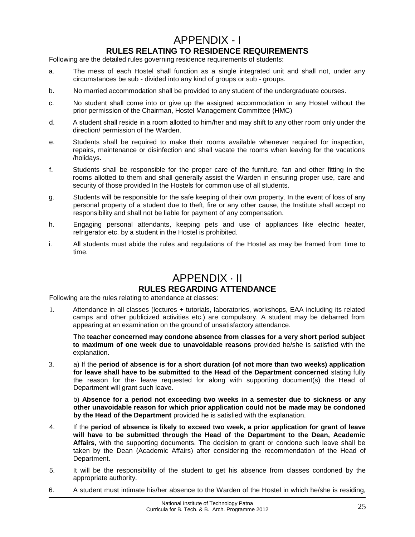## APPENDIX - I

#### **RULES RELATING TO RESIDENCE REQUIREMENTS**

<span id="page-24-1"></span><span id="page-24-0"></span>Following are the detailed rules governing residence requirements of students:

- a. The mess of each Hostel shall function as a single integrated unit and shall not, under any circumstances be sub - divided into any kind of groups or sub - groups.
- b. No married accommodation shall be provided to any student of the undergraduate courses.
- c. No student shall come into or give up the assigned accommodation in any Hostel without the prior permission of the Chairman, Hostel Management Committee (HMC)
- d. A student shall reside in a room allotted to him/her and may shift to any other room only under the direction/ permission of the Warden.
- e. Students shall be required to make their rooms available whenever required for inspection, repairs, maintenance or disinfection and shall vacate the rooms when leaving for the vacations /holidays.
- f. Students shall be responsible for the proper care of the furniture, fan and other fitting in the rooms allotted to them and shall generally assist the Warden in ensuring proper use, care and security of those provided In the Hostels for common use of all students.
- g. Students will be responsible for the safe keeping of their own property. In the event of loss of any personal property of a student due to theft, fire or any other cause, the Institute shall accept no responsibility and shall not be liable for payment of any compensation.
- h. Engaging personal attendants, keeping pets and use of appliances like electric heater, refrigerator etc. by a student in the Hostel is prohibited.
- i. All students must abide the rules and regulations of the Hostel as may be framed from time to time.

## APPENDIX · II

#### **RULES REGARDING ATTENDANCE**

<span id="page-24-3"></span><span id="page-24-2"></span>Following are the rules relating to attendance at classes:

1. Attendance in all classes (lectures + tutorials, laboratories, workshops, EAA including its related camps and other publicized activities etc.) are compulsory. A student may be debarred from appearing at an examination on the ground of unsatisfactory attendance.

The **teacher concerned may condone absence from classes for a very short period subject to maximum of one week due to unavoidable reasons** provided he/she is satisfied with the explanation.

3. a) If the **period of absence is for a short duration (of not more than two weeks) application for leave shall have to be submitted to the Head of the Department concerned** stating fully the reason for the· leave requested for along with supporting document(s) the Head of Department will grant such leave.

b) **Absence for a period not exceeding two weeks in a semester due to sickness or any other unavoidable reason for which prior application could not be made may be condoned by the Head of the Department** provided he is satisfied with the explanation.

- 4. If the **period of absence is likely to exceed two week, a prior application for grant of leave will have to be submitted through the Head of the Department to the Dean, Academic Affairs**, with the supporting documents. The decision to grant or condone such leave shall be taken by the Dean (Academic Affairs) after considering the recommendation of the Head of Department.
- 5. It will be the responsibility of the student to get his absence from classes condoned by the appropriate authority.
- 6. A student must intimate his/her absence to the Warden of the Hostel in which he/she is residing,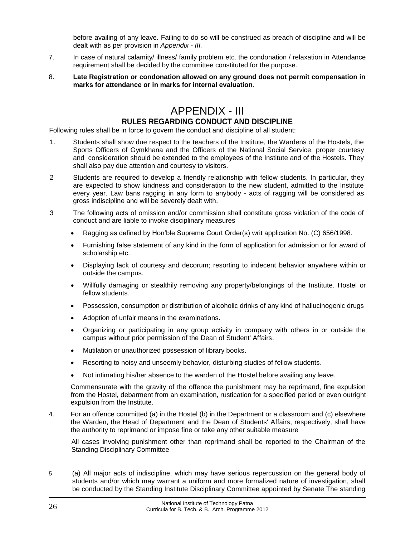before availing of any leave. Failing to do so will be construed as breach of discipline and will be dealt with as per provision in *Appendix - III.*

- 7. In case of natural calamity/ illness/ family problem etc. the condonation / relaxation in Attendance requirement shall be decided by the committee constituted for the purpose.
- 8. **Late Registration or condonation allowed on any ground does not permit compensation in marks for attendance or in marks for internal evaluation**.

## APPENDIX - III **RULES REGARDING CONDUCT AND DISCIPLINE**

<span id="page-25-1"></span><span id="page-25-0"></span>Following rules shall be in force to govern the conduct and discipline of all student:

- 1. Students shall show due respect to the teachers of the Institute, the Wardens of the Hostels, the Sports Officers of Gymkhana and the Officers of the National Social Service; proper courtesy and consideration should be extended to the employees of the Institute and of the Hostels. They shall also pay due attention and courtesy to visitors.
- 2 Students are required to develop a friendly relationship with fellow students. In particular, they are expected to show kindness and consideration to the new student, admitted to the Institute every year. Law bans ragging in any form to anybody - acts of ragging will be considered as gross indiscipline and will be severely dealt with.
- 3 The following acts of omission and/or commission shall constitute gross violation of the code of conduct and are liable to invoke disciplinary measures
	- Ragging as defined by Hon'ble Supreme Court Order(s) writ application No. (C) 656/1998.
	- Furnishing false statement of any kind in the form of application for admission or for award of scholarship etc.
	- Displaying lack of courtesy and decorum; resorting to indecent behavior anywhere within or outside the campus.
	- Willfully damaging or stealthily removing any property/belongings of the Institute. Hostel or fellow students.
	- Possession, consumption or distribution of alcoholic drinks of any kind of hallucinogenic drugs
	- Adoption of unfair means in the examinations.
	- Organizing or participating in any group activity in company with others in or outside the campus without prior permission of the Dean of Student' Affairs.
	- Mutilation or unauthorized possession of library books.
	- Resorting to noisy and unseemly behavior, disturbing studies of fellow students.
	- Not intimating his/her absence to the warden of the Hostel before availing any leave.

Commensurate with the gravity of the offence the punishment may be reprimand, fine expulsion from the Hostel, debarment from an examination, rustication for a specified period or even outright expulsion from the Institute.

4. For an offence committed (a) in the Hostel (b) in the Department or a classroom and (c) elsewhere the Warden, the Head of Department and the Dean of Students' Affairs, respectively, shall have the authority to reprimand or impose fine or take any other suitable measure

All cases involving punishment other than reprimand shall be reported to the Chairman of the Standing Disciplinary Committee

5 (a) All major acts of indiscipline, which may have serious repercussion on the general body of students and/or which may warrant a uniform and more formalized nature of investigation, shall be conducted by the Standing Institute Disciplinary Committee appointed by Senate The standing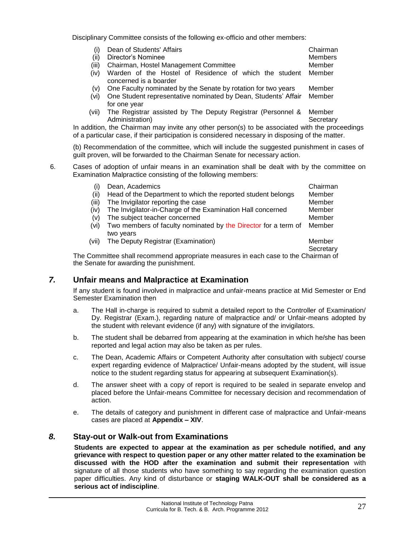Disciplinary Committee consists of the following ex-officio and other members:

| Dean of Students' Affairs                   | Chairman |
|---------------------------------------------|----------|
| (ii) Director's Nominee                     | Members  |
| (iii) Chairman, Hostel Management Committee | Member   |

- (iv) Warden of the Hostel of Residence of which the student Member concerned is a boarder
- (v) One Faculty nominated by the Senate by rotation for two years Member
- (vi) One Student representative nominated by Dean, Students' Affair for one year Member
- (vii) The Registrar assisted by The Deputy Registrar (Personnel & Administration) Member **Secretary**

In addition, the Chairman may invite any other person(s) to be associated with the proceedings of a particular case, if their participation is considered necessary in disposing of the matter.

(b) Recommendation of the committee, which will include the suggested punishment in cases of guilt proven, will be forwarded to the Chairman Senate for necessary action.

6. Cases of adoption of unfair means in an examination shall be dealt with by the committee on Examination Malpractice consisting of the following members:

| $\left( 1\right)$ | Dean, Academics                                                                | Chairman  |
|-------------------|--------------------------------------------------------------------------------|-----------|
| (ii)              | Head of the Department to which the reported student belongs                   | Member    |
| (iii)             | The Invigilator reporting the case                                             | Member    |
| (iv)              | The Invigilator-in-Charge of the Examination Hall concerned                    | Member    |
| (v)               | The subject teacher concerned                                                  | Member    |
| (vi)              | Two members of faculty nominated by the Director for a term of                 | Member    |
|                   | two years                                                                      |           |
| (vii)             | The Deputy Registrar (Examination)                                             | Member    |
|                   |                                                                                | Secretary |
|                   | Committee shall recommend appropriate measures in each case to the Chairman of |           |

The Committee shall recommend appropriate measures in each case to the Chairman the Senate for awarding the punishment.

#### <span id="page-26-0"></span>*7.* **Unfair means and Malpractice at Examination**

If any student is found involved in malpractice and unfair-means practice at Mid Semester or End Semester Examination then

- a. The Hall in-charge is required to submit a detailed report to the Controller of Examination/ Dy. Registrar (Exam.), regarding nature of malpractice and/ or Unfair-means adopted by the student with relevant evidence (if any) with signature of the invigilators.
- b. The student shall be debarred from appearing at the examination in which he/she has been reported and legal action may also be taken as per rules.
- c. The Dean, Academic Affairs or Competent Authority after consultation with subject/ course expert regarding evidence of Malpractice/ Unfair-means adopted by the student, will issue notice to the student regarding status for appearing at subsequent Examination(s).
- d. The answer sheet with a copy of report is required to be sealed in separate envelop and placed before the Unfair-means Committee for necessary decision and recommendation of action.
- e. The details of category and punishment in different case of malpractice and Unfair-means cases are placed at **Appendix – XIV**.

#### <span id="page-26-1"></span>*8.* **Stay-out or Walk-out from Examinations**

**Students are expected to appear at the examination as per schedule notified, and any grievance with respect to question paper or any other matter related to the examination be discussed with the HOD after the examination and submit their representation** with signature of all those students who have something to say regarding the examination question paper difficulties. Any kind of disturbance or **staging WALK-OUT shall be considered as a serious act of indiscipline**.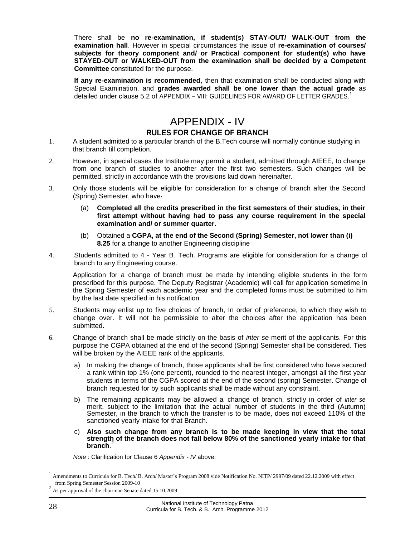There shall be **no re-examination, if student(s) STAY-OUT/ WALK-OUT from the examination hall**. However in special circumstances the issue of **re-examination of courses/ subjects for theory component and/ or Practical component for student(s) who have STAYED-OUT or WALKED-OUT from the examination shall be decided by a Competent Committee** constituted for the purpose.

**If any re-examination is recommended**, then that examination shall be conducted along with Special Examination, and **grades awarded shall be one lower than the actual grade** as detailed under clause 5.2 of APPENDIX – VIII: GUIDELINES FOR AWARD OF LETTER GRADES.<sup>1</sup>

## APPENDIX - IV **RULES FOR CHANGE OF BRANCH**

- <span id="page-27-1"></span><span id="page-27-0"></span>1. A student admitted to a particular branch of the B.Tech course will normally continue studying in that branch till completion.
- 2. However, in special cases the Institute may permit a student, admitted through AIEEE, to change from one branch of studies to another after the first two semesters. Such changes will be permitted, strictly in accordance with the provisions laid down hereinafter.
- 3. Only those students will be eligible for consideration for a change of branch after the Second (Spring) Semester, who have·
	- (a) **Completed all the credits prescribed in the first semesters of their studies, in their first attempt without having had to pass any course requirement in the special examination and/ or summer quarter**.
	- (b) Obtained a **CGPA, at the end of the Second (Spring) Semester, not lower than (i) 8.25** for a change to another Engineering discipline
- 4. Students admitted to 4 Year B. Tech. Programs are eligible for consideration for a change of branch to any Engineering course.

Application for a change of branch must be made by intending eligible students in the form prescribed for this purpose. The Deputy Registrar (Academic) will call for application sometime in the Spring Semester of each academic year and the completed forms must be submitted to him by the last date specified in his notification.

- 5. Students may enlist up to five choices of branch, In order of preference, to which they wish to change over. It will not be permissible to alter the choices after the application has been submitted.
- 6. Change of branch shall be made strictly on the basis of *inter se* merit of the applicants. For this purpose the CGPA obtained at the end of the second (Spring) Semester shall be considered. Ties will be broken by the AIEEE rank of the applicants.
	- a) In making the change of branch, those applicants shall be first considered who have secured a rank within top 1% (one percent), rounded to the nearest integer, amongst all the first year students in terms of the CGPA scored at the end of the second (spring) Semester. Change of branch requested for by such applicants shall be made without any constraint.
	- b) The remaining applicants may be allowed a change of branch, strictly in order of *inter se*  merit, subject to the limitation that the actual number of students in the third (Autumn) Semester, in the branch to which the transfer is to be made, does not exceed 110% of the sanctioned yearly intake for that Branch.
	- c) **Also such change from any branch is to be made keeping in view that the total strength of the branch does not fall below 80% of the sanctioned yearly intake for that branch**. 2

*Note* : Clarification for Clause 6 *Appendix - IV* above:

<sup>1</sup> Amendments to Curricula for B. Tech/ B. Arch/ Master's Program 2008 vide Notification No. NITP/ 2997/09 dated 22.12.2009 with effect from Spring Semester Session 2009-10

<sup>&</sup>lt;sup>2</sup> As per approval of the chairman Senate dated 15.10.2009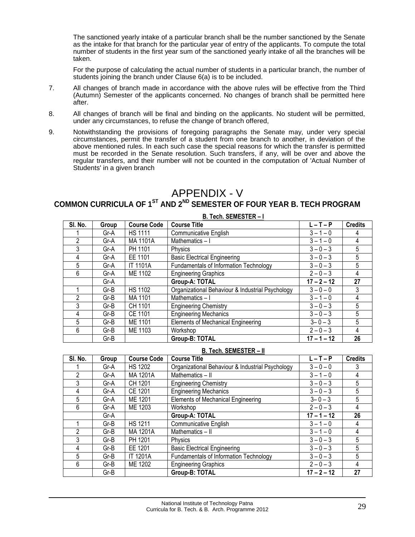The sanctioned yearly intake of a particular branch shall be the number sanctioned by the Senate as the intake for that branch for the particular year of entry of the applicants. To compute the total number of students in the first year sum of the sanctioned yearly intake of all the branches will be taken.

For the purpose of calculating the actual number of students in a particular branch, the number of students joining the branch under Clause 6(a) is to be included.

- 7. All changes of branch made in accordance with the above rules will be effective from the Third (Autumn) Semester of the applicants concerned. No changes of branch shall be permitted here after.
- 8. All changes of branch will be final and binding on the applicants. No student will be permitted, under any circumstances, to refuse the change of branch offered,
- 9. Notwithstanding the provisions of foregoing paragraphs the Senate may, under very special circumstances, permit the transfer of a student from one branch to another, in deviation of the above mentioned rules. In each such case the special reasons for which the transfer is permitted must be recorded in the Senate resolution. Such transfers, if any, will be over and above the regular transfers, and their number will not be counted in the computation of 'Actual Number of Students' in a given branch

## APPENDIX - V

## <span id="page-28-1"></span><span id="page-28-0"></span>**COMMON CURRICULA OF 1ST AND 2ND SEMESTER OF FOUR YEAR B. TECH PROGRAM**

| <b>B. Tech. SEMESTER-I</b> |        |                    |                                                  |               |                |
|----------------------------|--------|--------------------|--------------------------------------------------|---------------|----------------|
| SI. No.                    | Group  | <b>Course Code</b> | <b>Course Title</b>                              | $L - T - P$   | <b>Credits</b> |
|                            | Gr-A   | <b>HS 1111</b>     | <b>Communicative English</b>                     | $3 - 1 - 0$   | 4              |
| 2                          | Gr-A   | MA 1101A           | Mathematics-I                                    | $3 - 1 - 0$   | 4              |
| 3                          | Gr-A   | PH 1101            | Physics                                          | $3 - 0 - 3$   | 5              |
| 4                          | Gr-A   | EE 1101            | <b>Basic Electrical Engineering</b>              | $3 - 0 - 3$   | 5              |
| 5                          | Gr-A   | <b>IT 1101A</b>    | Fundamentals of Information Technology           | $3 - 0 - 3$   | 5              |
| 6                          | Gr-A   | ME 1102            | <b>Engineering Graphics</b>                      | $2 - 0 - 3$   | 4              |
|                            | Gr-A   |                    | <b>Group-A: TOTAL</b>                            | $17 - 2 - 12$ | 27             |
|                            | Gr-B   | <b>HS 1102</b>     | Organizational Behaviour & Industrial Psychology | $3 - 0 - 0$   | 3              |
| $\overline{2}$             | Gr-B   | MA 1101            | Mathematics-I                                    | $3 - 1 - 0$   | 4              |
| 3                          | $Gr-B$ | CH 1101            | <b>Engineering Chemistry</b>                     | $3 - 0 - 3$   | 5              |
| 4                          | Gr-B   | <b>CE 1101</b>     | <b>Engineering Mechanics</b>                     | $3 - 0 - 3$   | 5              |
| 5                          | Gr-B   | ME 1101            | <b>Elements of Mechanical Engineering</b>        | $3 - 0 - 3$   | 5              |
| 6                          | Gr-B   | ME 1103            | Workshop                                         | $2 - 0 - 3$   | 4              |
|                            | $Gr-B$ |                    | <b>Group-B: TOTAL</b>                            | $17 - 1 - 12$ | 26             |

#### **B. Tech. SEMESTER – II**

| SI. No. | Group  | <b>Course Code</b> | <b>Course Title</b>                              | $L - T - P$   | <b>Credits</b> |
|---------|--------|--------------------|--------------------------------------------------|---------------|----------------|
|         | Gr-A   | <b>HS 1202</b>     | Organizational Behaviour & Industrial Psychology | $3 - 0 - 0$   |                |
| 2       | Gr-A   | MA 1201A           | Mathematics - II                                 | $3 - 1 - 0$   | 4              |
| 3       | Gr-A   | CH 1201            | <b>Engineering Chemistry</b>                     | $3 - 0 - 3$   | 5              |
| 4       | Gr-A   | CE 1201            | Engineering Mechanics                            | $3 - 0 - 3$   | 5              |
| 5       | Gr-A   | ME 1201            | Elements of Mechanical Engineering               | $3 - 0 - 3$   | 5              |
| 6       | Gr-A   | ME 1203            | Workshop                                         | $2 - 0 - 3$   | 4              |
|         | Gr-A   |                    | Group-A: TOTAL                                   | $17 - 1 - 12$ | 26             |
|         | Gr-B   | <b>HS 1211</b>     | Communicative English                            | $3 - 1 - 0$   | 4              |
| 2       | Gr-B   | MA 1201A           | Mathematics - II                                 | $3 - 1 - 0$   | 4              |
| 3       | Gr-B   | PH 1201            | Physics                                          | $3 - 0 - 3$   | 5              |
| 4       | $Gr-B$ | EE 1201            | <b>Basic Electrical Engineering</b>              | $3 - 0 - 3$   | 5              |
| 5       | Gr-B   | <b>IT 1201A</b>    | Fundamentals of Information Technology           | $3 - 0 - 3$   | 5              |
| 6       | Gr-B   | ME 1202            | <b>Engineering Graphics</b>                      | $2 - 0 - 3$   | 4              |
|         | Gr-B   |                    | Group-B: TOTAL                                   | $17 - 2 - 12$ | 27             |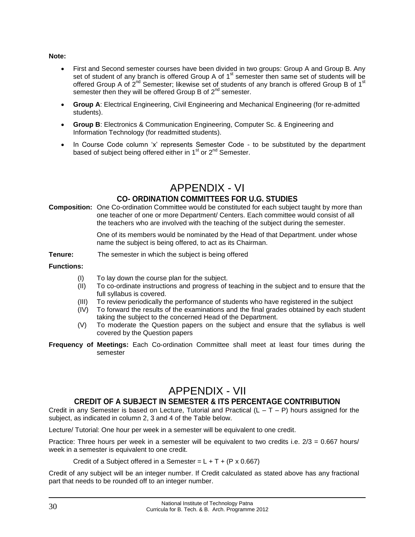#### **Note:**

- First and Second semester courses have been divided in two groups: Group A and Group B. Any set of student of any branch is offered Group A of  $1<sup>st</sup>$  semester then same set of students will be offered Group A of 2<sup>nd</sup> Semester; likewise set of students of any branch is offered Group B of 1<sup>st</sup> semester then they will be offered Group B of  $2^{nd}$  semester.
- **Group A**: Electrical Engineering, Civil Engineering and Mechanical Engineering (for re-admitted students).
- **Group B**: Electronics & Communication Engineering, Computer Sc. & Engineering and Information Technology (for readmitted students).
- In Course Code column 'x' represents Semester Code to be substituted by the department based of subject being offered either in  $1<sup>st</sup>$  or  $2<sup>nd</sup>$  Semester.

## APPENDIX - VI

#### **CO- ORDINATION COMMITTEES FOR U.G. STUDIES**

<span id="page-29-1"></span><span id="page-29-0"></span>**Composition:** One Co-ordination Committee would be constituted for each subject taught by more than one teacher of one or more Department/ Centers. Each committee would consist of all the teachers who are involved with the teaching of the subject during the semester.

> One of its members would be nominated by the Head of that Department. under whose name the subject is being offered, to act as its Chairman.

**Tenure:** The semester in which the subject is being offered

#### **Functions:**

- To lay down the course plan for the subject.
- (II) To co-ordinate instructions and progress of teaching in the subject and to ensure that the full syllabus is covered.
- (III) To review periodically the performance of students who have registered in the subject
- (IV) To forward the results of the examinations and the final grades obtained by each student taking the subject to the concerned Head of the Department.
- (V) To moderate the Question papers on the subject and ensure that the syllabus is well covered by the Question papers
- **Frequency of Meetings:** Each Co-ordination Committee shall meet at least four times during the semester

## APPENDIX - VII

#### **CREDIT OF A SUBJECT IN SEMESTER & ITS PERCENTAGE CONTRIBUTION**

<span id="page-29-3"></span><span id="page-29-2"></span>Credit in any Semester is based on Lecture, Tutorial and Practical  $(L - T - P)$  hours assigned for the subject, as indicated in column 2, 3 and 4 of the Table below.

Lecture/ Tutorial: One hour per week in a semester will be equivalent to one credit.

Practice: Three hours per week in a semester will be equivalent to two credits i.e. 2/3 = 0.667 hours/ week in a semester is equivalent to one credit.

Credit of a Subject offered in a Semester =  $L + T + (P \times 0.667)$ 

Credit of any subject will be an integer number. If Credit calculated as stated above has any fractional part that needs to be rounded off to an integer number.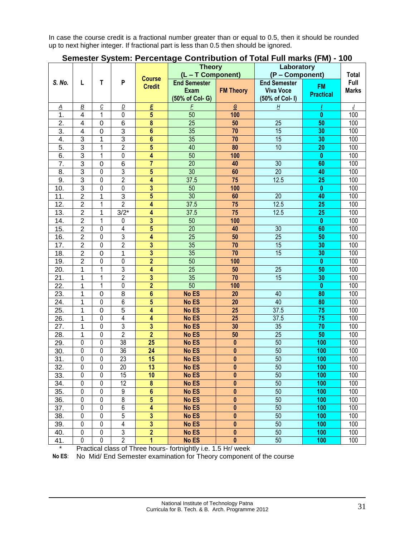In case the course credit is a fractional number greater than or equal to 0.5, then it should be rounded up to next higher integer. If fractional part is less than 0.5 then should be ignored.

| Semester System: Percentage Contribution of Total Full marks (FM) - 100 |
|-------------------------------------------------------------------------|
|-------------------------------------------------------------------------|

|                         |                 | <b>Course</b>                 |                  | <b>Theory</b><br>(L - T Component) |                                                       | Laboratory<br>(P - Component) |                                                            | Total                         |                      |
|-------------------------|-----------------|-------------------------------|------------------|------------------------------------|-------------------------------------------------------|-------------------------------|------------------------------------------------------------|-------------------------------|----------------------|
| S. No.                  | L               | T                             | P                | <b>Credit</b>                      | <b>End Semester</b><br><b>Exam</b><br>(50% of Col- G) | <b>FM Theory</b>              | <b>End Semester</b><br><b>Viva Voce</b><br>(50% of Col- I) | <b>FM</b><br><b>Practical</b> | Full<br><b>Marks</b> |
| $\overline{\mathsf{A}}$ | $\underline{B}$ | $\overline{C}$                | D                | E                                  | E                                                     | $\mathbf G$                   | <u>Н</u>                                                   |                               |                      |
| 1.                      | 4               | 1                             | 0                | $\overline{5}$                     | 50                                                    | 100                           |                                                            | $\bf{0}$                      | 100                  |
| $\overline{2}$ .        | 4               | $\mathbf 0$                   | 6                | $\overline{\mathbf{8}}$            | $\overline{25}$                                       | 50                            | $\overline{25}$                                            | 50                            | 100                  |
| $\overline{3}$ .        | $\overline{4}$  | $\overline{0}$                | $\overline{3}$   | $\overline{\mathbf{6}}$            | 35                                                    | 70                            | 15                                                         | 30                            | 100                  |
| $\overline{4}$ .        | 3               | 1                             | $\overline{3}$   | $\overline{\mathbf{6}}$            | 35                                                    | 70                            | 15                                                         | 30                            | 100                  |
| $\overline{5}$ .        | 3               | 1                             | $\overline{2}$   | $\overline{\mathbf{5}}$            | 40                                                    | 80                            | 10                                                         | 20                            | 100                  |
| 6.                      | 3               | $\mathbf{1}$                  | 0                | $\overline{\mathbf{4}}$            | 50                                                    | 100                           |                                                            | $\bf{0}$                      | 100                  |
| 7.                      | 3               | $\mathbf 0$                   | $6\phantom{1}6$  | $\overline{7}$                     | $\overline{20}$                                       | 40                            | $\overline{30}$                                            | 60                            | 100                  |
| 8.                      | 3               | $\mathbf 0$                   | 3                | $\overline{5}$                     | 30                                                    | 60                            | $\overline{20}$                                            | 40                            | 100                  |
| 9.                      | 3               | $\mathbf 0$                   | $\overline{2}$   | $\overline{\mathbf{4}}$            | 37.5                                                  | 75                            | 12.5                                                       | 25                            | 100                  |
| 10.                     | $\overline{3}$  | $\mathbf 0$                   | 0                | $\overline{3}$                     | 50                                                    | 100                           |                                                            | $\bf{0}$                      | 100                  |
| 11.                     | $\overline{2}$  | 1                             | $\overline{3}$   | $\overline{5}$                     | 30                                                    | 60                            | $\overline{20}$                                            | 40                            | 100                  |
| 12.                     | $\overline{2}$  | 1                             | $\overline{2}$   | $\overline{\mathbf{4}}$            | 37.5                                                  | 75                            | 12.5                                                       | 25                            | 100                  |
| 13.                     | $\overline{2}$  | 1                             | $3/2*$           | 4                                  | 37.5                                                  | 75                            | 12.5                                                       | 25                            | 100                  |
| 14.                     | $\overline{2}$  | 1                             | 0                | $\overline{3}$                     | 50                                                    | 100                           |                                                            | $\bf{0}$                      | 100                  |
| 15.                     | $\overline{2}$  | $\mathbf 0$                   | 4                | $\overline{5}$                     | $\overline{20}$                                       | 40                            | $\overline{30}$                                            | 60                            | 100                  |
| 16.                     | $\overline{2}$  | $\mathbf{0}$                  | 3                | $\overline{4}$                     | $\overline{25}$                                       | 50                            | $\overline{25}$                                            | 50                            | 100                  |
| 17.                     | $\overline{2}$  | $\mathbf 0$                   | $\overline{2}$   | $\overline{\mathbf{3}}$            | 35                                                    | 70                            | 15                                                         | 30                            | 100                  |
| 18.                     | $\overline{2}$  | $\mathbf 0$                   | 1                | $\overline{\mathbf{3}}$            | 35                                                    | $\overline{70}$               | $\overline{15}$                                            | 30                            | 100                  |
| 19.                     | $\overline{c}$  | $\mathbf{0}$                  | 0                | $\overline{\mathbf{2}}$            | 50                                                    | 100                           |                                                            | $\bf{0}$                      | 100                  |
| 20.                     | 1               | 1                             | 3                | $\overline{\mathbf{4}}$            | $\overline{25}$                                       | 50                            | $\overline{25}$                                            | 50                            | 100                  |
| 21.                     | 1               | $\overline{1}$                | $\overline{2}$   | $\overline{\mathbf{3}}$            | 35                                                    | $\overline{70}$               | $\overline{15}$                                            | 30                            | 100                  |
| 22.                     | 1               | 1                             | 0                | $\overline{\mathbf{2}}$            | 50                                                    | 100                           |                                                            | $\bf{0}$                      | 100                  |
| 23.                     | 1               | $\mathbf 0$                   | 8                | $\overline{\mathbf{6}}$            | No ES                                                 | 20                            | 40                                                         | 80                            | 100                  |
| 24.                     | 1               | $\mathbf{0}$                  | $\overline{6}$   | $\overline{5}$                     | No ES                                                 | 20                            | 40                                                         | 80                            | 100                  |
| 25.                     | 1               | $\mathbf 0$                   | $\overline{5}$   | $\overline{\mathbf{4}}$            | No ES                                                 | 25                            | 37.5                                                       | 75                            | 100                  |
| 26.                     | 1               | $\mathbf{0}$                  | 4                | 4                                  | No ES                                                 | 25                            | 37.5                                                       | 75                            | 100                  |
| 27.                     | 1               | $\mathbf{0}$                  | 3                | $\overline{\mathbf{3}}$            | No ES                                                 | 30                            | 35                                                         | 70                            | 100                  |
| 28.                     | 1               | $\mathbf{0}$                  | $\overline{2}$   | $\overline{2}$                     | No ES                                                 | 50                            | $\overline{25}$                                            | 50                            | 100                  |
| 29.                     | $\mathbf 0$     | $\mathbf{0}$                  | 38<br>36         | $\overline{25}$                    | No ES                                                 | $\bf{0}$                      | $\overline{50}$                                            | 100                           | 100                  |
| 30.                     | 0               | $\mathbf{0}$                  |                  | 24                                 | No ES                                                 | $\bf{0}$                      | $\overline{50}$                                            | 100                           | 100                  |
| 31.                     | 0               | 0                             | $\overline{23}$  | 15                                 | No ES<br>No ES                                        | $\bf{0}$                      | $\overline{50}$<br>50                                      | 100                           | 100                  |
| 32.                     | $\overline{0}$  | $\overline{0}$<br>$\mathbf 0$ | 20               | 13                                 |                                                       | $\overline{\mathbf{0}}$       |                                                            | 100                           | 100                  |
| 33.                     | 0               |                               | 15               | 10                                 | No ES                                                 | $\bf{0}$                      | 50                                                         | 100                           | 100                  |
| 34.                     | 0               | 0                             | $\overline{12}$  | $\pmb{8}$                          | No ES                                                 | $\pmb{0}$                     | 50                                                         | 100                           | 100                  |
| 35.                     | 0               | 0                             | $\boldsymbol{9}$ | $6\phantom{a}$                     | No ES                                                 | $\pmb{0}$                     | 50                                                         | 100                           | 100                  |
| 36.                     | 0               | $\mathbf 0$                   | $\overline{8}$   | $\overline{\mathbf{5}}$            | No ES                                                 | $\pmb{0}$                     | 50                                                         | 100                           | 100                  |
| 37.                     | 0               | $\mathbf 0$                   | $\overline{6}$   | $\overline{4}$                     | No ES                                                 | $\pmb{0}$                     | 50                                                         | 100                           | 100                  |
| 38.                     | 0               | $\mathbf 0$                   | 5                | $\overline{\mathbf{3}}$            | No ES                                                 | $\pmb{0}$                     | 50                                                         | 100                           | 100                  |
| 39.                     | 0               | $\mathbf 0$                   | 4                | $\overline{\mathbf{3}}$            | No ES                                                 | $\pmb{0}$                     | 50                                                         | 100                           | 100                  |
| 40.                     | 0               | $\mathbf 0$                   | 3                | $\overline{2}$                     | No ES                                                 | $\pmb{0}$                     | 50                                                         | 100                           | 100                  |
| 41.                     | 0               | $\pmb{0}$                     | $\overline{2}$   | $\overline{\mathbf{1}}$            | No ES                                                 | $\pmb{0}$                     | 50                                                         | 100                           | 100                  |

Practical class of Three hours- fortnightly i.e. 1.5 Hr/ week

**No ES**: No Mid/ End Semester examination for Theory component of the course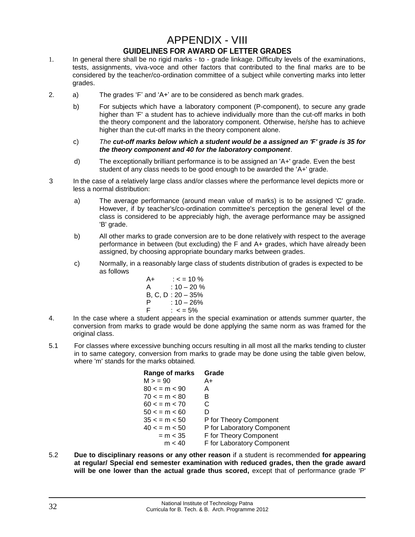## APPENDIX - VIII **GUIDELINES FOR AWARD OF LETTER GRADES**

- <span id="page-31-1"></span><span id="page-31-0"></span>1. In general there shall be no rigid marks - to - grade linkage. Difficulty levels of the examinations, tests, assignments, viva-voce and other factors that contributed to the final marks are to be considered by the teacher/co-ordination committee of a subject while converting marks into letter grades.
- 2. a) The grades 'F' and 'A+' are to be considered as bench mark grades.
	- b) For subjects which have a laboratory component (P-component), to secure any grade higher than 'F' a student has to achieve individually more than the cut-off marks in both the theory component and the laboratory component. Otherwise, he/she has to achieve higher than the cut-off marks in the theory component alone.
	- c) *The cut-off marks below which a student would be a assigned an 'F' grade is 35 for the theory component and 40 for the laboratory component*.
	- d) The exceptionally brilliant performance is to be assigned an 'A+' grade. Even the best student of any class needs to be good enough to be awarded the 'A+' grade.
- 3 In the case of a relatively large class and/or classes where the performance level depicts more or less a normal distribution:
	- a) The average performance (around mean value of marks) is to be assigned 'C' grade. However, if by teacher's/co-ordination committee's perception the general level of the class is considered to be appreciably high, the average performance may be assigned 'B' grade.
	- b) All other marks to grade conversion are to be done relatively with respect to the average performance in between (but excluding) the F and A+ grades, which have already been assigned, by choosing appropriate boundary marks between grades.
	- c) Normally, in a reasonably large class of students distribution of grades is expected to be as follows

| A+      | $: < = 10\%$  |
|---------|---------------|
| A       | $: 10 - 20\%$ |
| B, C, D | $: 20 - 35\%$ |
| P       | $: 10 - 26\%$ |
| F       | $: < = 5\%$   |

- 4. In the case where a student appears in the special examination or attends summer quarter, the conversion from marks to grade would be done applying the same norm as was framed for the original class.
- 5.1 For classes where excessive bunching occurs resulting in all most all the marks tending to cluster in to same category, conversion from marks to grade may be done using the table given below, where 'm' stands for the marks obtained*.*

| Range of marks     | Grade                      |
|--------------------|----------------------------|
| M > 90             | A+                         |
| $80 < \, = m < 90$ | A                          |
| 70 < p m < 80      | в                          |
| 60 < p m < 70      | C                          |
| 50 < p m < 60      | D                          |
| 35 < m < 50        | P for Theory Component     |
| $40 < \, = m < 50$ | P for Laboratory Component |
| $= m < 35$         | F for Theory Component     |
| m < 40             | F for Laboratory Component |

5.2 **Due to disciplinary reasons or any other reason** if a student is recommended **for appearing at regular/ Special end semester examination with reduced grades, then the grade award will be one lower than the actual grade thus scored,** except that of performance grade 'P'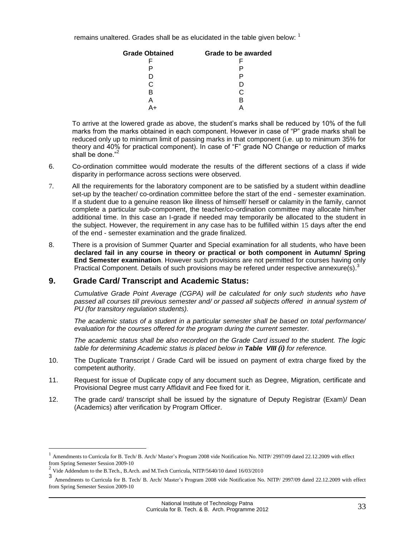remains unaltered. Grades shall be as elucidated in the table given below:  $1$ 

| <b>Grade Obtained</b> | Grade to be awarded |
|-----------------------|---------------------|
|                       |                     |
|                       |                     |
| נ ו                   |                     |
| C                     |                     |
| в                     | C                   |
|                       | к                   |
|                       |                     |

To arrive at the lowered grade as above, the student's marks shall be reduced by 10% of the full marks from the marks obtained in each component. However in case of "P" grade marks shall be reduced only up to minimum limit of passing marks in that component (i.e. up to minimum 35% for theory and 40% for practical component). In case of "F" grade NO Change or reduction of marks shall be done."<sup>2</sup>

- 6. Co-ordination committee would moderate the results of the different sections of a class if wide disparity in performance across sections were observed.
- 7. All the requirements for the laboratory component are to be satisfied by a student within deadline set-up by the teacher/ co-ordination committee before the start of the end - semester examination. If a student due to a genuine reason like illness of himself/ herself or calamity in the family, cannot complete a particular sub-component, the teacher/co-ordination committee may allocate him/her additional time. In this case an I-grade if needed may temporarily be allocated to the student in the subject. However, the requirement in any case has to be fulfilled within 15 days after the end of the end - semester examination and the grade finalized.
- 8. There is a provision of Summer Quarter and Special examination for all students, who have been **declared fail in any course in theory or practical or both component in Autumn/ Spring End Semester examination**. However such provisions are not permitted for courses having only Practical Component. Details of such provisions may be refered under respective annexure(s).<sup>3</sup>

#### **9. Grade Card/ Transcript and Academic Status:**

*Cumulative Grade Point Average (CGPA) will be calculated for only such students who have*  passed all courses till previous semester and/ or passed all subjects offered in annual system of *PU (for transitory regulation students).* 

*The academic status of a student in a particular semester shall be based on total performance/ evaluation for the courses offered for the program during the current semester.*

*The academic status shall be also recorded on the Grade Card issued to the student. The logic table for determining Academic status is placed below in Table VIII (i) for reference.*

- 10. The Duplicate Transcript / Grade Card will be issued on payment of extra charge fixed by the competent authority.
- 11. Request for issue of Duplicate copy of any document such as Degree, Migration, certificate and Provisional Degree must carry Affidavit and Fee fixed for it.
- 12. The grade card/ transcript shall be issued by the signature of Deputy Registrar (Exam)/ Dean (Academics) after verification by Program Officer.

<sup>1</sup> Amendments to Curricula for B. Tech/ B. Arch/ Master's Program 2008 vide Notification No. NITP/ 2997/09 dated 22.12.2009 with effect from Spring Semester Session 2009-10

<sup>2</sup> Vide Addendum to the B.Tech., B.Arch. and M.Tech Curricula, NITP/5640/10 dated 16/03/2010

<sup>3</sup> Amendments to Curricula for B. Tech/ B. Arch/ Master's Program 2008 vide Notification No. NITP/ 2997/09 dated 22.12.2009 with effect from Spring Semester Session 2009-10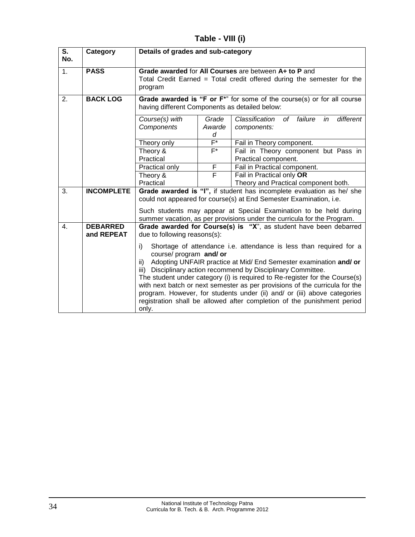**Table - VIII (i)**

| S.<br>No. | Category                      | Details of grades and sub-category                                                                                                                                                                                                                                                                                                                                                                                                                                                                                                                                                |                      |                                                                |
|-----------|-------------------------------|-----------------------------------------------------------------------------------------------------------------------------------------------------------------------------------------------------------------------------------------------------------------------------------------------------------------------------------------------------------------------------------------------------------------------------------------------------------------------------------------------------------------------------------------------------------------------------------|----------------------|----------------------------------------------------------------|
| 1.        | <b>PASS</b>                   | Grade awarded for All Courses are between A+ to P and<br>Total Credit Earned = Total credit offered during the semester for the<br>program                                                                                                                                                                                                                                                                                                                                                                                                                                        |                      |                                                                |
| 2.        | <b>BACK LOG</b>               | Grade awarded is "F or F <sup>*"</sup> for some of the course(s) or for all course<br>having different Components as detailed below:                                                                                                                                                                                                                                                                                                                                                                                                                                              |                      |                                                                |
|           |                               | Course(s) with<br>Components                                                                                                                                                                                                                                                                                                                                                                                                                                                                                                                                                      | Grade<br>Awarde<br>d | Classification<br>of failure<br>different<br>in<br>components: |
|           |                               | Theory only                                                                                                                                                                                                                                                                                                                                                                                                                                                                                                                                                                       | $F^*$                | Fail in Theory component.                                      |
|           |                               | Theory &<br>Practical                                                                                                                                                                                                                                                                                                                                                                                                                                                                                                                                                             | F*                   | Fail in Theory component but Pass in<br>Practical component.   |
|           |                               | Practical only                                                                                                                                                                                                                                                                                                                                                                                                                                                                                                                                                                    | F                    | Fail in Practical component.                                   |
|           |                               | Theory &                                                                                                                                                                                                                                                                                                                                                                                                                                                                                                                                                                          | F                    | Fail in Practical only OR                                      |
|           |                               | Practical                                                                                                                                                                                                                                                                                                                                                                                                                                                                                                                                                                         |                      | Theory and Practical component both.                           |
| 3.        | <b>INCOMPLETE</b>             | Grade awarded is "I", if student has incomplete evaluation as he/ she<br>could not appeared for course(s) at End Semester Examination, i.e.                                                                                                                                                                                                                                                                                                                                                                                                                                       |                      |                                                                |
|           |                               | Such students may appear at Special Examination to be held during<br>summer vacation, as per provisions under the curricula for the Program.                                                                                                                                                                                                                                                                                                                                                                                                                                      |                      |                                                                |
| 4.        | <b>DEBARRED</b><br>and REPEAT | Grade awarded for Course(s) is "X", as student have been debarred<br>due to following reasons(s):                                                                                                                                                                                                                                                                                                                                                                                                                                                                                 |                      |                                                                |
|           |                               | Shortage of attendance i.e. attendance is less than required for a<br>i)<br>course/ program and/ or<br>Adopting UNFAIR practice at Mid/ End Semester examination and/ or<br>ii)<br>Disciplinary action recommend by Disciplinary Committee.<br>iii)<br>The student under category (i) is required to Re-register for the Course(s)<br>with next batch or next semester as per provisions of the curricula for the<br>program. However, for students under (ii) and/ or (iii) above categories<br>registration shall be allowed after completion of the punishment period<br>only. |                      |                                                                |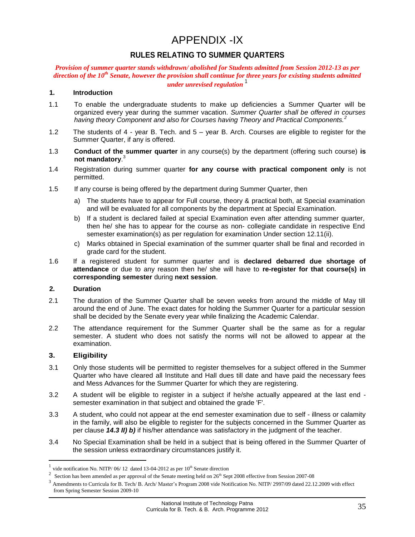## APPENDIX -IX

#### **RULES RELATING TO SUMMER QUARTERS**

#### <span id="page-34-1"></span><span id="page-34-0"></span>*Provision of summer quarter stands withdrawn/ abolished for Students admitted from Session 2012-13 as per direction of the 10th Senate, however the provision shall continue for three years for existing students admitted under unrevised regulation*<sup>1</sup>

#### **1. Introduction**

- 1.1 To enable the undergraduate students to make up deficiencies a Summer Quarter will be organized every year during the summer vacation. *Summer Quarter shall be offered in courses having theory Component and also for Courses having Theory and Practical Components.<sup>2</sup>*
- 1.2 The students of 4 year B. Tech. and 5 year B. Arch. Courses are eligible to register for the Summer Quarter, if any is offered.
- 1.3 **Conduct of the summer quarter** in any course(s) by the department (offering such course) **is not mandatory**. 3
- 1.4 Registration during summer quarter **for any course with practical component only** is not permitted.
- 1.5 If any course is being offered by the department during Summer Quarter, then
	- a) The students have to appear for Full course, theory & practical both, at Special examination and will be evaluated for all components by the department at Special Examination.
	- b) If a student is declared failed at special Examination even after attending summer quarter, then he/ she has to appear for the course as non- collegiate candidate in respective End semester examination(s) as per regulation for examination Under section 12.11(ii).
	- c) Marks obtained in Special examination of the summer quarter shall be final and recorded in grade card for the student.
- 1.6 If a registered student for summer quarter and is **declared debarred due shortage of attendance** or due to any reason then he/ she will have to **re-register for that course(s) in corresponding semester** during **next session**.

#### **2. Duration**

- 2.1 The duration of the Summer Quarter shall be seven weeks from around the middle of May till around the end of June. The exact dates for holding the Summer Quarter for a particular session shall be decided by the Senate every year while finalizing the Academic Calendar.
- 2.2 The attendance requirement for the Summer Quarter shall be the same as for a regular semester. A student who does not satisfy the norms will not be allowed to appear at the examination.

#### **3. Eligibility**

- 3.1 Only those students will be permitted to register themselves for a subject offered in the Summer Quarter who have cleared all Institute and Hall dues till date and have paid the necessary fees and Mess Advances for the Summer Quarter for which they are registering.
- 3.2 A student will be eligible to register in a subject if he/she actually appeared at the last end semester examination in that subject and obtained the grade 'F'.
- 3.3 A student, who could not appear at the end semester examination due to self illness or calamity in the family, will also be eligible to register for the subjects concerned in the Summer Quarter as per clause *14.3 II) b)* if his/her attendance was satisfactory in the judgment of the teacher.
- 3.4 No Special Examination shall be held in a subject that is being offered in the Summer Quarter of the session unless extraordinary circumstances justify it.

<sup>1</sup> vide notification No. NITP/  $06/12$  dated 13-04-2012 as per  $10<sup>th</sup>$  Senate direction

<sup>2</sup> Section has been amended as per approval of the Senate meeting held on 26<sup>th</sup> Sept 2008 effective from Session 2007-08

<sup>3</sup> Amendments to Curricula for B. Tech/ B. Arch/ Master's Program 2008 vide Notification No. NITP/ 2997/09 dated 22.12.2009 with effect from Spring Semester Session 2009-10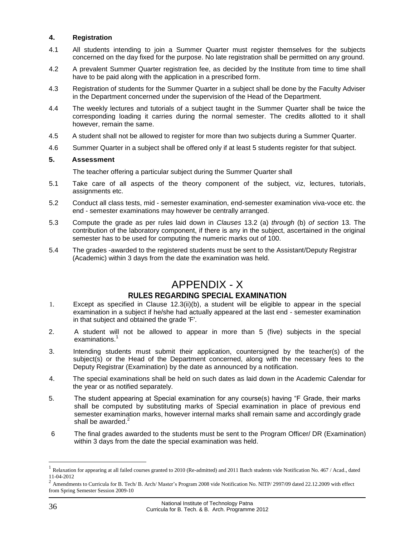#### **4. Registration**

- 4.1 All students intending to join a Summer Quarter must register themselves for the subjects concerned on the day fixed for the purpose. No late registration shall be permitted on any ground.
- 4.2 A prevalent Summer Quarter registration fee, as decided by the Institute from time to time shall have to be paid along with the application in a prescribed form.
- 4.3 Registration of students for the Summer Quarter in a subject shall be done by the Faculty Adviser in the Department concerned under the supervision of the Head of the Department.
- 4.4 The weekly lectures and tutorials of a subject taught in the Summer Quarter shall be twice the corresponding loading it carries during the normal semester. The credits allotted to it shall however, remain the same.
- 4.5 A student shall not be allowed to register for more than two subjects during a Summer Quarter.
- 4.6 Summer Quarter in a subject shall be offered only if at least 5 students register for that subject.

#### **5. Assessment**

The teacher offering a particular subject during the Summer Quarter shall

- 5.1 Take care of all aspects of the theory component of the subject, viz, lectures, tutorials, assignments etc.
- 5.2 Conduct all class tests, mid semester examination, end-semester examination viva-voce etc. the end - semester examinations may however be centrally arranged.
- 5.3 Compute the grade as per rules laid down in *Clauses* 13.2 (a) *through* (b) *of section* 13. The contribution of the laboratory component, if there is any in the subject, ascertained in the original semester has to be used for computing the numeric marks out of 100.
- 5.4 The grades -awarded to the registered students must be sent to the Assistant/Deputy Registrar (Academic) within 3 days from the date the examination was held.

## APPENDIX - X

#### **RULES REGARDING SPECIAL EXAMINATION**

- <span id="page-35-1"></span><span id="page-35-0"></span>1. Except as specified in Clause 12.3(ii)(b), a student will be eligible to appear in the special examination in a subject if he/she had actually appeared at the last end - semester examination in that subject and obtained the grade 'F'.
- 2. A student will not be allowed to appear in more than 5 (five) subjects in the special examinations.<sup>1</sup>
- 3. Intending students must submit their application, countersigned by the teacher(s) of the subject(s) or the Head of the Department concerned, along with the necessary fees to the Deputy Registrar (Examination) by the date as announced by a notification.
- 4. The special examinations shall be held on such dates as laid down in the Academic Calendar for the year or as notified separately.
- 5. The student appearing at Special examination for any course(s) having "F Grade, their marks shall be computed by substituting marks of Special examination in place of previous end semester examination marks, however internal marks shall remain same and accordingly grade shall be awarded.<sup>2</sup>
- 6 The final grades awarded to the students must be sent to the Program Officer/ DR (Examination) within 3 days from the date the special examination was held.

<sup>1</sup> Relaxation for appearing at all failed courses granted to 2010 (Re-admitted) and 2011 Batch students vide Notification No. 467 / Acad., dated 11-04-2012

<sup>&</sup>lt;sup>2</sup> Amendments to Curricula for B. Tech/ B. Arch/ Master's Program 2008 vide Notification No. NITP/ 2997/09 dated 22.12.2009 with effect from Spring Semester Session 2009-10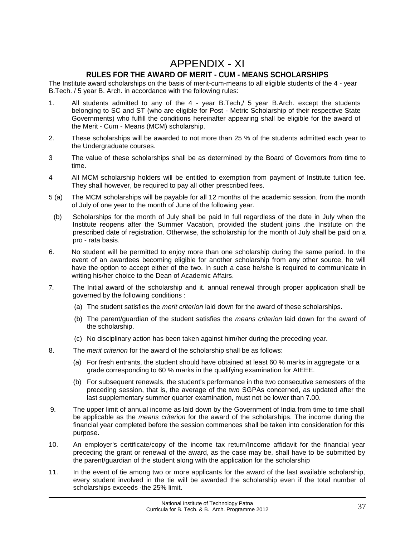### APPENDIX - XI **RULES FOR THE AWARD OF MERIT - CUM - MEANS SCHOLARSHIPS**

<span id="page-36-1"></span><span id="page-36-0"></span>The Institute award scholarships on the basis of merit-cum-means to all eligible students of the 4 - year B.Tech. / 5 year B. Arch. in accordance with the following rules:

- 1. All students admitted to any of the 4 year B.Tech,/ 5 year B.Arch. except the students belonging to SC and ST (who are eligible for Post - Metric Scholarship of their respective State Governments) who fulfill the conditions hereinafter appearing shall be eligible for the award of the Merit - Cum - Means (MCM) scholarship.
- 2. These scholarships will be awarded to not more than 25 % of the students admitted each year to the Undergraduate courses.
- 3 The value of these scholarships shall be as determined by the Board of Governors from time to time.
- 4 All MCM scholarship holders will be entitled to exemption from payment of Institute tuition fee. They shall however, be required to pay all other prescribed fees.
- 5 (a) The MCM scholarships will be payable for all 12 months of the academic session. from the month of July of one year to the month of June of the following year.
- (b) Scholarships for the month of July shall be paid In full regardless of the date in July when the Institute reopens after the Summer Vacation, provided the student joins .the Institute on the prescribed date of registration. Otherwise, the scholarship for the month of July shall be paid on a pro - rata basis.
- 6. No student will be permitted to enjoy more than one scholarship during the same period. In the event of an awardees becoming eligible for another scholarship from any other source, he will have the option to accept either of the two. In such a case he/she is required to communicate in writing his/her choice to the Dean of Academic Affairs.
- 7. The Initial award of the scholarship and it. annual renewal through proper application shall be governed by the following conditions :
	- (a) The student satisfies the *merit criterion* laid down for the award of these scholarships.
	- (b) The parent/guardian of the student satisfies the *means criterion* laid down for the award of the scholarship.
	- (c) No disciplinary action has been taken against him/her during the preceding year.
- 8. The *merit criterion* for the award of the scholarship shall be as follows:
	- (a) For fresh entrants, the student should have obtained at least 60 % marks in aggregate 'or a grade corresponding to 60 % marks in the qualifying examination for AIEEE.
	- (b) For subsequent renewals, the student's performance in the two consecutive semesters of the preceding session, that is, the average of the two SGPAs concerned, as updated after the last supplementary summer quarter examination, must not be lower than 7.00.
- 9. The upper limit of annual income as laid down by the Government of India from time to time shall be applicable as the *means criterion* for the award of the scholarships. The income during the financial year completed before the session commences shall be taken into consideration for this purpose.
- 10. An employer's certificate/copy of the income tax return/Income affidavit for the financial year preceding the grant or renewal of the award, as the case may be, shall have to be submitted by the parent/guardian of the student along with the application for the scholarship
- 11. In the event of tie among two or more applicants for the award of the last available scholarship, every student involved in the tie will be awarded the scholarship even if the total number of scholarships exceeds ·the 25% limit.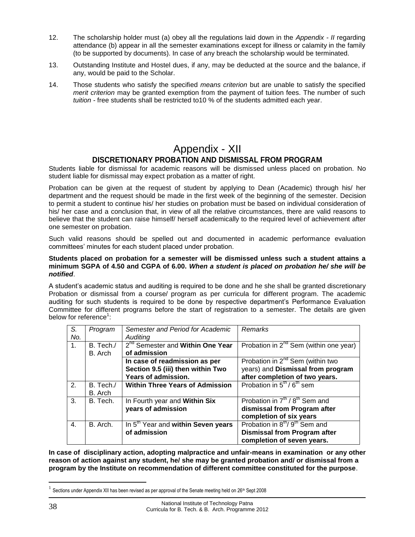- 12. The scholarship holder must (a) obey all the regulations laid down in the *Appendix - II* regarding attendance (b) appear in all the semester examinations except for illness or calamity in the family (to be supported by documents). In case of any breach the scholarship would be terminated.
- 13. Outstanding Institute and Hostel dues, if any, may be deducted at the source and the balance, if any, would be paid to the Scholar.
- 14. Those students who satisfy the specified *means criterion* but are unable to satisfy the specified *merit criterion* may be granted exemption from the payment of tuition fees. The number of such *tuition -* free students shall be restricted to10 % of the students admitted each year.

## Appendix - XII **DISCRETIONARY PROBATION AND DISMISSAL FROM PROGRAM**

<span id="page-37-1"></span><span id="page-37-0"></span>Students liable for dismissal for academic reasons will be dismissed unless placed on probation. No student liable for dismissal may expect probation as a matter of right.

Probation can be given at the request of student by applying to Dean (Academic) through his/ her department and the request should be made in the first week of the beginning of the semester. Decision to permit a student to continue his/ her studies on probation must be based on individual consideration of his/ her case and a conclusion that, in view of all the relative circumstances, there are valid reasons to believe that the student can raise himself/ herself academically to the required level of achievement after one semester on probation.

Such valid reasons should be spelled out and documented in academic performance evaluation committees' minutes for each student placed under probation.

#### **Students placed on probation for a semester will be dismissed unless such a student attains a minimum SGPA of 4.50 and CGPA of 6.00.** *When a student is placed on probation he/ she will be notified*.

A student's academic status and auditing is required to be done and he she shall be granted discretionary Probation or dismissal from a course/ program as per curricula for different program. The academic auditing for such students is required to be done by respective department's Performance Evaluation Committee for different programs before the start of registration to a semester. The details are given below for reference<sup>1</sup>:

| S.<br>No. | Program              | Semester and Period for Academic<br>Auditing                                              | Remarks                                                                                                                    |
|-----------|----------------------|-------------------------------------------------------------------------------------------|----------------------------------------------------------------------------------------------------------------------------|
| 1.        | B. Tech./<br>B. Arch | 2 <sup>nd</sup> Semester and Within One Year<br>of admission                              | Probation in $2^{nd}$ Sem (within one year)                                                                                |
|           |                      | In case of readmission as per<br>Section 9.5 (iii) then within Two<br>Years of admission. | Probation in 2 <sup>nd</sup> Sem (within two<br>years) and Dismissal from program<br>after completion of two years.        |
| 2.        | B. Tech./<br>B. Arch | <b>Within Three Years of Admission</b>                                                    | Probation in $5^{\text{th}}/6^{\text{th}}$ sem                                                                             |
| 3.        | B. Tech.             | In Fourth year and Within Six<br>years of admission                                       | Probation in $7^{\text{th}}$ / $8^{\text{th}}$ Sem and<br>dismissal from Program after<br>completion of six years          |
| 4.        | B. Arch.             | In 5 <sup>th</sup> Year and within Seven years<br>of admission                            | Probation in 8 <sup>th</sup> /9 <sup>th</sup> Sem and<br><b>Dismissal from Program after</b><br>completion of seven years. |

**In case of disciplinary action, adopting malpractice and unfair-means in examination or any other reason of action against any student, he/ she may be granted probation and/ or dismissal from a program by the Institute on recommendation of different committee constituted for the purpose**.

<sup>&</sup>lt;sup>1</sup> Sections under Appendix XII has been revised as per approval of the Senate meeting held on 26<sup>th</sup> Sept 2008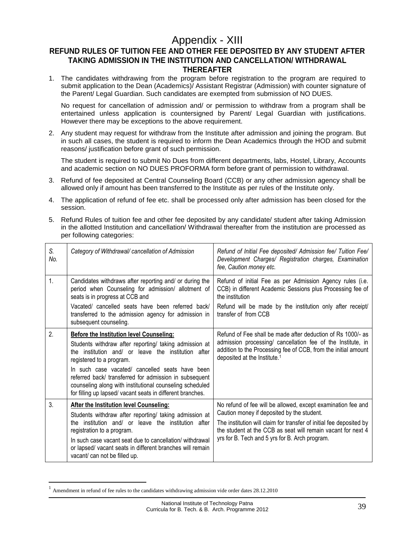## Appendix - XIII

#### <span id="page-38-1"></span><span id="page-38-0"></span>**REFUND RULES OF TUITION FEE AND OTHER FEE DEPOSITED BY ANY STUDENT AFTER TAKING ADMISSION IN THE INSTITUTION AND CANCELLATION/ WITHDRAWAL THEREAFTER**

1. The candidates withdrawing from the program before registration to the program are required to submit application to the Dean (Academics)/ Assistant Registrar (Admission) with counter signature of the Parent/ Legal Guardian. Such candidates are exempted from submission of NO DUES.

No request for cancellation of admission and/ or permission to withdraw from a program shall be entertained unless application is countersigned by Parent/ Legal Guardian with justifications. However there may be exceptions to the above requirement.

2. Any student may request for withdraw from the Institute after admission and joining the program. But in such all cases, the student is required to inform the Dean Academics through the HOD and submit reasons/ justification before grant of such permission.

The student is required to submit No Dues from different departments, labs, Hostel, Library, Accounts and academic section on NO DUES PROFORMA form before grant of permission to withdrawal.

- 3. Refund of fee deposited at Central Counseling Board (CCB) or any other admission agency shall be allowed only if amount has been transferred to the Institute as per rules of the Institute only.
- 4. The application of refund of fee etc. shall be processed only after admission has been closed for the session.
- 5. Refund Rules of tuition fee and other fee deposited by any candidate/ student after taking Admission in the allotted Institution and cancellation/ Withdrawal thereafter from the institution are processed as per following categories:

| S.<br>No. | Category of Withdrawal/ cancellation of Admission                                                                                                                                                                                                                                                                                                                                                                                   | Refund of Initial Fee deposited/ Admission fee/ Tuition Fee/<br>Development Charges/ Registration charges, Examination<br>fee, Caution money etc.                                                                                                                                                   |
|-----------|-------------------------------------------------------------------------------------------------------------------------------------------------------------------------------------------------------------------------------------------------------------------------------------------------------------------------------------------------------------------------------------------------------------------------------------|-----------------------------------------------------------------------------------------------------------------------------------------------------------------------------------------------------------------------------------------------------------------------------------------------------|
| 1.        | Candidates withdraws after reporting and/ or during the<br>period when Counseling for admission/ allotment of<br>seats is in progress at CCB and<br>Vacated/ cancelled seats have been referred back/<br>transferred to the admission agency for admission in<br>subsequent counseling.                                                                                                                                             | Refund of initial Fee as per Admission Agency rules (i.e.<br>CCB) in different Academic Sessions plus Processing fee of<br>the institution<br>Refund will be made by the institution only after receipt/<br>transfer of from CCB                                                                    |
| 2.        | <b>Before the Institution level Counseling:</b><br>Students withdraw after reporting/ taking admission at<br>the institution and/ or leave the institution after<br>registered to a program.<br>In such case vacated/ cancelled seats have been<br>referred back/ transferred for admission in subsequent<br>counseling along with institutional counseling scheduled<br>for filling up lapsed/ vacant seats in different branches. | Refund of Fee shall be made after deduction of Rs 1000/- as<br>admission processing/ cancellation fee of the Institute, in<br>addition to the Processing fee of CCB, from the initial amount<br>deposited at the Institute. <sup>1</sup>                                                            |
| 3.        | After the Institution level Counseling:<br>Students withdraw after reporting/ taking admission at<br>the institution and/ or leave the institution after<br>registration to a program.<br>In such case vacant seat due to cancellation/withdrawal<br>or lapsed/ vacant seats in different branches will remain<br>vacant/ can not be filled up.                                                                                     | No refund of fee will be allowed, except examination fee and<br>Caution money if deposited by the student.<br>The institution will claim for transfer of initial fee deposited by<br>the student at the CCB as seat will remain vacant for next 4<br>yrs for B. Tech and 5 yrs for B. Arch program. |

<sup>1</sup> Amendment in refund of fee rules to the candidates withdrawing admission vide order dates 28.12.2010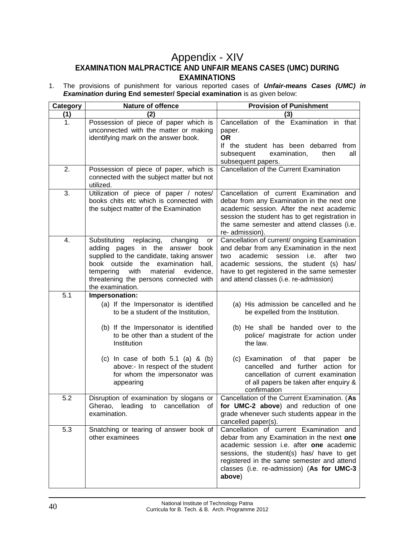## <span id="page-39-0"></span>Appendix - XIV **EXAMINATION MALPRACTICE AND UNFAIR MEANS CASES (UMC) DURING EXAMINATIONS**

<span id="page-39-1"></span>1. The provisions of punishment for various reported cases of *Unfair-means Cases (UMC) in Examination* **during End semester/ Special examination** is as given below:

| Category | <b>Nature of offence</b>                                                                                                                                                                                                                                                                     | <b>Provision of Punishment</b>                                                                                                                                                                                                                                                       |  |  |
|----------|----------------------------------------------------------------------------------------------------------------------------------------------------------------------------------------------------------------------------------------------------------------------------------------------|--------------------------------------------------------------------------------------------------------------------------------------------------------------------------------------------------------------------------------------------------------------------------------------|--|--|
| (1)      | (2)                                                                                                                                                                                                                                                                                          | (3)                                                                                                                                                                                                                                                                                  |  |  |
| 1.       | Possession of piece of paper which is<br>unconnected with the matter or making<br>identifying mark on the answer book.                                                                                                                                                                       | Cancellation of the Examination in that<br>paper.<br><b>OR</b><br>If the student has been debarred from<br>subsequent<br>examination,<br>then<br>all<br>subsequent papers.                                                                                                           |  |  |
| 2.       | Possession of piece of paper, which is<br>connected with the subject matter but not<br>utilized.                                                                                                                                                                                             | Cancellation of the Current Examination                                                                                                                                                                                                                                              |  |  |
| 3.       | Utilization of piece of paper / notes/<br>books chits etc which is connected with<br>the subject matter of the Examination                                                                                                                                                                   | Cancellation of current Examination and<br>debar from any Examination in the next one<br>academic session. After the next academic<br>session the student has to get registration in<br>the same semester and attend classes (i.e.<br>re- admission).                                |  |  |
| 4.       | Substituting<br>replacing,<br>changing<br>or<br>adding pages in the<br>answer book<br>supplied to the candidate, taking answer<br>outside<br>the<br>examination<br>book<br>hall,<br>with<br>material<br>tempering<br>evidence,<br>threatening the persons connected with<br>the examination. | Cancellation of current/ ongoing Examination<br>and debar from any Examination in the next<br>academic<br>session<br>i.e.<br>after<br>two<br>two<br>academic sessions, the student (s) has/<br>have to get registered in the same semester<br>and attend classes (i.e. re-admission) |  |  |
| 5.1      | Impersonation:                                                                                                                                                                                                                                                                               |                                                                                                                                                                                                                                                                                      |  |  |
|          | (a) If the Impersonator is identified<br>to be a student of the Institution,                                                                                                                                                                                                                 | (a) His admission be cancelled and he<br>be expelled from the Institution.                                                                                                                                                                                                           |  |  |
|          | (b) If the Impersonator is identified<br>to be other than a student of the<br>Institution                                                                                                                                                                                                    | (b) He shall be handed over to the<br>police/ magistrate for action under<br>the law.                                                                                                                                                                                                |  |  |
|          | (c) In case of both $5.1$ (a) & (b)<br>above:- In respect of the student<br>for whom the impersonator was<br>appearing                                                                                                                                                                       | (c) Examination<br>of that<br>paper<br>be<br>cancelled and further<br>action<br>for<br>cancellation of current examination<br>of all papers be taken after enquiry &<br>confirmation                                                                                                 |  |  |
| 5.2      | Disruption of examination by slogans or<br>Gherao, leading to cancellation of<br>examination.                                                                                                                                                                                                | Cancellation of the Current Examination. (As<br>for UMC-2 above) and reduction of one<br>grade whenever such students appear in the<br>cancelled paper(s).                                                                                                                           |  |  |
| 5.3      | Snatching or tearing of answer book of<br>other examinees                                                                                                                                                                                                                                    | Cancellation of current Examination and<br>debar from any Examination in the next one<br>academic session i.e. after one academic<br>sessions, the student(s) has/ have to get<br>registered in the same semester and attend<br>classes (i.e. re-admission) (As for UMC-3<br>above)  |  |  |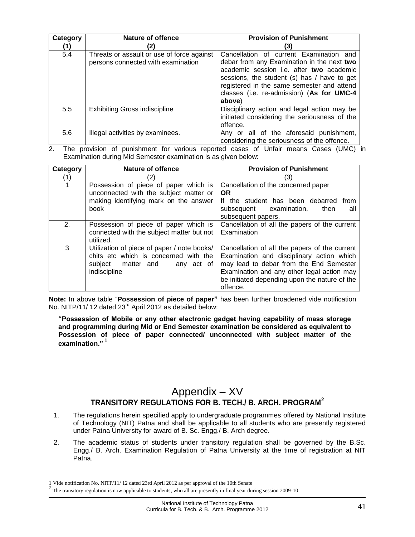| Category | <b>Nature of offence</b>                                                         | <b>Provision of Punishment</b>                                                                                                                                                                                                                                                        |
|----------|----------------------------------------------------------------------------------|---------------------------------------------------------------------------------------------------------------------------------------------------------------------------------------------------------------------------------------------------------------------------------------|
|          | 21                                                                               |                                                                                                                                                                                                                                                                                       |
| 5.4      | Threats or assault or use of force against<br>persons connected with examination | Cancellation of current Examination and<br>debar from any Examination in the next two<br>academic session i.e. after two academic<br>sessions, the student (s) has / have to get<br>registered in the same semester and attend<br>classes (i.e. re-admission) (As for UMC-4<br>above) |
| 5.5      | <b>Exhibiting Gross indiscipline</b>                                             | Disciplinary action and legal action may be<br>initiated considering the seriousness of the<br>offence.                                                                                                                                                                               |
| 5.6      | Illegal activities by examinees.                                                 | Any or all of the aforesaid punishment,<br>considering the seriousness of the offence.                                                                                                                                                                                                |

2. The provision of punishment for various reported cases of Unfair means Cases (UMC) in Examination during Mid Semester examination is as given below:

| Category          | <b>Nature of offence</b>                                                                                                                 | <b>Provision of Punishment</b>                                                                                                                                                                                                                   |
|-------------------|------------------------------------------------------------------------------------------------------------------------------------------|--------------------------------------------------------------------------------------------------------------------------------------------------------------------------------------------------------------------------------------------------|
| $\left( 1\right)$ | (2)                                                                                                                                      | '3)                                                                                                                                                                                                                                              |
|                   | Possession of piece of paper which is<br>unconnected with the subject matter or<br>making identifying mark on the answer<br>book         | Cancellation of the concerned paper<br><b>OR</b><br>If the student has been debarred from<br>subsequent examination,<br>then<br>all<br>subsequent papers.                                                                                        |
| 2.                | Possession of piece of paper which is<br>connected with the subject matter but not<br>utilized.                                          | Cancellation of all the papers of the current<br>Examination                                                                                                                                                                                     |
| 3                 | Utilization of piece of paper / note books/<br>chits etc which is concerned with the<br>subject matter and<br>any act of<br>indiscipline | Cancellation of all the papers of the current<br>Examination and disciplinary action which<br>may lead to debar from the End Semester<br>Examination and any other legal action may<br>be initiated depending upon the nature of the<br>offence. |

**Note:** In above table "**Possession of piece of paper"** has been further broadened vide notification No. NITP/11/ 12 dated 23<sup>rd</sup> April 2012 as detailed below:

**"Possession of Mobile or any other electronic gadget having capability of mass storage and programming during Mid or End Semester examination be considered as equivalent to Possession of piece of paper connected/ unconnected with subject matter of the examination." <sup>1</sup>**

## Appendix – XV **TRANSITORY REGULATIONS FOR B. TECH./ B. ARCH. PROGRAM<sup>2</sup>**

- <span id="page-40-1"></span><span id="page-40-0"></span>1. The regulations herein specified apply to undergraduate programmes offered by National Institute of Technology (NIT) Patna and shall be applicable to all students who are presently registered under Patna University for award of B. Sc. Engg./ B. Arch degree.
- 2. The academic status of students under transitory regulation shall be governed by the B.Sc. Engg./ B. Arch. Examination Regulation of Patna University at the time of registration at NIT Patna.

<sup>1</sup> Vide notification No. NITP/11/ 12 dated 23rd April 2012 as per approval of the 10th Senate

 $2^{2}$  The transitory regulation is now applicable to students, who all are presently in final year during session 2009-10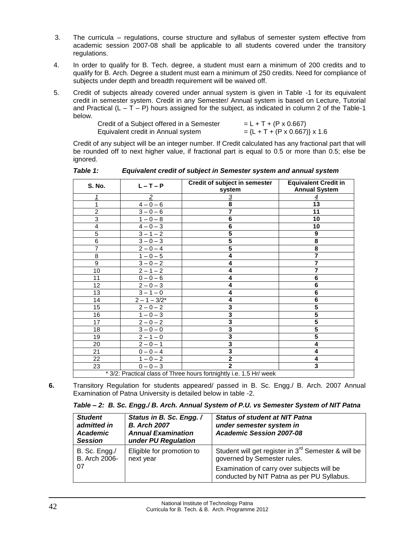- 3. The curricula regulations, course structure and syllabus of semester system effective from academic session 2007-08 shall be applicable to all students covered under the transitory regulations.
- 4. In order to qualify for B. Tech. degree, a student must earn a minimum of 200 credits and to qualify for B. Arch. Degree a student must earn a minimum of 250 credits. Need for compliance of subjects under depth and breadth requirement will be waived off.
- 5. Credit of subjects already covered under annual system is given in Table -1 for its equivalent credit in semester system. Credit in any Semester/ Annual system is based on Lecture, Tutorial and Practical  $(L - T - P)$  hours assigned for the subject, as indicated in column 2 of the Table-1 below.

| Credit of a Subject offered in a Semester | $= L + T + (P \times 0.667)$    |
|-------------------------------------------|---------------------------------|
| Equivalent credit in Annual system        | $=$ {L + T + (P x 0.667)} x 1.6 |

Credit of any subject will be an integer number. If Credit calculated has any fractional part that will be rounded off to next higher value, if fractional part is equal to 0.5 or more than 0.5; else be ignored.

| S. No.          | $L - T - P$    | Credit of subject in semester<br>system                             | <b>Equivalent Credit in</b><br><b>Annual System</b> |
|-----------------|----------------|---------------------------------------------------------------------|-----------------------------------------------------|
| 1               | $\overline{2}$ | 3                                                                   | 4                                                   |
| 1               | $4 - 0 - 6$    | 8                                                                   | $\overline{13}$                                     |
| $\overline{2}$  | $3 - 0 - 6$    | $\overline{7}$                                                      | 11                                                  |
| $\overline{3}$  | $1 - 0 - 8$    | 6                                                                   | 10                                                  |
| $\overline{4}$  | $4 - 0 - 3$    | $\bf 6$                                                             | 10                                                  |
| $\overline{5}$  | $3 - 1 - 2$    | $\overline{\mathbf{5}}$                                             | 9                                                   |
| $\overline{6}$  | $3 - 0 - 3$    | $\overline{\mathbf{5}}$                                             | 8                                                   |
| $\overline{7}$  | $2 - 0 - 4$    | $\overline{\mathbf{5}}$                                             | 8                                                   |
| $\overline{8}$  | $1 - 0 - 5$    | 4                                                                   |                                                     |
| $\overline{9}$  | $3 - 0 - 2$    | 4                                                                   | $\overline{7}$                                      |
| $\overline{10}$ | $2 - 1 - 2$    | 4                                                                   | $\overline{7}$                                      |
| 11              | $0 - 0 - 6$    | 4                                                                   | 6                                                   |
| 12              | $2 - 0 - 3$    | 4                                                                   | $\overline{6}$                                      |
| 13              | $3 - 1 - 0$    | 4                                                                   | 6                                                   |
| 14              | $2 - 1 - 3/2*$ | 4                                                                   | $\overline{6}$                                      |
| 15              | $2 - 0 - 2$    | 3                                                                   | 5                                                   |
| 16              | $1 - 0 - 3$    | 3                                                                   | 5                                                   |
| 17              | $2 - 0 - 2$    | $\overline{\mathbf{3}}$                                             | 5                                                   |
| 18              | $3 - 0 - 0$    | $\overline{\mathbf{3}}$                                             | $\overline{\mathbf{5}}$                             |
| 19              | $2 - 1 - 0$    | 3                                                                   | 5                                                   |
| 20              | $2 - 0 - 1$    | $\overline{\mathbf{3}}$                                             | 4                                                   |
| 21              | $0 - 0 - 4$    | 3                                                                   | 4                                                   |
| 22              | $1 - 0 - 2$    | $\mathbf 2$                                                         | 4                                                   |
| 23              | $0 - 0 - 3$    | $\overline{2}$                                                      | 3                                                   |
|                 |                | * 3/2: Practical class of Three hours fortnightly i.e. 1.5 Hr/ week |                                                     |

*Table 1: Equivalent credit of subject in Semester system and annual system*

**6.** Transitory Regulation for students appeared/ passed in B. Sc. Engg./ B. Arch. 2007 Annual Examination of Patna University is detailed below in table -2.

*Table – 2: B. Sc. Engg./ B. Arch. Annual System of P.U. vs Semester System of NIT Patna*

| <b>Student</b><br>admitted in<br>Academic<br><b>Session</b> | Status in B. Sc. Engg. /<br><b>B.</b> Arch 2007<br><b>Annual Examination</b><br>under PU Regulation | <b>Status of student at NIT Patna</b><br>under semester system in<br><b>Academic Session 2007-08</b> |
|-------------------------------------------------------------|-----------------------------------------------------------------------------------------------------|------------------------------------------------------------------------------------------------------|
| B. Sc. Engg./<br>B. Arch 2006-                              | Eligible for promotion to<br>next year                                                              | Student will get register in 3 <sup>rd</sup> Semester & will be<br>governed by Semester rules.       |
| 07                                                          |                                                                                                     | Examination of carry over subjects will be<br>conducted by NIT Patna as per PU Syllabus.             |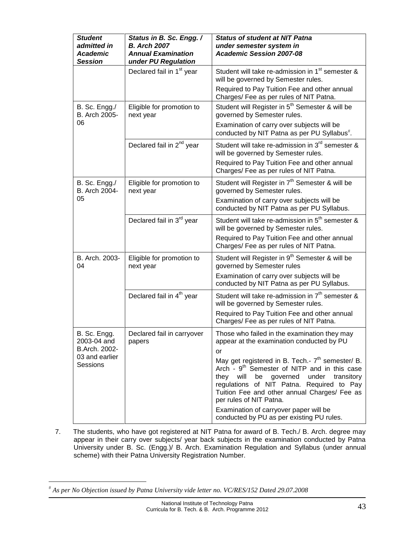| <b>Student</b><br>admitted in<br><b>Academic</b><br><b>Session</b> | Status in B. Sc. Engg. /<br><b>B.</b> Arch 2007<br><b>Annual Examination</b><br>under PU Regulation | <b>Status of student at NIT Patna</b><br>under semester system in<br><b>Academic Session 2007-08</b>                                                                                                                                                                                                |
|--------------------------------------------------------------------|-----------------------------------------------------------------------------------------------------|-----------------------------------------------------------------------------------------------------------------------------------------------------------------------------------------------------------------------------------------------------------------------------------------------------|
|                                                                    | Declared fail in 1 <sup>st</sup> year                                                               | Student will take re-admission in 1 <sup>st</sup> semester &<br>will be governed by Semester rules.                                                                                                                                                                                                 |
|                                                                    |                                                                                                     | Required to Pay Tuition Fee and other annual<br>Charges/ Fee as per rules of NIT Patna.                                                                                                                                                                                                             |
| B. Sc. Engg./<br>B. Arch 2005-                                     | Eligible for promotion to<br>next year                                                              | Student will Register in 5 <sup>th</sup> Semester & will be<br>governed by Semester rules.                                                                                                                                                                                                          |
| 06                                                                 |                                                                                                     | Examination of carry over subjects will be<br>conducted by NIT Patna as per PU Syllabus <sup>#</sup> .                                                                                                                                                                                              |
|                                                                    | Declared fail in 2 <sup>nd</sup> year                                                               | Student will take re-admission in 3 <sup>rd</sup> semester &<br>will be governed by Semester rules.                                                                                                                                                                                                 |
|                                                                    |                                                                                                     | Required to Pay Tuition Fee and other annual<br>Charges/ Fee as per rules of NIT Patna.                                                                                                                                                                                                             |
| B. Sc. Engg./<br>B. Arch 2004-                                     | Eligible for promotion to<br>next year                                                              | Student will Register in 7 <sup>th</sup> Semester & will be<br>governed by Semester rules.                                                                                                                                                                                                          |
| 05                                                                 |                                                                                                     | Examination of carry over subjects will be<br>conducted by NIT Patna as per PU Syllabus.                                                                                                                                                                                                            |
|                                                                    | Declared fail in 3rd year                                                                           | Student will take re-admission in 5 <sup>th</sup> semester &<br>will be governed by Semester rules.                                                                                                                                                                                                 |
|                                                                    |                                                                                                     | Required to Pay Tuition Fee and other annual<br>Charges/ Fee as per rules of NIT Patna.                                                                                                                                                                                                             |
| B. Arch. 2003-<br>04                                               | Eligible for promotion to<br>next year                                                              | Student will Register in 9 <sup>th</sup> Semester & will be<br>governed by Semester rules                                                                                                                                                                                                           |
|                                                                    |                                                                                                     | Examination of carry over subjects will be<br>conducted by NIT Patna as per PU Syllabus.                                                                                                                                                                                                            |
|                                                                    | Declared fail in 4 <sup>th</sup> year                                                               | Student will take re-admission in 7 <sup>th</sup> semester &<br>will be governed by Semester rules.                                                                                                                                                                                                 |
|                                                                    |                                                                                                     | Required to Pay Tuition Fee and other annual<br>Charges/ Fee as per rules of NIT Patna.                                                                                                                                                                                                             |
| B. Sc. Engg.<br>2003-04 and<br>B.Arch. 2002-                       | Declared fail in carryover<br>papers                                                                | Those who failed in the examination they may<br>appear at the examination conducted by PU<br>or                                                                                                                                                                                                     |
| 03 and earlier<br>Sessions                                         |                                                                                                     | May get registered in B. Tech.- 7 <sup>th</sup> semester/ B.<br>Arch - 9 <sup>th</sup> Semester of NITP and in this case<br>they will<br>be governed<br>under<br>transitory<br>regulations of NIT Patna. Required to Pay<br>Tuition Fee and other annual Charges/ Fee as<br>per rules of NIT Patna. |
|                                                                    |                                                                                                     | Examination of carryover paper will be<br>conducted by PU as per existing PU rules.                                                                                                                                                                                                                 |

7. The students, who have got registered at NIT Patna for award of B. Tech./ B. Arch. degree may appear in their carry over subjects/ year back subjects in the examination conducted by Patna University under B. Sc. (Engg.)/ B. Arch. Examination Regulation and Syllabus (under annual scheme) with their Patna University Registration Number.

*As per No Objection issued by Patna University vide letter no. VC/RES/152 Dated 29.07.2008*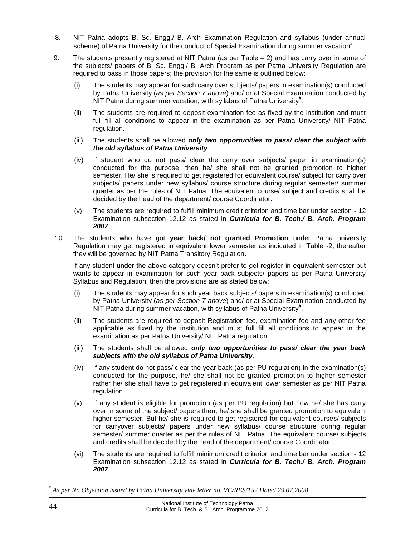- 8. NIT Patna adopts B. Sc. Engg./ B. Arch Examination Regulation and syllabus (under annual scheme) of Patna University for the conduct of Special Examination during summer vacation<sup>#</sup>.
- 9. The students presently registered at NIT Patna (as per Table 2) and has carry over in some of the subjects/ papers of B. Sc. Engg./ B. Arch Program as per Patna University Regulation are required to pass in those papers; the provision for the same is outlined below:
	- (i) The students may appear for such carry over subjects/ papers in examination(s) conducted by Patna University (*as per Section 7 above*) and/ or at Special Examination conducted by NIT Patna during summer vacation, with syllabus of Patna University**#** .
	- (ii) The students are required to deposit examination fee as fixed by the institution and must full fill all conditions to appear in the examination as per Patna University/ NIT Patna regulation.
	- (iii) The students shall be allowed *only two opportunities to pass/ clear the subject with the old syllabus of Patna University*.
	- (iv) If student who do not pass/ clear the carry over subjects/ paper in examination(s) conducted for the purpose, then he/ she shall not be granted promotion to higher semester. He/ she is required to get registered for equivalent course/ subject for carry over subjects/ papers under new syllabus/ course structure during regular semester/ summer quarter as per the rules of NIT Patna. The equivalent course/ subject and credits shall be decided by the head of the department/ course Coordinator.
	- (v) The students are required to fulfill minimum credit criterion and time bar under section 12 Examination subsection 12.12 as stated in *Curricula for B. Tech./ B. Arch. Program 2007*.
- 10. The students who have got **year back/ not granted Promotion** under Patna university Regulation may get registered in equivalent lower semester as indicated in Table -2, thereafter they will be governed by NIT Patna Transitory Regulation.

If any student under the above category doesn't prefer to get register in equivalent semester but wants to appear in examination for such year back subjects/ papers as per Patna University Syllabus and Regulation; then the provisions are as stated below:

- (i) The students may appear for such year back subjects/ papers in examination(s) conducted by Patna University (*as per Section 7 above*) and/ or at Special Examination conducted by NIT Patna during summer vacation, with syllabus of Patna University**#** .
- (ii) The students are required to deposit Registration fee, examination fee and any other fee applicable as fixed by the institution and must full fill all conditions to appear in the examination as per Patna University/ NIT Patna regulation.
- (iii) The students shall be allowed *only two opportunities to pass/ clear the year back subjects with the old syllabus of Patna University*.
- (iv) If any student do not pass/ clear the year back (as per PU regulation) in the examination(s) conducted for the purpose, he/ she shall not be granted promotion to higher semester rather he/ she shall have to get registered in equivalent lower semester as per NIT Patna regulation.
- (v) If any student is eligible for promotion (as per PU regulation) but now he/ she has carry over in some of the subject/ papers then, he/ she shall be granted promotion to equivalent higher semester. But he/ she is required to get registered for equivalent courses/ subjects for carryover subjects/ papers under new syllabus/ course structure during regular semester/ summer quarter as per the rules of NIT Patna. The equivalent course/ subjects and credits shall be decided by the head of the department/ course Coordinator.
- (vi) The students are required to fulfill minimum credit criterion and time bar under section 12 Examination subsection 12.12 as stated in *Curricula for B. Tech./ B. Arch. Program 2007*.

*As per No Objection issued by Patna University vide letter no. VC/RES/152 Dated 29.07.2008*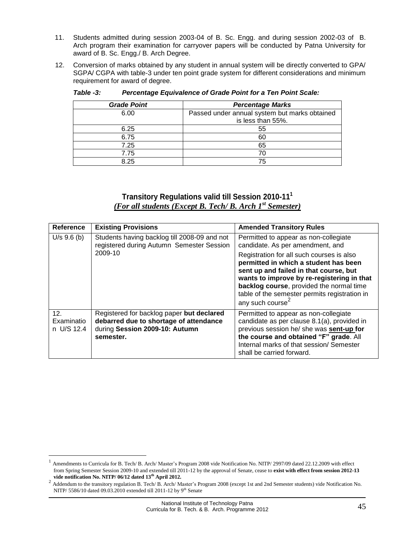- 11. Students admitted during session 2003-04 of B. Sc. Engg. and during session 2002-03 of B. Arch program their examination for carryover papers will be conducted by Patna University for award of B. Sc. Engg./ B. Arch Degree.
- 12. Conversion of marks obtained by any student in annual system will be directly converted to GPA/ SGPA/ CGPA with table-3 under ten point grade system for different considerations and minimum requirement for award of degree.

| <b>Grade Point</b> | <b>Percentage Marks</b>                                            |
|--------------------|--------------------------------------------------------------------|
| 6.00               | Passed under annual system but marks obtained<br>is less than 55%. |
| 6.25               | 55                                                                 |
| 6.75               | 60                                                                 |
| 7.25               | 65                                                                 |
| 7.75               | 70                                                                 |
| 8 25               | 75                                                                 |

*Table -3: Percentage Equivalence of Grade Point for a Ten Point Scale:*

#### **Transitory Regulations valid till Session 2010-11<sup>1</sup>** *(For all students (Except B. Tech/ B. Arch 1st Semester)*

<span id="page-44-0"></span>

| Reference                                   | <b>Existing Provisions</b>                                                                                                         | <b>Amended Transitory Rules</b>                                                                                                                                                                                                                                                                         |  |  |  |  |
|---------------------------------------------|------------------------------------------------------------------------------------------------------------------------------------|---------------------------------------------------------------------------------------------------------------------------------------------------------------------------------------------------------------------------------------------------------------------------------------------------------|--|--|--|--|
| $U/s$ 9.6 (b)                               | Students having backlog till 2008-09 and not<br>registered during Autumn Semester Session                                          | Permitted to appear as non-collegiate<br>candidate. As per amendment, and                                                                                                                                                                                                                               |  |  |  |  |
|                                             | 2009-10                                                                                                                            | Registration for all such courses is also<br>permitted in which a student has been<br>sent up and failed in that course, but<br>wants to improve by re-registering in that<br>backlog course, provided the normal time<br>table of the semester permits registration in<br>any such course <sup>4</sup> |  |  |  |  |
| 12 <sub>1</sub><br>Examinatio<br>n U/S 12.4 | Registered for backlog paper but declared<br>debarred due to shortage of attendance<br>during Session 2009-10: Autumn<br>semester. | Permitted to appear as non-collegiate<br>candidate as per clause 8.1(a), provided in<br>previous session he/ she was sent-up for<br>the course and obtained "F" grade. All<br>Internal marks of that session/ Semester<br>shall be carried forward.                                                     |  |  |  |  |

<sup>1</sup> Amendments to Curricula for B. Tech/ B. Arch/ Master's Program 2008 vide Notification No. NITP/ 2997/09 dated 22.12.2009 with effect from Spring Semester Session 2009-10 and extended till 2011-12 by the approval of Senate, cease to **exist with effect from session 2012-13 vide notification No. NITP/ 06/12 dated 13th April 2012.**

<sup>&</sup>lt;sup>2</sup> Addendum to the transitory regulation B. Tech/ B. Arch/ Master's Program 2008 (except 1st and 2nd Semester students) vide Notification No. NITP/ 5586/10 dated 09.03.2010 extended till 2011-12 by 9<sup>th</sup> Senate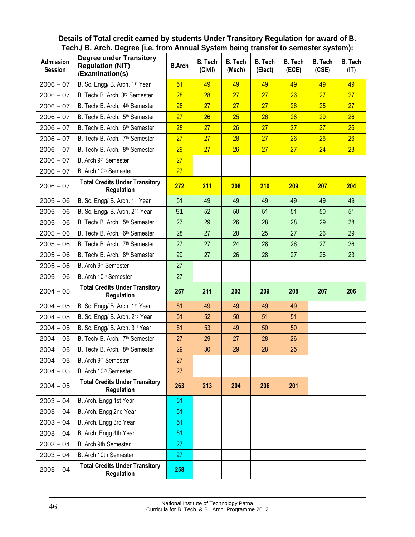<span id="page-45-0"></span>

| Details of Total credit earned by students Under Transitory Regulation for award of B.                                                                                                                                        |  |  |  |  |  |  |  |  |  |  |  |  |
|-------------------------------------------------------------------------------------------------------------------------------------------------------------------------------------------------------------------------------|--|--|--|--|--|--|--|--|--|--|--|--|
| Tech./ B. Arch. Degree (i.e. from Annual System being transfer to semester system):                                                                                                                                           |  |  |  |  |  |  |  |  |  |  |  |  |
| The company of the most of the company of the company of the company of the company of the company of the company of the company of the company of the company of the company of the company of the company of the company of |  |  |  |  |  |  |  |  |  |  |  |  |

| <b>Admission</b><br><b>Session</b> | <b>Degree under Transitory</b><br><b>Regulation (NIT)</b><br>/Examination(s) | <b>B.Arch</b> | <b>B.</b> Tech<br>(Civil) | <b>B.</b> Tech<br>(Mech) | <b>B.</b> Tech<br>(Elect) | <b>B.</b> Tech<br>(ECE) | <b>B.</b> Tech<br>(CSE) | <b>B.</b> Tech<br>(IT) |
|------------------------------------|------------------------------------------------------------------------------|---------------|---------------------------|--------------------------|---------------------------|-------------------------|-------------------------|------------------------|
| $2006 - 07$                        | B. Sc. Engg/ B. Arch. 1st Year                                               | 51            | 49                        | 49                       | 49                        | 49                      | 49                      | 49                     |
| $2006 - 07$                        | B. Tech/ B. Arch. 3rd Semester                                               | 28            | 28                        | 27                       | 27                        | 26                      | 27                      | 27                     |
| $2006 - 07$                        | B. Tech/ B. Arch. 4 <sup>th</sup> Semester                                   | 28            | 27                        | 27                       | 27                        | 26                      | 25                      | 27                     |
| $2006 - 07$                        | B. Tech/ B. Arch. 5 <sup>th</sup> Semester                                   | 27            | 26                        | 25                       | 26                        | 28                      | 29                      | 26                     |
| $2006 - 07$                        | B. Tech/ B. Arch. 6 <sup>th</sup> Semester                                   | 28            | 27                        | 26                       | 27                        | 27                      | 27                      | 26                     |
| $2006 - 07$                        | B. Tech/ B. Arch. 7 <sup>th</sup> Semester                                   | 27            | 27                        | 28                       | 27                        | 26                      | 26                      | 26                     |
| $2006 - 07$                        | B. Tech/ B. Arch. 8 <sup>th</sup> Semester                                   | 29            | 27                        | 26                       | 27                        | 27                      | 24                      | 23                     |
| $2006 - 07$                        | B. Arch 9 <sup>th</sup> Semester                                             | 27            |                           |                          |                           |                         |                         |                        |
| $2006 - 07$                        | B. Arch 10 <sup>th</sup> Semester                                            | 27            |                           |                          |                           |                         |                         |                        |
| $2006 - 07$                        | <b>Total Credits Under Transitory</b><br>Regulation                          | 272           | 211                       | 208                      | <b>210</b>                | 209                     | 207                     | 204                    |
| $2005 - 06$                        | B. Sc. Engg/ B. Arch. 1st Year                                               | 51            | 49                        | 49                       | 49                        | 49                      | 49                      | 49                     |
| $2005 - 06$                        | B. Sc. Engg/ B. Arch. 2nd Year                                               | 51            | 52                        | 50                       | 51                        | 51                      | 50                      | 51                     |
| $2005 - 06$                        | B. Tech/ B. Arch. 5 <sup>th</sup> Semester                                   | 27            | 29                        | 26                       | 28                        | 28                      | 29                      | 28                     |
| $2005 - 06$                        | B. Tech/ B. Arch. 6 <sup>th</sup> Semester                                   | 28            | 27                        | 28                       | 25                        | 27                      | 26                      | 29                     |
| $2005 - 06$                        | B. Tech/ B. Arch. 7 <sup>th</sup> Semester                                   | 27            | 27                        | 24                       | 28                        | 26                      | 27                      | 26                     |
| $2005 - 06$                        | B. Tech/ B. Arch. 8 <sup>th</sup> Semester                                   | 29            | 27                        | 26                       | 28                        | 27                      | 26                      | 23                     |
| $2005 - 06$                        | B. Arch 9th Semester                                                         | 27            |                           |                          |                           |                         |                         |                        |
| $2005 - 06$                        | B. Arch 10 <sup>th</sup> Semester                                            | 27            |                           |                          |                           |                         |                         |                        |
| $2004 - 05$                        | <b>Total Credits Under Transitory</b><br><b>Regulation</b>                   | 267           | 211                       | 203                      | 209                       | 208                     | 207                     | 206                    |
| $2004 - 05$                        | B. Sc. Engg/ B. Arch. 1st Year                                               | 51            | 49                        | 49                       | 49                        | 49                      |                         |                        |
| $2004 - 05$                        | B. Sc. Engg/ B. Arch. 2nd Year                                               | 51            | 52                        | 50                       | 51                        | 51                      |                         |                        |
| $2004 - 05$                        | B. Sc. Engg/ B. Arch. 3rd Year                                               | 51            | 53                        | 49                       | 50                        | 50                      |                         |                        |
| $2004 - 05$                        | B. Tech/ B. Arch. 7 <sup>th</sup> Semester                                   | 27            | 29                        | 27                       | 28                        | 26                      |                         |                        |
| $2004 - 05$                        | B. Tech/ B. Arch. 8 <sup>th</sup> Semester                                   | 29            | 30                        | 29                       | 28                        | 25                      |                         |                        |
| $2004 - 05$                        | B. Arch 9 <sup>th</sup> Semester                                             | 27            |                           |                          |                           |                         |                         |                        |
| $2004 - 05$                        | B. Arch 10 <sup>th</sup> Semester                                            | 27            |                           |                          |                           |                         |                         |                        |
| $2004 - 05$                        | <b>Total Credits Under Transitory</b><br>Regulation                          | 263           | 213                       | 204                      | 206                       | 201                     |                         |                        |
| $2003 - 04$                        | B. Arch. Engg 1st Year                                                       | 51            |                           |                          |                           |                         |                         |                        |
| $2003 - 04$                        | B. Arch. Engg 2nd Year                                                       | 51            |                           |                          |                           |                         |                         |                        |
| $2003 - 04$                        | B. Arch. Engg 3rd Year                                                       | 51            |                           |                          |                           |                         |                         |                        |
| $2003 - 04$                        | B. Arch. Engg 4th Year                                                       | 51            |                           |                          |                           |                         |                         |                        |
| $2003 - 04$                        | B. Arch 9th Semester                                                         | 27            |                           |                          |                           |                         |                         |                        |
| $2003 - 04$                        | B. Arch 10th Semester                                                        | 27            |                           |                          |                           |                         |                         |                        |
| $2003 - 04$                        | <b>Total Credits Under Transitory</b><br>Regulation                          | 258           |                           |                          |                           |                         |                         |                        |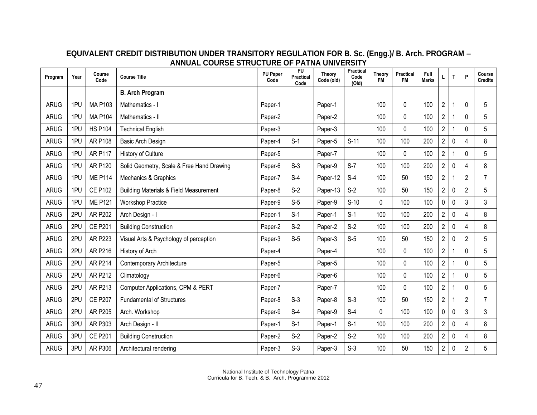<span id="page-46-0"></span>

| Program     | Year | Course<br>Code | <b>Course Title</b>                               | <b>PU Paper</b><br>Code | PU<br><b>Practical</b><br>Code | <b>Theory</b><br>Code (old) | Practical<br>Code<br>(Old) | Theory<br><b>FM</b> | Practical<br>FM | Full<br><b>Marks</b> | L              | T           | P              | Course<br><b>Credits</b> |
|-------------|------|----------------|---------------------------------------------------|-------------------------|--------------------------------|-----------------------------|----------------------------|---------------------|-----------------|----------------------|----------------|-------------|----------------|--------------------------|
|             |      |                | <b>B. Arch Program</b>                            |                         |                                |                             |                            |                     |                 |                      |                |             |                |                          |
| ARUG        | 1PU  | <b>MA P103</b> | Mathematics - I                                   | Paper-1                 |                                | Paper-1                     |                            | 100                 | 0               | 100                  | $\mathbf{2}$   |             | $\Omega$       | 5                        |
| ARUG        | 1PU  | <b>MA P104</b> | Mathematics - II                                  | Paper-2                 |                                | Paper-2                     |                            | 100                 | $\mathbf{0}$    | 100                  | $\overline{2}$ |             | $\Omega$       | 5                        |
| <b>ARUG</b> | 1PU  | <b>HS P104</b> | <b>Technical English</b>                          | Paper-3                 |                                | Paper-3                     |                            | 100                 | $\pmb{0}$       | 100                  | $\overline{2}$ |             | $\Omega$       | 5                        |
| <b>ARUG</b> | 1PU  | <b>AR P108</b> | Basic Arch Design                                 | Paper-4                 | $S-1$                          | Paper-5                     | $S-11$                     | 100                 | 100             | 200                  | $\overline{2}$ | 0           | Δ              | 8                        |
| ARUG        | 1PU  | <b>AR P117</b> | <b>History of Culture</b>                         | Paper-5                 |                                | Paper-7                     |                            | 100                 | $\pmb{0}$       | 100                  | $\overline{2}$ |             | 0              | 5                        |
| <b>ARUG</b> | 1PU  | <b>AR P120</b> | Solid Geometry, Scale & Free Hand Drawing         | Paper-6                 | $S-3$                          | Paper-9                     | $S-7$                      | 100                 | 100             | 200                  | $\overline{2}$ | 0           | 4              | 8                        |
| <b>ARUG</b> | 1PU  | <b>ME P114</b> | Mechanics & Graphics                              | Paper-7                 | $S-4$                          | Paper-12                    | $S-4$                      | 100                 | 50              | 150                  | $\overline{2}$ |             | $\overline{2}$ | $\overline{7}$           |
| <b>ARUG</b> | 1PU  | <b>CE P102</b> | <b>Building Materials &amp; Field Measurement</b> | Paper-8                 | $S-2$                          | Paper-13                    | $S-2$                      | 100                 | 50              | 150                  | $\overline{2}$ | $\mathbf 0$ | $\overline{2}$ | 5                        |
| <b>ARUG</b> | 1PU  | <b>ME P121</b> | <b>Workshop Practice</b>                          | Paper-9                 | $S-5$                          | Paper-9                     | $S-10$                     | $\Omega$            | 100             | 100                  | 0              | 0           | 3              | 3                        |
| ARUG        | 2PU  | <b>AR P202</b> | Arch Design - I                                   | Paper-1                 | $S-1$                          | Paper-1                     | $S-1$                      | 100                 | 100             | 200                  | $\mathbf{2}$   | 0           | 4              | 8                        |
| ARUG        | 2PU  | <b>CE P201</b> | <b>Building Construction</b>                      | Paper-2                 | $S-2$                          | Paper-2                     | $S-2$                      | 100                 | 100             | 200                  | $\overline{2}$ | 0           | 4              | 8                        |
| ARUG        | 2PU  | <b>AR P223</b> | Visual Arts & Psychology of perception            | Paper-3                 | $S-5$                          | Paper-3                     | $S-5$                      | 100                 | 50              | 150                  | $\overline{2}$ | 0           | $\overline{2}$ | 5                        |
| <b>ARUG</b> | 2PU  | AR P216        | History of Arch                                   | Paper-4                 |                                | Paper-4                     |                            | 100                 | 0               | 100                  | $\overline{2}$ |             | $\Omega$       | 5                        |
| ARUG        | 2PU  | AR P214        | Contemporary Architecture                         | Paper-5                 |                                | Paper-5                     |                            | 100                 | 0               | 100                  | $\overline{2}$ |             | 0              | 5                        |
| ARUG        | 2PU  | AR P212        | Climatology                                       | Paper-6                 |                                | Paper-6                     |                            | 100                 | $\pmb{0}$       | 100                  | $\overline{2}$ |             | $\Omega$       | 5                        |
| <b>ARUG</b> | 2PU  | AR P213        | Computer Applications, CPM & PERT                 | Paper-7                 |                                | Paper-7                     |                            | 100                 | 0               | 100                  | $\overline{2}$ |             | $\Omega$       | 5                        |
| ARUG        | 2PU  | <b>CE P207</b> | <b>Fundamental of Structures</b>                  | Paper-8                 | $S-3$                          | Paper-8                     | $S-3$                      | 100                 | 50              | 150                  | $\mathbf{2}$   |             | $\overline{2}$ | $\overline{7}$           |
| <b>ARUG</b> | 2PU  | AR P205        | Arch. Workshop                                    | Paper-9                 | $S-4$                          | Paper-9                     | $S-4$                      | 0                   | 100             | 100                  | 0              | 0           | 3              | 3                        |
| ARUG        | 3PU  | AR P303        | Arch Design - II                                  | Paper-1                 | $S-1$                          | Paper-1                     | $S-1$                      | 100                 | 100             | 200                  | $\overline{c}$ | 0           | 4              | 8                        |
| ARUG        | 3PU  | <b>CE P201</b> | <b>Building Construction</b>                      | Paper-2                 | $S-2$                          | Paper-2                     | $S-2$                      | 100                 | 100             | 200                  | $\overline{2}$ | 0           | 4              | 8                        |
| <b>ARUG</b> | 3PU  | AR P306        | Architectural rendering                           | Paper-3                 | $S-3$                          | Paper-3                     | $S-3$                      | 100                 | 50              | 150                  | $\overline{2}$ | 0           | $\overline{c}$ | 5                        |

#### **EQUIVALENT CREDIT DISTRIBUTION UNDER TRANSITORY REGULATION FOR B. Sc. (Engg.)/ B. Arch. PROGRAM – ANNUAL COURSE STRUCTURE OF PATNA UNIVERSITY**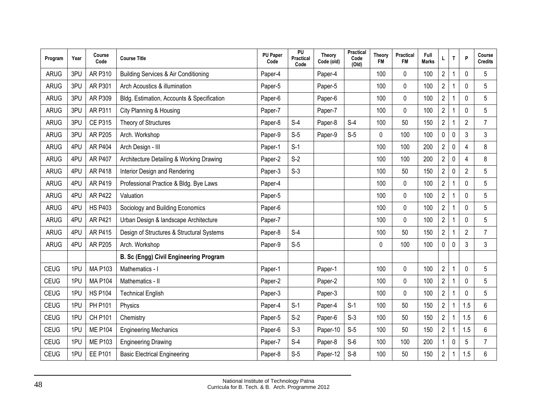| Program     | Year | Course<br>Code | <b>Course Title</b>                        | <b>PU Paper</b><br>Code | PU<br>Practical<br>Code | <b>Theory</b><br>Code (old) | Practical<br>Code<br>(Old) | <b>Theory</b><br><b>FM</b> | <b>Practical</b><br><b>FM</b> | Full<br><b>Marks</b> |                         | T            | P                     | Course<br><b>Credits</b> |
|-------------|------|----------------|--------------------------------------------|-------------------------|-------------------------|-----------------------------|----------------------------|----------------------------|-------------------------------|----------------------|-------------------------|--------------|-----------------------|--------------------------|
| <b>ARUG</b> | 3PU  | AR P310        | Building Services & Air Conditioning       | Paper-4                 |                         | Paper-4                     |                            | 100                        | $\Omega$                      | 100                  | $\overline{2}$          |              | $\Omega$              | 5                        |
| <b>ARUG</b> | 3PU  | AR P301        | Arch Acoustics & illumination              | Paper-5                 |                         | Paper-5                     |                            | 100                        | 0                             | 100                  | $\overline{2}$          |              | 0                     | 5                        |
| <b>ARUG</b> | 3PU  | AR P309        | Bldg. Estimation, Accounts & Specification | Paper-6                 |                         | Paper-6                     |                            | 100                        | $\mathbf 0$                   | 100                  | $\overline{2}$          |              | 0                     | 5                        |
| <b>ARUG</b> | 3PU  | <b>AR P311</b> | City Planning & Housing                    | Paper-7                 |                         | Paper-7                     |                            | 100                        | $\mathbf 0$                   | 100                  | $\sqrt{2}$              |              | $\mathbf 0$           | 5                        |
| <b>ARUG</b> | 3PU  | <b>CE P315</b> | Theory of Structures                       | Paper-8                 | $S-4$                   | Paper-8                     | $S-4$                      | 100                        | 50                            | 150                  | $\overline{2}$          |              | $\overline{2}$        | $\overline{7}$           |
| <b>ARUG</b> | 3PU  | <b>AR P205</b> | Arch. Workshop                             | Paper-9                 | $S-5$                   | Paper-9                     | $S-5$                      | 0                          | 100                           | 100                  | $\pmb{0}$               | $\mathbf 0$  | 3                     | 3                        |
| <b>ARUG</b> | 4PU  | <b>AR P404</b> | Arch Design - III                          | Paper-1                 | $S-1$                   |                             |                            | 100                        | 100                           | 200                  | $\overline{2}$          | $\mathbf 0$  | $\boldsymbol{\Delta}$ | 8                        |
| <b>ARUG</b> | 4PU  | <b>AR P407</b> | Architecture Detailing & Working Drawing   | Paper-2                 | $S-2$                   |                             |                            | 100                        | 100                           | 200                  | $\overline{\mathbf{c}}$ | 0            | $\overline{4}$        | 8                        |
| <b>ARUG</b> | 4PU  | <b>AR P418</b> | Interior Design and Rendering              | Paper-3                 | $S-3$                   |                             |                            | 100                        | 50                            | 150                  | $\overline{c}$          | $\mathbf 0$  | $\overline{2}$        | 5                        |
| <b>ARUG</b> | 4PU  | <b>AR P419</b> | Professional Practice & Bldg. Bye Laws     | Paper-4                 |                         |                             |                            | 100                        | 0                             | 100                  | $\overline{2}$          |              | $\mathbf 0$           | 5                        |
| <b>ARUG</b> | 4PU  | <b>AR P422</b> | Valuation                                  | Paper-5                 |                         |                             |                            | 100                        | 0                             | 100                  | $\overline{2}$          |              | $\Omega$              | 5                        |
| <b>ARUG</b> | 4PU  | <b>HS P403</b> | Sociology and Building Economics           | Paper-6                 |                         |                             |                            | 100                        | $\pmb{0}$                     | 100                  | $\overline{\mathbf{c}}$ |              | 0                     | 5                        |
| <b>ARUG</b> | 4PU  | <b>AR P421</b> | Urban Design & landscape Architecture      | Paper-7                 |                         |                             |                            | 100                        | $\mathbf 0$                   | 100                  | $\overline{c}$          |              | $\mathbf 0$           | 5                        |
| <b>ARUG</b> | 4PU  | <b>AR P415</b> | Design of Structures & Structural Systems  | Paper-8                 | $S-4$                   |                             |                            | 100                        | 50                            | 150                  | $\overline{2}$          |              | $\overline{2}$        | $\overline{7}$           |
| <b>ARUG</b> | 4PU  | AR P205        | Arch. Workshop                             | Paper-9                 | $S-5$                   |                             |                            | $\mathbf 0$                | 100                           | 100                  | $\pmb{0}$               | $\mathbf{0}$ | 3                     | 3                        |
|             |      |                | B. Sc (Engg) Civil Engineering Program     |                         |                         |                             |                            |                            |                               |                      |                         |              |                       |                          |
| <b>CEUG</b> | 1PU  | <b>MA P103</b> | Mathematics - I                            | Paper-1                 |                         | Paper-1                     |                            | 100                        | $\pmb{0}$                     | 100                  | $\sqrt{2}$              |              | $\pmb{0}$             | 5                        |
| <b>CEUG</b> | 1PU  | <b>MA P104</b> | Mathematics - II                           | Paper-2                 |                         | Paper-2                     |                            | 100                        | $\mathbf 0$                   | 100                  | $\overline{c}$          |              | 0                     | 5                        |
| <b>CEUG</b> | 1PU  | <b>HS P104</b> | <b>Technical English</b>                   | Paper-3                 |                         | Paper-3                     |                            | 100                        | $\mathbf{0}$                  | 100                  | $\sqrt{2}$              |              | $\Omega$              | 5                        |
| <b>CEUG</b> | 1PU  | <b>PH P101</b> | Physics                                    | Paper-4                 | $S-1$                   | Paper-4                     | $S-1$                      | 100                        | 50                            | 150                  | $\overline{2}$          |              | 1.5                   | 6                        |
| <b>CEUG</b> | 1PU  | <b>CH P101</b> | Chemistry                                  | Paper-5                 | $S-2$                   | Paper-6                     | $S-3$                      | 100                        | 50                            | 150                  | $\overline{2}$          |              | 1.5                   | 6                        |
| <b>CEUG</b> | 1PU  | <b>ME P104</b> | <b>Engineering Mechanics</b>               | Paper-6                 | $S-3$                   | Paper-10                    | $S-5$                      | 100                        | 50                            | 150                  | $\overline{2}$          |              | 1.5                   | 6                        |
| <b>CEUG</b> | 1PU  | <b>ME P103</b> | <b>Engineering Drawing</b>                 | Paper-7                 | $S-4$                   | Paper-8                     | $S-6$                      | 100                        | 100                           | 200                  |                         | $\mathbf 0$  | 5                     | $\overline{7}$           |
| <b>CEUG</b> | 1PU  | <b>EE P101</b> | <b>Basic Electrical Engineering</b>        | Paper-8                 | $S-5$                   | Paper-12                    | $S-8$                      | 100                        | 50                            | 150                  | $\boldsymbol{2}$        |              | 1.5                   | 6                        |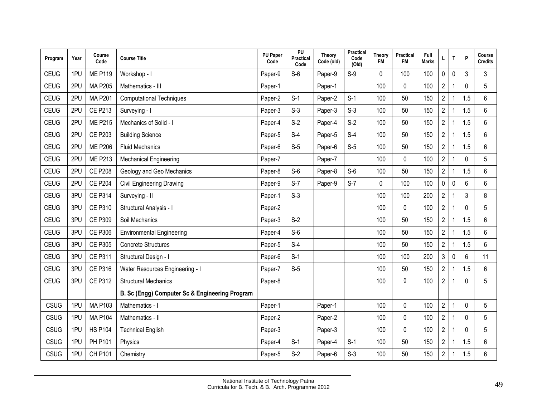| Program     | Year | Course<br>Code | <b>Course Title</b>                            | <b>PU Paper</b><br>Code | PU<br>Practical<br>Code | Theory<br>Code (old) | <b>Practical</b><br>Code<br>(Old) | Theory<br><b>FM</b> | <b>Practical</b><br><b>FM</b> | Full<br><b>Marks</b> |                         | T           | P           | Course<br><b>Credits</b> |
|-------------|------|----------------|------------------------------------------------|-------------------------|-------------------------|----------------------|-----------------------------------|---------------------|-------------------------------|----------------------|-------------------------|-------------|-------------|--------------------------|
| <b>CEUG</b> | 1PU  | <b>ME P119</b> | Workshop - I                                   | Paper-9                 | $S-6$                   | Paper-9              | $S-9$                             | 0                   | 100                           | 100                  | 0                       | 0           | 3           | 3                        |
| <b>CEUG</b> | 2PU  | <b>MA P205</b> | Mathematics - III                              | Paper-1                 |                         | Paper-1              |                                   | 100                 | 0                             | 100                  | $\overline{2}$          |             | $\Omega$    | 5                        |
| <b>CEUG</b> | 2PU  | <b>MA P201</b> | <b>Computational Techniques</b>                | Paper-2                 | $S-1$                   | Paper-2              | $S-1$                             | 100                 | 50                            | 150                  | $\overline{2}$          |             | 1.5         | 6                        |
| <b>CEUG</b> | 2PU  | <b>CE P213</b> | Surveying - I                                  | Paper-3                 | $S-3$                   | Paper-3              | $S-3$                             | 100                 | 50                            | 150                  | $\overline{2}$          |             | 1.5         | 6                        |
| <b>CEUG</b> | 2PU  | <b>ME P215</b> | Mechanics of Solid - I                         | Paper-4                 | $S-2$                   | Paper-4              | $S-2$                             | 100                 | 50                            | 150                  | $\overline{2}$          |             | 1.5         | 6                        |
| <b>CEUG</b> | 2PU  | <b>CE P203</b> | <b>Building Science</b>                        | Paper-5                 | $S-4$                   | Paper-5              | $S-4$                             | 100                 | 50                            | 150                  | $\overline{2}$          |             | 1.5         | 6                        |
| <b>CEUG</b> | 2PU  | <b>ME P206</b> | <b>Fluid Mechanics</b>                         | Paper-6                 | $S-5$                   | Paper-6              | $S-5$                             | 100                 | 50                            | 150                  | $\overline{2}$          |             | 1.5         | $6\phantom{1}$           |
| <b>CEUG</b> | 2PU  | <b>ME P213</b> | <b>Mechanical Engineering</b>                  | Paper-7                 |                         | Paper-7              |                                   | 100                 | 0                             | 100                  | $\overline{2}$          |             | $\Omega$    | 5                        |
| <b>CEUG</b> | 2PU  | <b>CE P208</b> | Geology and Geo Mechanics                      | Paper-8                 | $S-6$                   | Paper-8              | $S-6$                             | 100                 | 50                            | 150                  | $\overline{2}$          |             | 1.5         | 6                        |
| <b>CEUG</b> | 2PU  | <b>CE P204</b> | <b>Civil Engineering Drawing</b>               | Paper-9                 | $S-7$                   | Paper-9              | $S-7$                             | 0                   | 100                           | 100                  | 0                       | 0           | 6           | $6\phantom{1}$           |
| <b>CEUG</b> | 3PU  | <b>CE P314</b> | Surveying - II                                 | Paper-1                 | $S-3$                   |                      |                                   | 100                 | 100                           | 200                  | $\overline{2}$          |             | 3           | 8                        |
| <b>CEUG</b> | 3PU  | <b>CE P310</b> | Structural Analysis - I                        | Paper-2                 |                         |                      |                                   | 100                 | $\pmb{0}$                     | 100                  | $\overline{\mathbf{c}}$ |             | $\Omega$    | 5                        |
| <b>CEUG</b> | 3PU  | <b>CE P309</b> | Soil Mechanics                                 | Paper-3                 | $S-2$                   |                      |                                   | 100                 | 50                            | 150                  | $\overline{2}$          |             | 1.5         | $6\phantom{1}$           |
| <b>CEUG</b> | 3PU  | <b>CE P306</b> | <b>Environmental Engineering</b>               | Paper-4                 | $S-6$                   |                      |                                   | 100                 | 50                            | 150                  | $\overline{2}$          |             | 1.5         | 6                        |
| <b>CEUG</b> | 3PU  | <b>CE P305</b> | <b>Concrete Structures</b>                     | Paper-5                 | $S-4$                   |                      |                                   | 100                 | 50                            | 150                  | $\overline{2}$          |             | 1.5         | 6                        |
| <b>CEUG</b> | 3PU  | <b>CE P311</b> | Structural Design - I                          | Paper-6                 | $S-1$                   |                      |                                   | 100                 | 100                           | 200                  | 3                       | $\mathbf 0$ | 6           | 11                       |
| <b>CEUG</b> | 3PU  | <b>CE P316</b> | <b>Water Resources Engineering - I</b>         | Paper-7                 | $S-5$                   |                      |                                   | 100                 | 50                            | 150                  | $\boldsymbol{2}$        |             | 1.5         | 6                        |
| <b>CEUG</b> | 3PU  | <b>CE P312</b> | <b>Structural Mechanics</b>                    | Paper-8                 |                         |                      |                                   | 100                 | 0                             | 100                  | $\overline{2}$          |             | 0           | 5                        |
|             |      |                | B. Sc (Engg) Computer Sc & Engineering Program |                         |                         |                      |                                   |                     |                               |                      |                         |             |             |                          |
| CSUG        | 1PU  | <b>MA P103</b> | Mathematics - I                                | Paper-1                 |                         | Paper-1              |                                   | 100                 | 0                             | 100                  | $\sqrt{2}$              |             | 0           | 5                        |
| CSUG        | 1PU  | <b>MA P104</b> | Mathematics - II                               | Paper-2                 |                         | Paper-2              |                                   | 100                 | 0                             | 100                  | $\overline{2}$          |             | $\mathbf 0$ | 5                        |
| CSUG        | 1PU  | <b>HS P104</b> | <b>Technical English</b>                       | Paper-3                 |                         | Paper-3              |                                   | 100                 | 0                             | 100                  | $\overline{2}$          |             | $\Omega$    | 5                        |
| CSUG        | 1PU  | <b>PH P101</b> | Physics                                        | Paper-4                 | $S-1$                   | Paper-4              | $S-1$                             | 100                 | 50                            | 150                  | $\boldsymbol{2}$        |             | 1.5         | $\,6\,$                  |
| CSUG        | 1PU  | <b>CH P101</b> | Chemistry                                      | Paper-5                 | $S-2$                   | Paper-6              | $S-3$                             | 100                 | 50                            | 150                  | $\overline{2}$          |             | 1.5         | 6                        |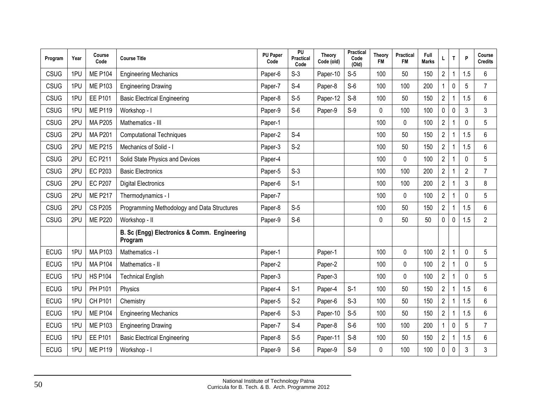| Program     | Year | Course<br>Code | <b>Course Title</b>                                     | <b>PU Paper</b><br>Code | PU<br>Practical<br>Code | Theory<br>Code (old) | Practical<br>Code<br>(Old) | <b>Theory</b><br><b>FM</b> | Practical<br><b>FM</b> | Full<br><b>Marks</b> | L                       | Τ | P               | Course<br><b>Credits</b> |
|-------------|------|----------------|---------------------------------------------------------|-------------------------|-------------------------|----------------------|----------------------------|----------------------------|------------------------|----------------------|-------------------------|---|-----------------|--------------------------|
| CSUG        | 1PU  | <b>ME P104</b> | <b>Engineering Mechanics</b>                            | Paper-6                 | $S-3$                   | Paper-10             | $S-5$                      | 100                        | 50                     | 150                  | $\overline{c}$          |   | 1.5             | $\,6\,$                  |
| CSUG        | 1PU  | <b>ME P103</b> | <b>Engineering Drawing</b>                              | Paper-7                 | $S-4$                   | Paper-8              | $S-6$                      | 100                        | 100                    | 200                  |                         | 0 | 5               | $\overline{7}$           |
| CSUG        | 1PU  | <b>EE P101</b> | <b>Basic Electrical Engineering</b>                     | Paper-8                 | $S-5$                   | Paper-12             | $S-8$                      | 100                        | 50                     | 150                  | $\overline{c}$          |   | .5              | $\,6\,$                  |
| CSUG        | 1PU  | <b>ME P119</b> | Workshop - I                                            | Paper-9                 | $S-6$                   | Paper-9              | $S-9$                      | 0                          | 100                    | 100                  | 0                       | 0 | 3               | 3                        |
| CSUG        | 2PU  | <b>MA P205</b> | Mathematics - III                                       | Paper-1                 |                         |                      |                            | 100                        | $\pmb{0}$              | 100                  | $\overline{2}$          |   | 0               | 5                        |
| <b>CSUG</b> | 2PU  | <b>MA P201</b> | <b>Computational Techniques</b>                         | Paper-2                 | $S-4$                   |                      |                            | 100                        | 50                     | 150                  | $\overline{2}$          |   | 1.5             | 6                        |
| <b>CSUG</b> | 2PU  | <b>ME P215</b> | Mechanics of Solid - I                                  | Paper-3                 | $S-2$                   |                      |                            | 100                        | 50                     | 150                  | $\overline{2}$          |   | 1.5             | 6                        |
| <b>CSUG</b> | 2PU  | <b>EC P211</b> | Solid State Physics and Devices                         | Paper-4                 |                         |                      |                            | 100                        | 0                      | 100                  | $\overline{c}$          |   | $\mathbf{0}$    | 5                        |
| <b>CSUG</b> | 2PU  | <b>EC P203</b> | <b>Basic Electronics</b>                                | Paper-5                 | $S-3$                   |                      |                            | 100                        | 100                    | 200                  | $\overline{2}$          |   | $\overline{2}$  | $\overline{7}$           |
| <b>CSUG</b> | 2PU  | <b>EC P207</b> | <b>Digital Electronics</b>                              | Paper-6                 | $S-1$                   |                      |                            | 100                        | 100                    | 200                  | $\overline{2}$          |   | 3               | 8                        |
| <b>CSUG</b> | 2PU  | <b>ME P217</b> | Thermodynamics - I                                      | Paper-7                 |                         |                      |                            | 100                        | $\mathbf 0$            | 100                  | $\overline{2}$          |   | $\mathbf 0$     | 5                        |
| <b>CSUG</b> | 2PU  | <b>CS P205</b> | Programming Methodology and Data Structures             | Paper-8                 | $S-5$                   |                      |                            | 100                        | 50                     | 150                  | $\overline{c}$          |   | 1.5             | 6                        |
| CSUG        | 2PU  | <b>ME P220</b> | Workshop - II                                           | Paper-9                 | $S-6$                   |                      |                            | 0                          | 50                     | 50                   | 0                       | 0 | 1.5             | $\overline{2}$           |
|             |      |                | B. Sc (Engg) Electronics & Comm. Engineering<br>Program |                         |                         |                      |                            |                            |                        |                      |                         |   |                 |                          |
| <b>ECUG</b> | 1PU  | <b>MA P103</b> | Mathematics - I                                         | Paper-1                 |                         | Paper-1              |                            | 100                        | $\pmb{0}$              | 100                  | $\overline{2}$          |   | $\mathbf 0$     | 5                        |
| <b>ECUG</b> | 1PU  | <b>MA P104</b> | Mathematics - II                                        | Paper-2                 |                         | Paper-2              |                            | 100                        | 0                      | 100                  | $\overline{2}$          |   | 0               | 5                        |
| <b>ECUG</b> | 1PU  | <b>HS P104</b> | <b>Technical English</b>                                | Paper-3                 |                         | Paper-3              |                            | 100                        | $\mathbf 0$            | 100                  | $\overline{\mathbf{c}}$ |   | 0               | 5                        |
| <b>ECUG</b> | 1PU  | <b>PH P101</b> | Physics                                                 | Paper-4                 | $S-1$                   | Paper-4              | $S-1$                      | 100                        | 50                     | 150                  | $\overline{2}$          |   | 1.5             | 6                        |
| <b>ECUG</b> | 1PU  | <b>CH P101</b> | Chemistry                                               | Paper-5                 | $S-2$                   | Paper-6              | $S-3$                      | 100                        | 50                     | 150                  | $\overline{2}$          |   | 1.5             | 6                        |
| <b>ECUG</b> | 1PU  | <b>ME P104</b> | <b>Engineering Mechanics</b>                            | Paper-6                 | $S-3$                   | Paper-10             | $S-5$                      | 100                        | 50                     | 150                  | $\overline{2}$          |   | .5<br>1         | 6                        |
| <b>ECUG</b> | 1PU  | <b>ME P103</b> | <b>Engineering Drawing</b>                              | Paper-7                 | $S-4$                   | Paper-8              | $S-6$                      | 100                        | 100                    | 200                  |                         | 0 | 5               | $\overline{7}$           |
| <b>ECUG</b> | 1PU  | <b>EE P101</b> | <b>Basic Electrical Engineering</b>                     | Paper-8                 | $S-5$                   | Paper-11             | $S-8$                      | 100                        | 50                     | 150                  | $\overline{c}$          |   | $5\phantom{.0}$ | 6                        |
| <b>ECUG</b> | 1PU  | <b>ME P119</b> | Workshop - I                                            | Paper-9                 | $S-6$                   | Paper-9              | $S-9$                      | 0                          | 100                    | 100                  | 0                       | 0 | 3               | 3                        |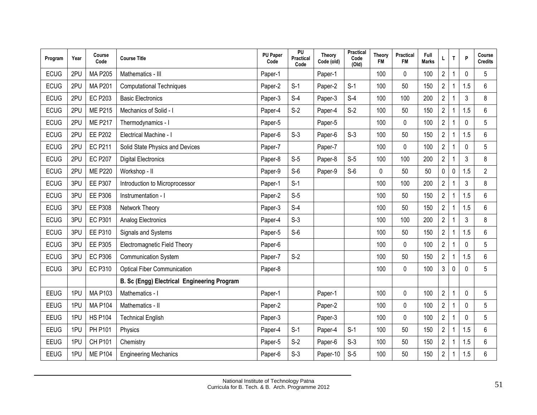| Program     | Year | Course<br>Code | <b>Course Title</b>                         | <b>PU Paper</b><br>Code | PU<br>Practical<br>Code | Theory<br>Code (old) | Practical<br>Code<br>(Old) | Theory<br><b>FM</b> | Practical<br><b>FM</b> | Full<br><b>Marks</b> | L                       | T            | P           | Course<br><b>Credits</b> |
|-------------|------|----------------|---------------------------------------------|-------------------------|-------------------------|----------------------|----------------------------|---------------------|------------------------|----------------------|-------------------------|--------------|-------------|--------------------------|
| <b>ECUG</b> | 2PU  | <b>MA P205</b> | Mathematics - III                           | Paper-1                 |                         | Paper-1              |                            | 100                 | 0                      | 100                  | $\overline{c}$          | 1            | $\Omega$    | 5                        |
| <b>ECUG</b> | 2PU  | <b>MA P201</b> | <b>Computational Techniques</b>             | Paper-2                 | $S-1$                   | Paper-2              | $S-1$                      | 100                 | 50                     | 150                  | $\overline{c}$          | 1            | 1.5         | 6                        |
| <b>ECUG</b> | 2PU  | <b>EC P203</b> | <b>Basic Electronics</b>                    | Paper-3                 | $S-4$                   | Paper-3              | $S-4$                      | 100                 | 100                    | 200                  | $\overline{2}$          | 1            | 3           | 8                        |
| <b>ECUG</b> | 2PU  | <b>ME P215</b> | Mechanics of Solid - I                      | Paper-4                 | $S-2$                   | Paper-4              | $S-2$                      | 100                 | 50                     | 150                  | $\overline{2}$          | 1            | 1.5         | 6                        |
| <b>ECUG</b> | 2PU  | <b>ME P217</b> | Thermodynamics - I                          | Paper-5                 |                         | Paper-5              |                            | 100                 | 0                      | 100                  | $\overline{2}$          | 1            | $\Omega$    | 5                        |
| <b>ECUG</b> | 2PU  | <b>EE P202</b> | Electrical Machine - I                      | Paper-6                 | $S-3$                   | Paper-6              | $S-3$                      | 100                 | 50                     | 150                  | $\overline{c}$          | 1            | 1.5         | 6                        |
| <b>ECUG</b> | 2PU  | <b>EC P211</b> | Solid State Physics and Devices             | Paper-7                 |                         | Paper-7              |                            | 100                 | $\Omega$               | 100                  | $\overline{2}$          | 1            | $\Omega$    | 5                        |
| <b>ECUG</b> | 2PU  | <b>EC P207</b> | <b>Digital Electronics</b>                  | Paper-8                 | $S-5$                   | Paper-8              | $S-5$                      | 100                 | 100                    | 200                  | $\overline{2}$          | 1            | 3           | 8                        |
| <b>ECUG</b> | 2PU  | <b>ME P220</b> | Workshop - II                               | Paper-9                 | $S-6$                   | Paper-9              | $S-6$                      | $\mathbf 0$         | 50                     | 50                   | 0                       | 0            | 1.5         | $\mathbf{2}$             |
| <b>ECUG</b> | 3PU  | <b>EE P307</b> | Introduction to Microprocessor              | Paper-1                 | $S-1$                   |                      |                            | 100                 | 100                    | 200                  | $\overline{2}$          |              | 3           | 8                        |
| <b>ECUG</b> | 3PU  | <b>EE P306</b> | Instrumentation - I                         | Paper-2                 | $S-5$                   |                      |                            | 100                 | 50                     | 150                  | $\overline{2}$          |              | 1.5         | 6                        |
| <b>ECUG</b> | 3PU  | <b>EE P308</b> | Network Theory                              | Paper-3                 | $S-4$                   |                      |                            | 100                 | 50                     | 150                  | $\overline{c}$          | 1            | 1.5         | 6                        |
| <b>ECUG</b> | 3PU  | <b>EC P301</b> | Analog Electronics                          | Paper-4                 | $S-3$                   |                      |                            | 100                 | 100                    | 200                  | $\overline{2}$          | 1            | 3           | 8                        |
| <b>ECUG</b> | 3PU  | <b>EE P310</b> | Signals and Systems                         | Paper-5                 | $S-6$                   |                      |                            | 100                 | 50                     | 150                  | $\overline{2}$          | 1            | 1.5         | 6                        |
| <b>ECUG</b> | 3PU  | <b>EE P305</b> | Electromagnetic Field Theory                | Paper-6                 |                         |                      |                            | 100                 | 0                      | 100                  | $\overline{2}$          | 1            | $\mathbf 0$ | 5                        |
| <b>ECUG</b> | 3PU  | <b>EC P306</b> | <b>Communication System</b>                 | Paper-7                 | $S-2$                   |                      |                            | 100                 | 50                     | 150                  | $\overline{2}$          | 1            | 1.5         | $6\phantom{1}$           |
| <b>ECUG</b> | 3PU  | <b>EC P310</b> | <b>Optical Fiber Communication</b>          | Paper-8                 |                         |                      |                            | 100                 | 0                      | 100                  | 3                       | 0            | $\Omega$    | 5                        |
|             |      |                | B. Sc (Engg) Electrical Engineering Program |                         |                         |                      |                            |                     |                        |                      |                         |              |             |                          |
| EEUG        | 1PU  | <b>MA P103</b> | Mathematics - I                             | Paper-1                 |                         | Paper-1              |                            | 100                 | 0                      | 100                  | $\overline{2}$          | 1            | $\Omega$    | 5                        |
| EEUG        | 1PU  | <b>MA P104</b> | Mathematics - II                            | Paper-2                 |                         | Paper-2              |                            | 100                 | 0                      | 100                  | $\overline{c}$          |              | $\Omega$    | 5                        |
| EEUG        | 1PU  | <b>HS P104</b> | <b>Technical English</b>                    | Paper-3                 |                         | Paper-3              |                            | 100                 | 0                      | 100                  | $\overline{2}$          |              | $\Omega$    | 5                        |
| <b>EEUG</b> | 1PU  | <b>PH P101</b> | Physics                                     | Paper-4                 | $S-1$                   | Paper-4              | $S-1$                      | 100                 | 50                     | 150                  | $\overline{2}$          |              | 1.5         | 6                        |
| EEUG        | 1PU  | CH P101        | Chemistry                                   | Paper-5                 | $S-2$                   | Paper-6              | $S-3$                      | 100                 | 50                     | 150                  | $\overline{\mathbf{c}}$ | 1            | 1.5         | 6                        |
| EEUG        | 1PU  | <b>ME P104</b> | <b>Engineering Mechanics</b>                | Paper-6                 | $S-3$                   | Paper-10             | $S-5$                      | 100                 | 50                     | 150                  | $\overline{2}$          | $\mathbf{1}$ | 1.5         | $6\,$                    |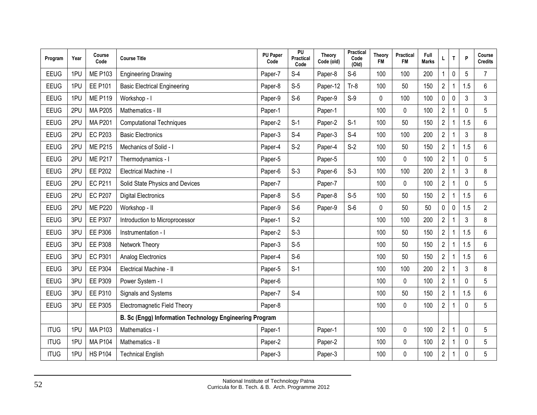| Program     | Year | Course<br>Code | <b>Course Title</b>                                     | <b>PU Paper</b><br>Code | PU<br>Practical<br>Code | Theory<br>Code (old) | Practical<br>Code<br>(Old) | Theory<br><b>FM</b> | Practical<br><b>FM</b> | Full<br><b>Marks</b> | L                       | T | P            | Course<br><b>Credits</b> |
|-------------|------|----------------|---------------------------------------------------------|-------------------------|-------------------------|----------------------|----------------------------|---------------------|------------------------|----------------------|-------------------------|---|--------------|--------------------------|
| EEUG        | 1PU  | <b>ME P103</b> | <b>Engineering Drawing</b>                              | Paper-7                 | $S-4$                   | Paper-8              | $S-6$                      | 100                 | 100                    | 200                  |                         | 0 | 5            | $\overline{7}$           |
| EEUG        | 1PU  | <b>EE P101</b> | <b>Basic Electrical Engineering</b>                     | Paper-8                 | $S-5$                   | Paper-12             | $Tr-8$                     | 100                 | 50                     | 150                  | $\overline{c}$          |   | 1.5          | 6                        |
| EEUG        | 1PU  | <b>ME P119</b> | Workshop - I                                            | Paper-9                 | $S-6$                   | Paper-9              | $S-9$                      | 0                   | 100                    | 100                  | 0                       | 0 | 3            | 3                        |
| EEUG        | 2PU  | <b>MA P205</b> | Mathematics - III                                       | Paper-1                 |                         | Paper-1              |                            | 100                 | $\mathbf 0$            | 100                  | $\overline{2}$          |   | $\mathbf 0$  | 5                        |
| EEUG        | 2PU  | <b>MA P201</b> | <b>Computational Techniques</b>                         | Paper-2                 | $S-1$                   | Paper-2              | $S-1$                      | 100                 | 50                     | 150                  | $\overline{2}$          |   | 1.5          | 6                        |
| <b>EEUG</b> | 2PU  | <b>EC P203</b> | <b>Basic Electronics</b>                                | Paper-3                 | $S-4$                   | Paper-3              | $S-4$                      | 100                 | 100                    | 200                  | $\overline{2}$          |   | 3            | 8                        |
| <b>EEUG</b> | 2PU  | <b>ME P215</b> | Mechanics of Solid - I                                  | Paper-4                 | $S-2$                   | Paper-4              | $S-2$                      | 100                 | 50                     | 150                  | $\overline{2}$          |   | 1.5          | $6\phantom{1}$           |
| <b>EEUG</b> | 2PU  | <b>ME P217</b> | Thermodynamics - I                                      | Paper-5                 |                         | Paper-5              |                            | 100                 | 0                      | 100                  | $\overline{c}$          |   | $\mathbf{0}$ | 5                        |
| EEUG        | 2PU  | <b>EE P202</b> | Electrical Machine - I                                  | Paper-6                 | $S-3$                   | Paper-6              | $S-3$                      | 100                 | 100                    | 200                  | $\overline{2}$          |   | 3            | 8                        |
| EEUG        | 2PU  | <b>EC P211</b> | Solid State Physics and Devices                         | Paper-7                 |                         | Paper-7              |                            | 100                 | 0                      | 100                  | $\overline{2}$          |   | $\mathbf 0$  | 5                        |
| EEUG        | 2PU  | <b>EC P207</b> | <b>Digital Electronics</b>                              | Paper-8                 | $S-5$                   | Paper-8              | $S-5$                      | 100                 | 50                     | 150                  | $\overline{2}$          |   | 1.5          | $6\phantom{1}$           |
| EEUG        | 2PU  | <b>ME P220</b> | Workshop - II                                           | Paper-9                 | $S-6$                   | Paper-9              | $S-6$                      | 0                   | 50                     | 50                   | 0                       | 0 | .5           | $\overline{2}$           |
| EEUG        | 3PU  | <b>EE P307</b> | Introduction to Microprocessor                          | Paper-1                 | $S-2$                   |                      |                            | 100                 | 100                    | 200                  | $\overline{c}$          |   | 3            | 8                        |
| <b>EEUG</b> | 3PU  | <b>EE P306</b> | Instrumentation - I                                     | Paper-2                 | $S-3$                   |                      |                            | 100                 | 50                     | 150                  | $\overline{2}$          |   | 1.5          | 6                        |
| <b>EEUG</b> | 3PU  | <b>EE P308</b> | Network Theory                                          | Paper-3                 | $S-5$                   |                      |                            | 100                 | 50                     | 150                  | $\overline{2}$          |   | 1.5          | $6\phantom{1}$           |
| EEUG        | 3PU  | <b>EC P301</b> | Analog Electronics                                      | Paper-4                 | $S-6$                   |                      |                            | 100                 | 50                     | 150                  | $\overline{2}$          | 1 | 1.5          | 6                        |
| EEUG        | 3PU  | <b>EE P304</b> | Electrical Machine - II                                 | Paper-5                 | $S-1$                   |                      |                            | 100                 | 100                    | 200                  | $\overline{2}$          |   | 3            | 8                        |
| EEUG        | 3PU  | <b>EE P309</b> | Power System - I                                        | Paper-6                 |                         |                      |                            | 100                 | $\pmb{0}$              | 100                  | $\overline{2}$          |   | $\mathbf 0$  | 5                        |
| <b>EEUG</b> | 3PU  | <b>EE P310</b> | Signals and Systems                                     | Paper-7                 | $S-4$                   |                      |                            | 100                 | 50                     | 150                  | $\overline{c}$          |   | 1.5          | 6                        |
| <b>EEUG</b> | 3PU  | <b>EE P305</b> | Electromagnetic Field Theory                            | Paper-8                 |                         |                      |                            | 100                 | 0                      | 100                  | $\overline{2}$          |   | 0            | 5                        |
|             |      |                | B. Sc (Engg) Information Technology Engineering Program |                         |                         |                      |                            |                     |                        |                      |                         |   |              |                          |
| <b>ITUG</b> | 1PU  | <b>MA P103</b> | Mathematics - I                                         | Paper-1                 |                         | Paper-1              |                            | 100                 | 0                      | 100                  | $\overline{c}$          |   | $\mathbf 0$  | 5                        |
| <b>ITUG</b> | 1PU  | <b>MA P104</b> | Mathematics - II                                        | Paper-2                 |                         | Paper-2              |                            | 100                 | $\pmb{0}$              | 100                  | $\overline{2}$          |   | 0            | 5                        |
| <b>ITUG</b> | 1PU  | <b>HS P104</b> | <b>Technical English</b>                                | Paper-3                 |                         | Paper-3              |                            | 100                 | 0                      | 100                  | $\overline{\mathbf{c}}$ |   | 0            | 5                        |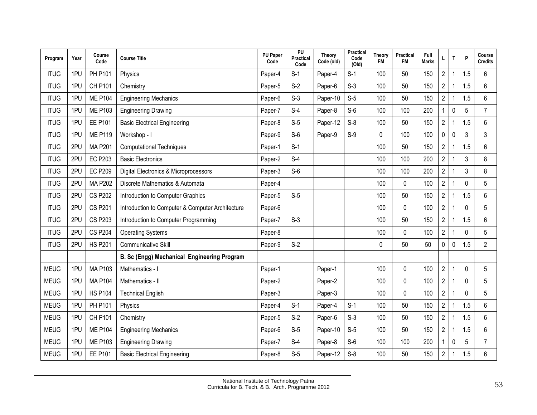| Program     | Year | Course<br>Code | <b>Course Title</b>                              | <b>PU Paper</b><br>Code | PU<br>Practical<br>Code | <b>Theory</b><br>Code (old) | <b>Practical</b><br>Code<br>(Old) | Theory<br><b>FM</b> | Practical<br><b>FM</b> | Full<br><b>Marks</b> |                | T           | P           | Course<br><b>Credits</b> |
|-------------|------|----------------|--------------------------------------------------|-------------------------|-------------------------|-----------------------------|-----------------------------------|---------------------|------------------------|----------------------|----------------|-------------|-------------|--------------------------|
| <b>ITUG</b> | 1PU  | <b>PH P101</b> | Physics                                          | Paper-4                 | $S-1$                   | Paper-4                     | $S-1$                             | 100                 | 50                     | 150                  | $\overline{2}$ |             | 1.5         | $6\phantom{1}$           |
| <b>ITUG</b> | 1PU  | <b>CH P101</b> | Chemistry                                        | Paper-5                 | $S-2$                   | Paper-6                     | $S-3$                             | 100                 | 50                     | 150                  | $\overline{2}$ |             | 1.5         | 6                        |
| <b>ITUG</b> | 1PU  | <b>ME P104</b> | <b>Engineering Mechanics</b>                     | Paper-6                 | $S-3$                   | Paper-10                    | $S-5$                             | 100                 | 50                     | 150                  | $\overline{2}$ | 1           | 1.5         | 6                        |
| <b>ITUG</b> | 1PU  | <b>ME P103</b> | <b>Engineering Drawing</b>                       | Paper-7                 | $S-4$                   | Paper-8                     | $S-6$                             | 100                 | 100                    | 200                  | $\mathbf{1}$   | $\mathbf 0$ | 5           | $\overline{7}$           |
| <b>ITUG</b> | 1PU  | <b>EE P101</b> | <b>Basic Electrical Engineering</b>              | Paper-8                 | $S-5$                   | Paper-12                    | $S-8$                             | 100                 | 50                     | 150                  | $\overline{2}$ |             | 1.5         | 6                        |
| <b>ITUG</b> | 1PU  | <b>ME P119</b> | Workshop - I                                     | Paper-9                 | $S-6$                   | Paper-9                     | $S-9$                             | 0                   | 100                    | 100                  | 0              | $\mathbf 0$ | 3           | 3                        |
| <b>ITUG</b> | 2PU  | <b>MA P201</b> | <b>Computational Techniques</b>                  | Paper-1                 | $S-1$                   |                             |                                   | 100                 | 50                     | 150                  | $\overline{2}$ |             | 1.5         | 6                        |
| <b>ITUG</b> | 2PU  | <b>EC P203</b> | <b>Basic Electronics</b>                         | Paper-2                 | $S-4$                   |                             |                                   | 100                 | 100                    | 200                  | $\overline{2}$ |             | 3           | 8                        |
| <b>ITUG</b> | 2PU  | <b>EC P209</b> | Digital Electronics & Microprocessors            | Paper-3                 | $S-6$                   |                             |                                   | 100                 | 100                    | 200                  | $\overline{2}$ |             | 3           | 8                        |
| <b>ITUG</b> | 2PU  | <b>MA P202</b> | Discrete Mathematics & Automata                  | Paper-4                 |                         |                             |                                   | 100                 | 0                      | 100                  | $\overline{2}$ |             | $\mathbf 0$ | 5                        |
| <b>ITUG</b> | 2PU  | <b>CS P202</b> | Introduction to Computer Graphics                | Paper-5                 | $S-5$                   |                             |                                   | 100                 | 50                     | 150                  | $\overline{2}$ |             | 1.5         | $6\phantom{1}$           |
| <b>ITUG</b> | 2PU  | <b>CS P201</b> | Introduction to Computer & Computer Architecture | Paper-6                 |                         |                             |                                   | 100                 | 0                      | 100                  | $\overline{2}$ |             | $\Omega$    | 5                        |
| <b>ITUG</b> | 2PU  | <b>CS P203</b> | Introduction to Computer Programming             | Paper-7                 | $S-3$                   |                             |                                   | 100                 | 50                     | 150                  | $\overline{2}$ |             | 1.5         | 6                        |
| <b>ITUG</b> | 2PU  | <b>CS P204</b> | <b>Operating Systems</b>                         | Paper-8                 |                         |                             |                                   | 100                 | $\mathbf 0$            | 100                  | $\overline{2}$ |             | 0           | 5                        |
| <b>ITUG</b> | 2PU  | <b>HS P201</b> | <b>Communicative Skill</b>                       | Paper-9                 | $S-2$                   |                             |                                   | $\mathbf{0}$        | 50                     | 50                   | 0              | $\mathbf 0$ | 1.5         | $\overline{2}$           |
|             |      |                | B. Sc (Engg) Mechanical Engineering Program      |                         |                         |                             |                                   |                     |                        |                      |                |             |             |                          |
| <b>MEUG</b> | 1PU  | <b>MA P103</b> | Mathematics - I                                  | Paper-1                 |                         | Paper-1                     |                                   | 100                 | 0                      | 100                  | $\overline{2}$ |             | 0           | 5                        |
| <b>MEUG</b> | 1PU  | <b>MA P104</b> | Mathematics - II                                 | Paper-2                 |                         | Paper-2                     |                                   | 100                 | 0                      | 100                  | $\overline{c}$ |             | 0           | 5                        |
| <b>MEUG</b> | 1PU  | <b>HS P104</b> | <b>Technical English</b>                         | Paper-3                 |                         | Paper-3                     |                                   | 100                 | 0                      | 100                  | $\overline{2}$ |             | 0           | 5                        |
| <b>MEUG</b> | 1PU  | <b>PH P101</b> | Physics                                          | Paper-4                 | $S-1$                   | Paper-4                     | $S-1$                             | 100                 | 50                     | 150                  | $\overline{2}$ |             | 1.5         | 6                        |
| <b>MEUG</b> | 1PU  | <b>CH P101</b> | Chemistry                                        | Paper-5                 | $S-2$                   | Paper-6                     | $S-3$                             | 100                 | 50                     | 150                  | $\overline{2}$ |             | 1.5         | 6                        |
| <b>MEUG</b> | 1PU  | <b>ME P104</b> | <b>Engineering Mechanics</b>                     | Paper-6                 | $S-5$                   | Paper-10                    | $S-5$                             | 100                 | 50                     | 150                  | $\overline{2}$ |             | 1.5         | $6\phantom{1}$           |
| <b>MEUG</b> | 1PU  | <b>ME P103</b> | <b>Engineering Drawing</b>                       | Paper-7                 | $S-4$                   | Paper-8                     | $S-6$                             | 100                 | 100                    | 200                  |                | $\mathbf 0$ | 5           | $\overline{7}$           |
| <b>MEUG</b> | 1PU  | <b>EE P101</b> | <b>Basic Electrical Engineering</b>              | Paper-8                 | $S-5$                   | Paper-12                    | $S-8$                             | 100                 | 50                     | 150                  | $\sqrt{2}$     | 1           | 1.5         | 6                        |